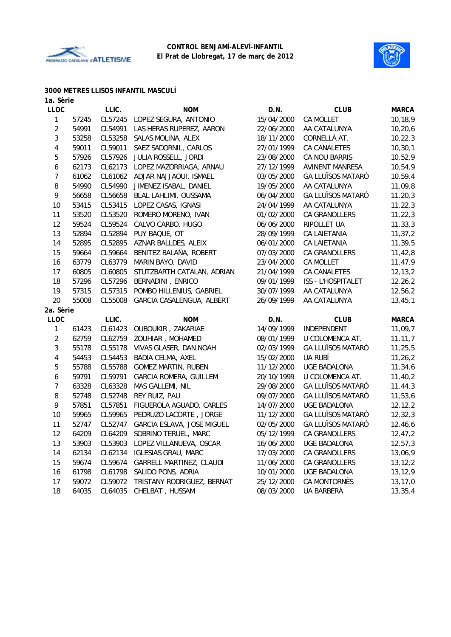



#### **3000 METRES LLISOS INFANTIL MASCULÍ**

| 1a. Sèrie               |       |         |                            |            |                           |              |
|-------------------------|-------|---------|----------------------------|------------|---------------------------|--------------|
| <b>LLOC</b>             |       | LLIC.   | <b>NOM</b>                 | D.N.       | <b>CLUB</b>               | <b>MARCA</b> |
| $\mathbf 1$             | 57245 | CL57245 | LOPEZ SEGURA, ANTONIO      | 15/04/2000 | <b>CA MOLLET</b>          | 10,18,9      |
| $\overline{\mathbf{c}}$ | 54991 | CL54991 | LAS HERAS RUPEREZ, AARON   | 22/06/2000 | AA CATALUNYA              | 10, 20, 6    |
| 3                       | 53258 | CL53258 | SALAS MOLINA, ALEX         | 18/11/2000 | CORNELLÀ AT.              | 10, 22, 3    |
| 4                       | 59011 | CL59011 | SAEZ SADORNIL, CARLOS      | 27/01/1999 | <b>CA CANALETES</b>       | 10, 30, 1    |
| 5                       | 57926 | CL57926 | JULIA ROSSELL, JORDI       | 23/08/2000 | CA NOU BARRIS             | 10, 52, 9    |
| 6                       | 62173 | CL62173 | LOPEZ MAZORRIAGA, ARNAU    | 27/12/1999 | <b>AVINENT MANRESA</b>    | 10,54,9      |
| 7                       | 61062 | CL61062 | ADJAR NAJJAOUI, ISMAEL     | 03/05/2000 | <b>GA LLUÏSOS MATARÓ</b>  | 10, 59, 4    |
| 8                       | 54990 | CL54990 | JIMENEZ ISABAL, DANIEL     | 19/05/2000 | AA CATALUNYA              | 11,09,8      |
| 9                       | 56658 | CL56658 | BLAL LAHLIMI, OUSSAMA      | 06/04/2000 | <b>GA LLUÏSOS MATARÓ</b>  | 11, 20, 3    |
| 10                      | 53415 | CL53415 | LOPEZ CASAS, IGNASI        | 24/04/1999 | AA CATALUNYA              | 11, 22, 3    |
| 11                      | 53520 | CL53520 | ROMERO MORENO, IVAN        | 01/02/2000 | CA GRANOLLERS             | 11, 22, 3    |
| 12                      | 59524 | CL59524 | CALVO CARBO, HUGO          | 06/06/2000 | RIPOLLET UA               | 11, 33, 3    |
| 13                      | 52894 | CL52894 | PUY BAQUE, OT              | 28/09/1999 | CA LAIETANIA              | 11, 37, 2    |
| 14                      | 52895 | CL52895 | AZNAR BALLDES, ALEIX       | 06/01/2000 | <b>CA LAIETANIA</b>       | 11, 39, 5    |
| 15                      | 59664 | CL59664 | BENITEZ BALAÑA, ROBERT     | 07/03/2000 | CA GRANOLLERS             | 11,42,8      |
| 16                      | 63779 | CL63779 | MARIN BAYO, DAVID          | 23/04/2000 | CA MOLLET                 | 11,47,9      |
| 17                      | 60805 | CL60805 | STUTZBARTH CATALAN, ADRIAN | 21/04/1999 | CA CANALETES              | 12, 13, 2    |
| 18                      | 57296 | CL57296 | BERNADINI, ENRICO          | 09/01/1999 | <b>ISS - L'HOSPITALET</b> | 12, 26, 2    |
| 19                      | 57315 | CL57315 | POMBO HILLENIUS, GABRIEL   | 30/07/1999 | AA CATALUNYA              | 12,56,2      |
| 20                      | 55008 | CL55008 | GARCIA CASALENGUA, ALBERT  | 26/09/1999 | AA CATALUNYA              | 13, 45, 1    |
| 2a. Sèrie               |       |         |                            |            |                           |              |
| <b>LLOC</b>             |       | LLIC.   | <b>NOM</b>                 | D.N.       | <b>CLUB</b>               | <b>MARCA</b> |
| 1                       | 61423 | CL61423 | OUBOUKIR, ZAKARIAE         | 14/09/1999 | INDEPENDENT               | 11,09,7      |
| $\overline{c}$          | 62759 | CL62759 | ZOUHIAR, MOHAMED           | 08/01/1999 | U COLOMENCA AT.           | 11, 11, 7    |
| 3                       | 55178 | CL55178 | VIVAS GLASER, DAN NOAH     | 02/03/1999 | <b>GA LLUÏSOS MATARÓ</b>  | 11, 25, 5    |
| 4                       | 54453 | CL54453 | BADIA CELMA, AXEL          | 15/02/2000 | UA RUBÍ                   | 11, 26, 2    |
| 5                       | 55788 | CL55788 | <b>GOMEZ MARTIN, RUBEN</b> | 11/12/2000 | <b>UGE BADALONA</b>       | 11,34,6      |
| 6                       | 59791 | CL59791 | GARCIA ROMERA, GUILLEM     | 20/10/1999 | U COLOMENCA AT.           | 11,40,2      |
| $\overline{7}$          | 63328 | CL63328 | MAS GALLEMI, NIL           | 29/08/2000 | <b>GA LLUÏSOS MATARÓ</b>  | 11,44,3      |
| 8                       | 52748 | CL52748 | REY RUIZ, PAU              | 09/07/2000 | <b>GA LLUÏSOS MATARÓ</b>  | 11,53,6      |
| 9                       | 57851 | CL57851 | FIGUEROLA AGUADO, CARLES   | 14/07/2000 | <b>UGE BADALONA</b>       | 12, 12, 2    |
| 10                      | 59965 | CL59965 | PEDRUZO LACORTE, JORGE     | 11/12/2000 | <b>GA LLUÏSOS MATARÓ</b>  | 12, 32, 3    |
| 11                      | 52747 | CL52747 | GARCIA ESLAVA, JOSE MIGUEL | 02/05/2000 | <b>GA LLUÏSOS MATARÓ</b>  | 12,46,6      |
| 12                      | 64209 | CL64209 | SOBRINO TERUEL, MARC       | 05/12/1999 | CA GRANOLLERS             | 12, 47, 2    |
| 13                      | 53903 | CL53903 | LOPEZ VILLANUEVA, OSCAR    | 16/06/2000 | UGE BADALONA              | 12, 57, 3    |
| 14                      | 62134 | CL62134 | <b>IGLESIAS GRAU, MARC</b> | 17/03/2000 | CA GRANOLLERS             | 13,06,9      |
| 15                      | 59674 | CL59674 | GARRELL MARTINEZ, CLAUDI   | 11/06/2000 | CA GRANOLLERS             | 13, 12, 2    |
| 16                      | 61798 | CL61798 | SALIDO PONS, ADRIA         | 10/01/2000 | <b>UGE BADALONA</b>       | 13, 12, 9    |
| 17                      | 59072 | CL59072 | TRISTANY RODRIGUEZ, BERNAT | 25/12/2000 | CA MONTORNÈS              | 13, 17, 0    |
| 18                      | 64035 | CL64035 | CHELBAT, HUSSAM            | 08/03/2000 | UA BARBERÀ                | 13, 35, 4    |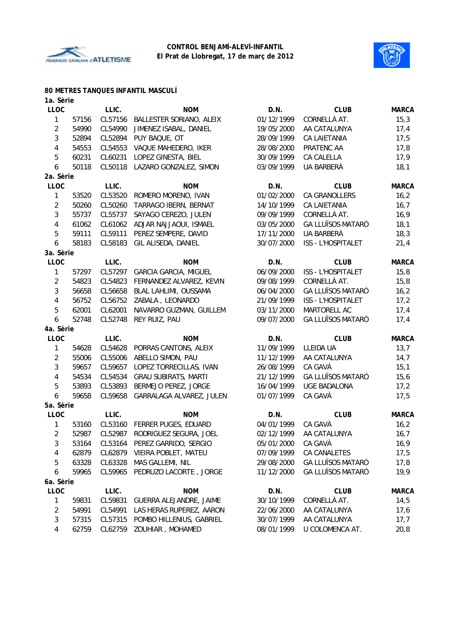



#### **80 METRES TANQUES INFANTIL MASCULÍ**

| 1a. Sèrie      |       |         |                              |            |                          |              |
|----------------|-------|---------|------------------------------|------------|--------------------------|--------------|
| <b>LLOC</b>    |       | LLIC.   | <b>NOM</b>                   | D.N.       | <b>CLUB</b>              | <b>MARCA</b> |
| $\mathbf{1}$   | 57156 | CL57156 | BALLESTER SORIANO, ALEIX     | 01/12/1999 | CORNELLÀ AT.             | 15,3         |
| $\overline{2}$ | 54990 | CL54990 | JIMENEZ ISABAL, DANIEL       | 19/05/2000 | AA CATALUNYA             | 17,4         |
| $\mathbf{3}$   | 52894 | CL52894 | PUY BAQUE, OT                | 28/09/1999 | <b>CA LAIETANIA</b>      | 17,5         |
| 4              | 54553 | CL54553 | VAQUE MAHEDERO, IKER         | 28/08/2000 | PRATENC AA               | 17,8         |
| 5              | 60231 | CL60231 | LOPEZ GINESTA, BIEL          | 30/09/1999 | CA CALELLA               | 17,9         |
| 6              | 50118 | CL50118 | LAZARO GONZALEZ, SIMON       | 03/09/1999 | UA BARBERÀ               | 18,1         |
| 2a. Sèrie      |       |         |                              |            |                          |              |
| <b>LLOC</b>    |       | LLIC.   | <b>NOM</b>                   | D.N.       | <b>CLUB</b>              | <b>MARCA</b> |
| 1              | 53520 | CL53520 | ROMERO MORENO, IVAN          | 01/02/2000 | <b>CA GRANOLLERS</b>     | 16,2         |
| $\overline{c}$ | 50260 | CL50260 | TARRAGO IBERN, BERNAT        | 14/10/1999 | CA LAIETANIA             | 16,7         |
| 3              | 55737 | CL55737 | SAYAGO CEREZO, JULEN         | 09/09/1999 | CORNELLÀ AT.             | 16,9         |
| 4              | 61062 | CL61062 | ADJAR NAJJAOUI, ISMAEL       | 03/05/2000 | <b>GA LLUÏSOS MATARÓ</b> | 18,1         |
| 5              | 59111 | CL59111 | PEREZ SEMPERE, DAVID         | 17/11/2000 | UA BARBERÀ               | 18,3         |
| 6              | 58183 | CL58183 | GIL ALISEDA, DANIEL          | 30/07/2000 | ISS - L'HOSPITALET       | 21,4         |
| 3a. Sèrie      |       |         |                              |            |                          |              |
| <b>LLOC</b>    |       | LLIC.   | <b>NOM</b>                   | D.N.       | <b>CLUB</b>              | <b>MARCA</b> |
| 1              | 57297 | CL57297 | <b>GARCIA GARCIA, MIGUEL</b> | 06/09/2000 | ISS - L'HOSPITALET       | 15,8         |
| $\overline{c}$ | 54823 | CL54823 | FERNANDEZ ALVAREZ, KEVIN     | 09/08/1999 | CORNELLÀ AT.             | 15,8         |
| 3              | 56658 | CL56658 | BLAL LAHLIMI, OUSSAMA        | 06/04/2000 | <b>GA LLUÏSOS MATARÓ</b> | 16,2         |
| 4              | 56752 | CL56752 | ZABALA, LEONARDO             | 21/09/1999 | ISS - L'HOSPITALET       | 17,2         |
| 5              | 62001 | CL62001 | NAVARRO GUZMAN, GUILLEM      | 03/11/2000 | MARTORELL AC             | 17,4         |
| 6              | 52748 | CL52748 | REY RUIZ, PAU                | 09/07/2000 | <b>GA LLUÏSOS MATARÓ</b> | 17,4         |
| 4a. Sèrie      |       |         |                              |            |                          |              |
| <b>LLOC</b>    |       | LLIC.   | <b>NOM</b>                   | D.N.       | <b>CLUB</b>              | <b>MARCA</b> |
| 1              | 54628 | CL54628 | PORRAS CANTONS, ALEIX        | 11/09/1999 | LLEIDA UA                | 13,7         |
| $\overline{2}$ | 55006 | CL55006 | ABELLO SIMON, PAU            | 11/12/1999 | AA CATALUNYA             | 14,7         |
| 3              | 59657 | CL59657 | LOPEZ TORRECILLAS, IVAN      | 26/08/1999 | CA GAVÀ                  | 15,1         |
| 4              | 54534 | CL54534 | <b>GRAU SUBIRATS, MARTI</b>  | 21/12/1999 | <b>GA LLUÏSOS MATARÓ</b> | 15,6         |
| 5              | 53893 | CL53893 | BERMEJO PEREZ, JORGE         | 16/04/1999 | <b>UGE BADALONA</b>      | 17,2         |
| 6              | 59658 | CL59658 | GARRALAGA ALVAREZ, JULEN     | 01/07/1999 | CA GAVÀ                  | 17,5         |
| 5a. Sèrie      |       |         |                              |            |                          |              |
| <b>LLOC</b>    |       | LLIC.   | <b>NOM</b>                   | D.N.       | <b>CLUB</b>              | <b>MARCA</b> |
| 1              | 53160 | CL53160 | FERRER PUGES, EDUARD         | 04/01/1999 | CA GAVÀ                  | 16,2         |
| 2              | 52987 | CL52987 | RODRIGUEZ SEGURA, JOEL       | 02/12/1999 | AA CATALUNYA             | 16,7         |
| 3              | 53164 | CL53164 | PEREZ GARRIDO, SERGIO        | 05/01/2000 | CA GAVÀ                  | 16,9         |
| 4              | 62879 | CL62879 | VIEIRA POBLET, MATEU         | 07/09/1999 | CA CANALETES             | 17,5         |
| 5              | 63328 | CL63328 | MAS GALLEMI, NIL             | 29/08/2000 | <b>GA LLUÏSOS MATARÓ</b> | 17,8         |
| 6              | 59965 | CL59965 | PEDRUZO LACORTE, JORGE       | 11/12/2000 | <b>GA LLUÏSOS MATARÓ</b> | 19,9         |
| 6a. Sèrie      |       |         |                              |            |                          |              |
| <b>LLOC</b>    |       | LLIC.   | <b>NOM</b>                   | D.N.       | <b>CLUB</b>              | <b>MARCA</b> |
| 1              | 59831 | CL59831 | GUERRA ALEJANDRE, JAIME      | 30/10/1999 | CORNELLÀ AT.             | 14,5         |
| $\overline{2}$ | 54991 | CL54991 | LAS HERAS RUPEREZ, AARON     | 22/06/2000 | AA CATALUNYA             | 17,6         |
| 3              | 57315 | CL57315 | POMBO HILLENIUS, GABRIEL     | 30/07/1999 | AA CATALUNYA             | 17,7         |
| 4              | 62759 | CL62759 | ZOUHIAR, MOHAMED             | 08/01/1999 | U COLOMENCA AT.          | 20,8         |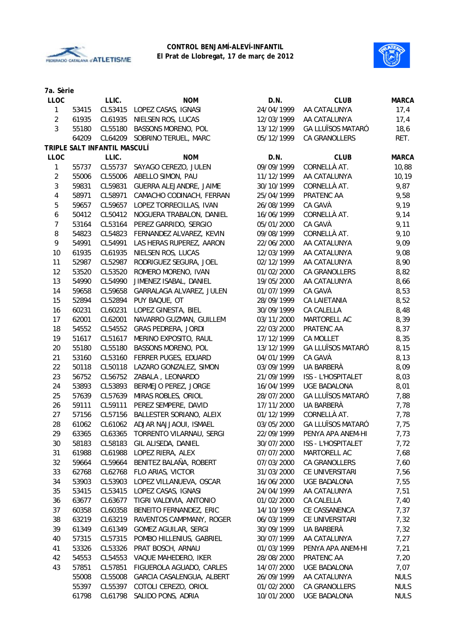



| 7a. Sèrie      |       |                              |                            |            |                          |              |
|----------------|-------|------------------------------|----------------------------|------------|--------------------------|--------------|
| <b>LLOC</b>    |       | LLIC.                        | <b>NOM</b>                 | D.N.       | <b>CLUB</b>              | <b>MARCA</b> |
| 1              | 53415 | CL53415                      | LOPEZ CASAS, IGNASI        | 24/04/1999 | AA CATALUNYA             | 17,4         |
| $\overline{2}$ | 61935 | CL61935                      | NIELSEN ROS, LUCAS         | 12/03/1999 | AA CATALUNYA             | 17,4         |
| 3              | 55180 | CL55180                      | BASSONS MORENO, POL        | 13/12/1999 | <b>GA LLUÏSOS MATARÓ</b> | 18,6         |
|                | 64209 | CL64209                      | SOBRINO TERUEL, MARC       | 05/12/1999 | CA GRANOLLERS            | RET.         |
|                |       | TRIPLE SALT INFANTIL MASCULÍ |                            |            |                          |              |
| <b>LLOC</b>    |       | LLIC.                        | <b>NOM</b>                 | D.N.       | <b>CLUB</b>              | <b>MARCA</b> |
| 1              | 55737 | CL55737                      | SAYAGO CEREZO, JULEN       | 09/09/1999 | CORNELLÀ AT.             | 10,88        |
| $\overline{2}$ | 55006 | CL55006                      | ABELLO SIMON, PAU          | 11/12/1999 | AA CATALUNYA             | 10, 19       |
| 3              | 59831 | CL59831                      | GUERRA ALEJANDRE, JAIME    | 30/10/1999 | CORNELLÀ AT.             | 9,87         |
| 4              | 58971 | CL58971                      | CAMACHO CODINACH, FERRAN   | 25/04/1999 | PRATENC AA               | 9,58         |
| 5              | 59657 | CL59657                      | LOPEZ TORRECILLAS, IVAN    | 26/08/1999 | CA GAVÀ                  | 9,19         |
| 6              | 50412 | CL50412                      | NOGUERA TRABALON, DANIEL   | 16/06/1999 | CORNELLÀ AT.             | 9,14         |
| 7              | 53164 | CL53164                      | PEREZ GARRIDO, SERGIO      | 05/01/2000 | CA GAVÀ                  | 9,11         |
| 8              | 54823 | CL54823                      | FERNANDEZ ALVAREZ, KEVIN   | 09/08/1999 | CORNELLÀ AT.             | 9,10         |
| 9              | 54991 | CL54991                      | LAS HERAS RUPEREZ, AARON   | 22/06/2000 | AA CATALUNYA             | 9,09         |
| 10             | 61935 | CL61935                      | NIELSEN ROS, LUCAS         | 12/03/1999 | AA CATALUNYA             | 9,08         |
| 11             | 52987 | CL52987                      | RODRIGUEZ SEGURA, JOEL     | 02/12/1999 | AA CATALUNYA             | 8,90         |
| 12             | 53520 | CL53520                      | ROMERO MORENO, IVAN        | 01/02/2000 | <b>CA GRANOLLERS</b>     | 8,82         |
| 13             | 54990 | CL54990                      | JIMENEZ ISABAL, DANIEL     | 19/05/2000 | AA CATALUNYA             | 8,66         |
| 14             | 59658 | CL59658                      | GARRALAGA ALVAREZ, JULEN   | 01/07/1999 | CA GAVÀ                  | 8,53         |
| 15             | 52894 | CL52894                      | PUY BAQUE, OT              | 28/09/1999 | CA LAIETANIA             | 8,52         |
| 16             | 60231 | CL60231                      | LOPEZ GINESTA, BIEL        | 30/09/1999 | CA CALELLA               | 8,48         |
| 17             | 62001 | CL62001                      | NAVARRO GUZMAN, GUILLEM    | 03/11/2000 | MARTORELL AC             | 8,39         |
| 18             | 54552 | CL54552                      | <b>GRAS PEDRERA, JORDI</b> | 22/03/2000 | PRATENC AA               | 8,37         |
| 19             | 51617 | CL51617                      | MERINO EXPOSITO, RAUL      | 17/12/1999 | CA MOLLET                | 8,35         |
| 20             | 55180 | CL55180                      | BASSONS MORENO, POL        | 13/12/1999 | <b>GA LLUÏSOS MATARÓ</b> | 8,15         |
| 21             | 53160 | CL53160                      | FERRER PUGES, EDUARD       | 04/01/1999 | CA GAVÀ                  | 8,13         |
| 22             | 50118 | CL50118                      | LAZARO GONZALEZ, SIMON     | 03/09/1999 | UA BARBERÀ               | 8,09         |
| 23             | 56752 | CL56752                      | ZABALA, LEONARDO           | 21/09/1999 | ISS - L'HOSPITALET       | 8,03         |
| 24             | 53893 | CL53893                      | BERMEJO PEREZ, JORGE       | 16/04/1999 | <b>UGE BADALONA</b>      | 8,01         |
| 25             | 57639 | CL57639                      | MIRAS ROBLES, ORIOL        | 28/07/2000 | <b>GA LLUÏSOS MATARÓ</b> | 7,88         |
| 26             | 59111 | CL59111                      | PEREZ SEMPERE, DAVID       | 17/11/2000 | UA BARBERÀ               | 7,78         |
| 27             | 57156 | CL57156                      | BALLESTER SORIANO, ALEIX   | 01/12/1999 | CORNELLÀ AT.             | 7,78         |
| 28             | 61062 | CL61062                      | ADJAR NAJJAOUI, ISMAEL     | 03/05/2000 | <b>GA LLUÏSOS MATARÓ</b> | 7,75         |
| 29             | 63365 | CL63365                      | TORRENTO VILARNAU, SERGI   | 22/09/1999 | PENYA APA ANEM-HI        | 7,73         |
| 30             | 58183 | CL58183                      | GIL ALISEDA, DANIEL        | 30/07/2000 | ISS - L'HOSPITALET       | 7,72         |
| 31             | 61988 | CL61988                      | LOPEZ RIERA, ALEX          | 07/07/2000 | MARTORELL AC             | 7,68         |
| 32             | 59664 | CL59664                      | BENITEZ BALAÑA, ROBERT     | 07/03/2000 | CA GRANOLLERS            | 7,60         |
| 33             | 62768 | CL62768                      | FLO ARIAS, VICTOR          | 31/03/2000 | CE UNIVERSITARI          | 7,56         |
| 34             | 53903 | CL53903                      | LOPEZ VILLANUEVA, OSCAR    | 16/06/2000 | UGE BADALONA             | 7,55         |
| 35             | 53415 | CL53415                      | LOPEZ CASAS, IGNASI        | 24/04/1999 | AA CATALUNYA             | 7,51         |
| 36             | 63677 | CL63677                      | TIGRI VALDIVIA, ANTONIO    | 01/02/2000 | CA CALELLA               | 7,40         |
| 37             | 60358 | CL60358                      | BENEITO FERNANDEZ, ERIC    | 14/10/1999 | CE CASSANENCA            | 7,37         |
| 38             | 63219 | CL63219                      | RAVENTOS CAMPMANY, ROGER   | 06/03/1999 | CE UNIVERSITARI          | 7,32         |
| 39             | 61349 | CL61349                      | GOMEZ AGUILAR, SERGI       | 30/09/1999 | UA BARBERÀ               | 7,32         |
| 40             | 57315 | CL57315                      | POMBO HILLENIUS, GABRIEL   | 30/07/1999 | AA CATALUNYA             | 7,27         |
| 41             | 53326 | CL53326                      | PRAT BOSCH, ARNAU          | 01/03/1999 | PENYA APA ANEM-HI        | 7,21         |
| 42             | 54553 | CL54553                      | VAQUE MAHEDERO, IKER       | 28/08/2000 | PRATENC AA               | 7,20         |
| 43             | 57851 | CL57851                      | FIGUEROLA AGUADO, CARLES   | 14/07/2000 | <b>UGE BADALONA</b>      | 7,07         |
|                | 55008 | CL55008                      | GARCIA CASALENGUA, ALBERT  | 26/09/1999 | AA CATALUNYA             | <b>NULS</b>  |
|                | 55397 | CL55397                      | COTOLI CEREZO, ORIOL       | 01/02/2000 | CA GRANOLLERS            | <b>NULS</b>  |
|                | 61798 | CL61798                      | SALIDO PONS, ADRIA         | 10/01/2000 | <b>UGE BADALONA</b>      | <b>NULS</b>  |
|                |       |                              |                            |            |                          |              |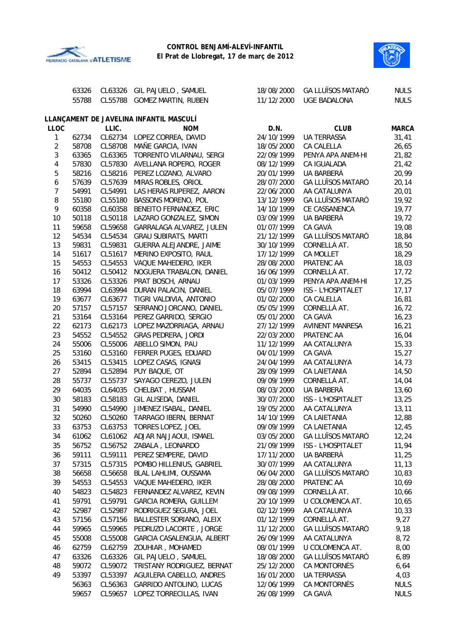



|                | 63326 | CL63326 | GIL PAJUELO, SAMUEL                     | 18/08/2000 | <b>GA LLUÏSOS MATARÓ</b> | <b>NULS</b>  |
|----------------|-------|---------|-----------------------------------------|------------|--------------------------|--------------|
|                | 55788 | CL55788 | <b>GOMEZ MARTIN, RUBEN</b>              | 11/12/2000 | <b>UGE BADALONA</b>      | <b>NULS</b>  |
|                |       |         | LLANÇAMENT DE JAVELINA INFANTIL MASCULÍ |            |                          |              |
| <b>LLOC</b>    |       | LLIC.   | <b>NOM</b>                              | D.N.       | <b>CLUB</b>              | <b>MARCA</b> |
| 1              | 62734 | CL62734 | LOPEZ CORREA, DAVID                     | 24/10/1999 | <b>UA TERRASSA</b>       | 31,41        |
| $\overline{2}$ | 58708 | CL58708 | MAÑE GARCIA, IVAN                       | 18/05/2000 | CA CALELLA               | 26,65        |
| 3              | 63365 | CL63365 | TORRENTO VILARNAU, SERGI                | 22/09/1999 | PENYA APA ANEM-HI        | 21,82        |
| 4              | 57830 | CL57830 | AVELLANA ROPERO, ROGER                  | 08/12/1999 | CA IGUALADA              | 21,42        |
| 5              | 58216 | CL58216 | PEREZ LOZANO, ALVARO                    | 20/01/1999 | <b>UA BARBERÀ</b>        | 20,99        |
| 6              | 57639 | CL57639 | MIRAS ROBLES, ORIOL                     | 28/07/2000 | <b>GA LLUÏSOS MATARÓ</b> | 20,14        |
| $\overline{7}$ | 54991 | CL54991 | LAS HERAS RUPEREZ, AARON                | 22/06/2000 | AA CATALUNYA             | 20,01        |
| 8              | 55180 | CL55180 | BASSONS MORENO, POL                     | 13/12/1999 | GA LLUÏSOS MATARÓ        | 19,92        |
| 9              | 60358 | CL60358 | BENEITO FERNANDEZ, ERIC                 | 14/10/1999 | CE CASSANENCA            | 19,77        |
| 10             | 50118 | CL50118 | LAZARO GONZALEZ, SIMON                  | 03/09/1999 | UA BARBERÀ               | 19,72        |
| 11             | 59658 | CL59658 | GARRALAGA ALVAREZ, JULEN                | 01/07/1999 | CA GAVÀ                  | 19,08        |
| 12             | 54534 | CL54534 | <b>GRAU SUBIRATS, MARTI</b>             | 21/12/1999 | <b>GA LLUÏSOS MATARÓ</b> | 18,84        |
| 13             | 59831 | CL59831 | GUERRA ALEJANDRE, JAIME                 | 30/10/1999 | CORNELLÀ AT.             | 18,50        |
| 14             | 51617 | CL51617 | MERINO EXPOSITO, RAUL                   | 17/12/1999 | CA MOLLET                | 18,29        |
| 15             | 54553 | CL54553 | VAQUE MAHEDERO, IKER                    | 28/08/2000 | PRATENC AA               | 18,03        |
| 16             | 50412 | CL50412 | NOGUERA TRABALON, DANIEL                | 16/06/1999 | CORNELLÀ AT.             | 17,72        |
| 17             | 53326 | CL53326 | PRAT BOSCH, ARNAU                       | 01/03/1999 | PENYA APA ANEM-HI        | 17,25        |
| 18             | 63994 | CL63994 | DURAN PALACIN, DANIEL                   | 05/07/1999 | ISS - L'HOSPITALET       | 17, 17       |
| 19             | 63677 | CL63677 | TIGRI VALDIVIA, ANTONIO                 | 01/02/2000 | CA CALELLA               | 16,81        |
| 20             | 57157 | CL57157 | SERRANO JORCANO, DANIEL                 | 05/05/1999 | CORNELLÀ AT.             | 16,72        |
| 21             | 53164 | CL53164 | PEREZ GARRIDO, SERGIO                   | 05/01/2000 | CA GAVÀ                  | 16,23        |
| 22             | 62173 | CL62173 | LOPEZ MAZORRIAGA, ARNAU                 | 27/12/1999 | <b>AVINENT MANRESA</b>   | 16,21        |
| 23             | 54552 | CL54552 | GRAS PEDRERA, JORDI                     | 22/03/2000 | PRATENC AA               | 16,04        |
| 24             | 55006 | CL55006 | ABELLO SIMON, PAU                       | 11/12/1999 | AA CATALUNYA             | 15,33        |
| 25             | 53160 | CL53160 | FERRER PUGES, EDUARD                    | 04/01/1999 | CA GAVÀ                  | 15,27        |
| 26             | 53415 | CL53415 | LOPEZ CASAS, IGNASI                     | 24/04/1999 | AA CATALUNYA             | 14,73        |
| 27             | 52894 | CL52894 | PUY BAQUE, OT                           | 28/09/1999 | CA LAIETANIA             | 14,50        |
| 28             | 55737 | CL55737 | SAYAGO CEREZO, JULEN                    | 09/09/1999 | CORNELLÀ AT.             | 14,04        |
| 29             | 64035 | CL64035 | CHELBAT, HUSSAM                         | 08/03/2000 | UA BARBERÀ               | 13,60        |
| 30             | 58183 | CL58183 | GIL ALISEDA, DANIEL                     | 30/07/2000 | ISS - L'HOSPITALET       | 13,25        |
| 31             | 54990 | CL54990 | JIMENEZ ISABAL, DANIEL                  | 19/05/2000 | AA CATALUNYA             | 13, 11       |
| 32             | 50260 | CL50260 | TARRAGO IBERN, BERNAT                   | 14/10/1999 | CA LAIETANIA             | 12,88        |
| 33             | 63753 | CL63753 | TORRES LOPEZ, JOEL                      | 09/09/1999 | CA LAIETANIA             | 12,45        |
| 34             | 61062 | CL61062 | ADJAR NAJJAOUI, ISMAEL                  | 03/05/2000 | <b>GA LLUÏSOS MATARÓ</b> | 12,24        |
| 35             | 56752 | CL56752 | ZABALA, LEONARDO                        | 21/09/1999 | ISS - L'HOSPITALET       | 11,94        |
| 36             | 59111 | CL59111 | PEREZ SEMPERE, DAVID                    | 17/11/2000 | UA BARBERÀ               | 11,25        |
| 37             | 57315 | CL57315 | POMBO HILLENIUS, GABRIEL                | 30/07/1999 | AA CATALUNYA             | 11, 13       |
| 38             | 56658 | CL56658 | BLAL LAHLIMI, OUSSAMA                   | 06/04/2000 | <b>GA LLUÏSOS MATARÓ</b> | 10,83        |
| 39             | 54553 | CL54553 | VAQUE MAHEDERO, IKER                    | 28/08/2000 | PRATENC AA               | 10,69        |
| 40             | 54823 | CL54823 | FERNANDEZ ALVAREZ, KEVIN                | 09/08/1999 | CORNELLÀ AT.             | 10,66        |
| 41             | 59791 | CL59791 | <b>GARCIA ROMERA, GUILLEM</b>           | 20/10/1999 | U COLOMENCA AT.          | 10,65        |
| 42             | 52987 | CL52987 | RODRIGUEZ SEGURA, JOEL                  | 02/12/1999 | AA CATALUNYA             | 10,33        |
| 43             | 57156 | CL57156 | BALLESTER SORIANO, ALEIX                | 01/12/1999 | CORNELLÀ AT.             | 9,27         |
| 44             | 59965 | CL59965 | PEDRUZO LACORTE, JORGE                  | 11/12/2000 | <b>GA LLUÏSOS MATARÓ</b> | 9,18         |
| 45             | 55008 | CL55008 | GARCIA CASALENGUA, ALBERT               | 26/09/1999 | AA CATALUNYA             | 8,72         |
| 46             | 62759 | CL62759 | ZOUHIAR, MOHAMED                        | 08/01/1999 | U COLOMENCA AT.          | 8,00         |
| 47             | 63326 | CL63326 | GIL PAJUELO, SAMUEL                     | 18/08/2000 | <b>GA LLUÏSOS MATARÓ</b> | 6,89         |
| 48             | 59072 | CL59072 | TRISTANY RODRIGUEZ, BERNAT              | 25/12/2000 | CA MONTORNÈS             | 6,64         |
| 49             | 53397 | CL53397 | AGUILERA CABELLO, ANDRES                | 16/01/2000 | <b>UA TERRASSA</b>       | 4,03         |
|                | 56363 | CL56363 | GARRIDO ANTOLINO, LUCAS                 | 12/06/1999 | CA MONTORNÈS             | <b>NULS</b>  |
|                | 59657 | CL59657 | LOPEZ TORRECILLAS, IVAN                 | 26/08/1999 | CA GAVÀ                  | <b>NULS</b>  |
|                |       |         |                                         |            |                          |              |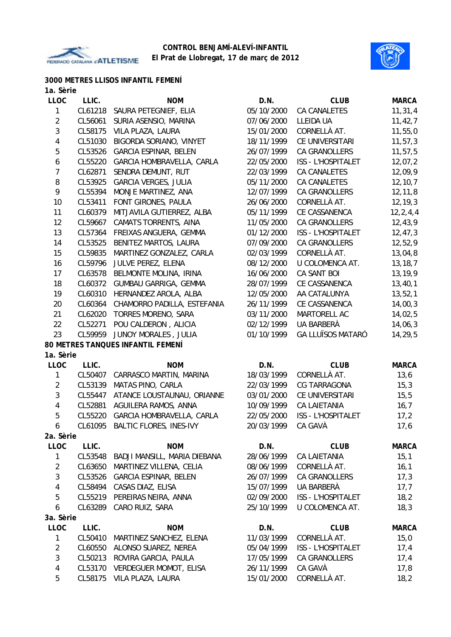



# **3000 METRES LLISOS INFANTIL FEMENÍ**

| 1a. Sèrie        |         |                                   |            |                           |              |
|------------------|---------|-----------------------------------|------------|---------------------------|--------------|
| <b>LLOC</b>      | LLIC.   | <b>NOM</b>                        | D.N.       | <b>CLUB</b>               | <b>MARCA</b> |
| 1                | CL61218 | SAURA PETEGNIEF, ELIA             | 05/10/2000 | CA CANALETES              | 11, 31, 4    |
| $\overline{2}$   | CL56061 | SURIA ASENSIO, MARINA             | 07/06/2000 | LLEIDA UA                 | 11, 42, 7    |
| $\mathbf{3}$     | CL58175 | VILA PLAZA, LAURA                 | 15/01/2000 | CORNELLÀ AT.              | 11,55,0      |
| 4                | CL51030 | BIGORDA SORIANO, VINYET           | 18/11/1999 | CE UNIVERSITARI           | 11, 57, 3    |
| 5                | CL53526 | <b>GARCIA ESPINAR, BELEN</b>      | 26/07/1999 | CA GRANOLLERS             | 11, 57, 5    |
| $\boldsymbol{6}$ | CL55220 | GARCIA HOMBRAVELLA, CARLA         | 22/05/2000 | ISS - L'HOSPITALET        | 12,07,2      |
| $\overline{7}$   | CL62871 | SENDRA DEMUNT, RUT                | 22/03/1999 | <b>CA CANALETES</b>       | 12,09,9      |
| 8                | CL53925 | <b>GARCIA VERGES, JULIA</b>       | 05/11/2000 | CA CANALETES              | 12, 10, 7    |
| 9                | CL55394 | MONJE MARTINEZ, ANA               | 12/07/1999 | CA GRANOLLERS             | 12, 11, 8    |
| 10               | CL53411 | FONT GIRONES, PAULA               | 26/06/2000 | CORNELLÀ AT.              | 12, 19, 3    |
| 11               | CL60379 | MITJAVILA GUTIERREZ, ALBA         | 05/11/1999 | CE CASSANENCA             | 12, 2, 4, 4  |
| 12               | CL59667 | CAMATS TORRENTS, AINA             | 11/05/2000 | CA GRANOLLERS             | 12,43,9      |
| 13               | CL57364 | FREIXAS ANGUERA, GEMMA            | 01/12/2000 | ISS - L'HOSPITALET        | 12, 47, 3    |
| 14               | CL53525 | BENITEZ MARTOS, LAURA             | 07/09/2000 | <b>CA GRANOLLERS</b>      | 12,52,9      |
| 15               | CL59835 | MARTINEZ GONZALEZ, CARLA          | 02/03/1999 | CORNELLÀ AT.              | 13,04,8      |
| 16               | CL59796 | JULVE PEREZ, ELENA                | 08/12/2000 | U COLOMENCA AT.           | 13, 18, 7    |
| 17               | CL63578 | BELMONTE MOLINA, IRINA            | 16/06/2000 | CA SANT BOI               | 13,19,9      |
| 18               | CL60372 | GUMBAU GARRIGA, GEMMA             | 28/07/1999 | CE CASSANENCA             | 13,40,1      |
| 19               | CL60310 | HERNANDEZ AROLA, ALBA             | 12/05/2000 | AA CATALUNYA              | 13,52,1      |
| 20               | CL60364 | CHAMORRO PADILLA, ESTEFANIA       | 26/11/1999 | CE CASSANENCA             | 14,00,3      |
| 21               | CL62020 | TORRES MORENO, SARA               | 03/11/2000 | MARTORELL AC              | 14,02,5      |
| 22               | CL52271 | POU CALDERON, ALICIA              | 02/12/1999 | UA BARBERÀ                | 14,06,3      |
| 23               | CL59959 | JUNOY MORALES, JULIA              | 01/10/1999 | <b>GA LLUÏSOS MATARÓ</b>  | 14,29,5      |
|                  |         | 80 METRES TANQUES INFANTIL FEMENÍ |            |                           |              |
| 1a. Sèrie        |         |                                   |            |                           |              |
| <b>LLOC</b>      | LLIC.   | <b>NOM</b>                        | D.N.       | <b>CLUB</b>               | <b>MARCA</b> |
| 1                | CL50407 | CARRASCO MARTIN, MARINA           | 18/03/1999 | CORNELLÀ AT.              | 13,6         |
| $\overline{2}$   | CL53139 | MATAS PINO, CARLA                 | 22/03/1999 | CG TARRAGONA              | 15,3         |
| 3                | CL55447 | ATANCE LOUSTAUNAU, ORIANNE        | 03/01/2000 | CE UNIVERSITARI           | 15, 5        |
| $\overline{4}$   | CL52881 | AGUILERA RAMOS, ANNA              | 10/09/1999 | <b>CA LAIETANIA</b>       | 16,7         |
| 5                | CL55220 | GARCIA HOMBRAVELLA, CARLA         | 22/05/2000 | <b>ISS - L'HOSPITALET</b> | 17,2         |
| 6                |         | CL61095 BALTIC FLORES, INES-IVY   | 20/03/1999 | CA GAVÀ                   | 17, 6        |
| 2a. Sèrie        |         |                                   |            |                           |              |
| <b>LLOC</b>      | LLIC.   | <b>NOM</b>                        | D.N.       | <b>CLUB</b>               | <b>MARCA</b> |
| 1                | CL53548 | BADJI MANSILL, MARIA DIEBANA      | 28/06/1999 | CA LAIETANIA              | 15,1         |
| $\overline{2}$   | CL63650 | MARTINEZ VILLENA, CELIA           | 08/06/1999 | CORNELLÀ AT.              | 16,1         |
| 3                | CL53526 | <b>GARCIA ESPINAR, BELEN</b>      | 26/07/1999 | CA GRANOLLERS             | 17,3         |
| 4                | CL58494 | CASAS DIAZ, ELISA                 | 15/07/1999 | UA BARBERÀ                | 17,7         |
| 5                | CL55219 | PEREIRAS NEIRA, ANNA              | 02/09/2000 | ISS - L'HOSPITALET        | 18,2         |
| 6                | CL63289 | CARO RUIZ, SARA                   | 25/10/1999 | U COLOMENCA AT.           | 18,3         |
| 3a. Sèrie        |         |                                   |            |                           |              |
| <b>LLOC</b>      | LLIC.   | <b>NOM</b>                        | D.N.       | <b>CLUB</b>               | <b>MARCA</b> |
| 1                | CL50410 | MARTINEZ SANCHEZ, ELENA           | 11/03/1999 | CORNELLÀ AT.              | 15,0         |
| $\overline{2}$   | CL60550 | ALONSO SUAREZ, NEREA              | 05/04/1999 | ISS - L'HOSPITALET        | 17,4         |
| 3                | CL50213 | ROVIRA GARCIA, PAULA              | 17/05/1999 | CA GRANOLLERS             | 17,4         |
| $\overline{4}$   | CL53170 | <b>VERDEGUER MOMOT, ELISA</b>     | 26/11/1999 | CA GAVÀ                   | 17,8         |
| 5                | CL58175 | VILA PLAZA, LAURA                 | 15/01/2000 | CORNELLÀ AT.              | 18,2         |
|                  |         |                                   |            |                           |              |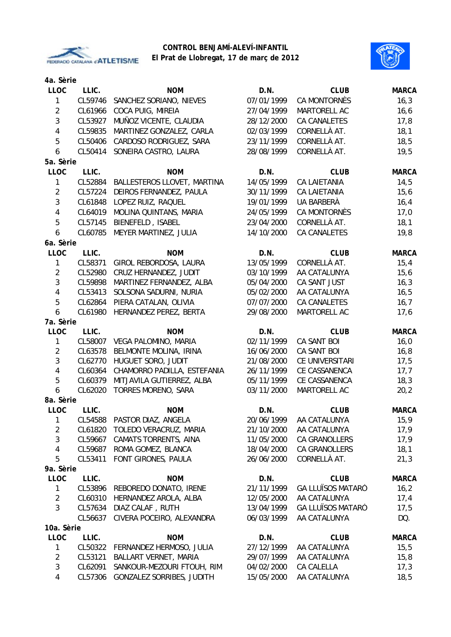

# **CONTROL BENJAMÍ-ALEVÍ-INFANTIL**

# **El Prat de Llobregat, 17 de març de 2012**

| 4a. Sèrie      |         |                                           |                          |                                      |              |
|----------------|---------|-------------------------------------------|--------------------------|--------------------------------------|--------------|
| <b>LLOC</b>    | LLIC.   | <b>NOM</b>                                | D.N.                     | <b>CLUB</b>                          | <b>MARCA</b> |
| 1              | CL59746 | SANCHEZ SORIANO, NIEVES                   | 07/01/1999               | <b>CA MONTORNÈS</b>                  | 16,3         |
| $\overline{2}$ | CL61966 | COCA PUIG, MIREIA                         | 27/04/1999               | MARTORELL AC                         | 16, 6        |
| $\mathfrak{Z}$ | CL53927 | MUÑOZ VICENTE, CLAUDIA                    | 28/12/2000               | <b>CA CANALETES</b>                  | 17,8         |
| 4              | CL59835 | MARTINEZ GONZALEZ, CARLA                  | 02/03/1999               | CORNELLÀ AT.                         | 18,1         |
| 5              | CL50406 | CARDOSO RODRIGUEZ, SARA                   | 23/11/1999               | CORNELLÀ AT.                         | 18,5         |
| 6              | CL50414 | SONEIRA CASTRO, LAURA                     | 28/08/1999               | CORNELLÀ AT.                         | 19,5         |
| 5a. Sèrie      |         |                                           |                          |                                      |              |
| <b>LLOC</b>    | LLIC.   | <b>NOM</b>                                | D.N.                     | <b>CLUB</b>                          | <b>MARCA</b> |
| 1              | CL52884 | BALLESTEROS LLOVET, MARTINA               | 14/05/1999               | <b>CA LAIETANIA</b>                  | 14,5         |
| $\overline{2}$ | CL57224 | DEIROS FERNANDEZ, PAULA                   | 30/11/1999               | <b>CA LAIETANIA</b>                  | 15,6         |
| $\mathfrak{Z}$ | CL61848 | LOPEZ RUIZ, RAQUEL                        | 19/01/1999               | UA BARBERÀ                           | 16,4         |
| 4              | CL64019 | MOLINA QUINTANS, MARIA                    | 24/05/1999               | CA MONTORNÈS                         | 17,0         |
| 5              | CL57145 | BIENEFELD, ISABEL                         | 23/04/2000               | CORNELLÀ AT.                         | 18,1         |
| 6              | CL60785 | MEYER MARTINEZ, JULIA                     | 14/10/2000               | <b>CA CANALETES</b>                  | 19,8         |
| 6a. Sèrie      |         |                                           |                          |                                      |              |
| LLOC           | LLIC.   | <b>NOM</b>                                | D.N.                     | <b>CLUB</b>                          | <b>MARCA</b> |
| 1              | CL58371 | GIROL REBORDOSA, LAURA                    | 13/05/1999               | CORNELLÀ AT.                         | 15,4         |
| $\overline{2}$ | CL52980 | CRUZ HERNANDEZ, JUDIT                     | 03/10/1999               | AA CATALUNYA                         | 15, 6        |
| $\mathfrak{Z}$ | CL59898 | MARTINEZ FERNANDEZ, ALBA                  | 05/04/2000               | CA SANT JUST                         | 16,3         |
| 4              | CL53413 | SOLSONA SADURNI, NURIA                    | 05/02/2000               | AA CATALUNYA                         | 16, 5        |
| 5              | CL62864 | PIERA CATALAN, OLIVIA                     | 07/07/2000               | CA CANALETES                         | 16,7         |
| 6              | CL61980 | HERNANDEZ PEREZ, BERTA                    | 29/08/2000               | MARTORELL AC                         | 17,6         |
| 7a. Sèrie      |         |                                           |                          |                                      |              |
| <b>LLOC</b>    | LLIC.   | <b>NOM</b>                                | D.N.                     | <b>CLUB</b>                          | <b>MARCA</b> |
| 1              | CL58007 | VEGA PALOMINO, MARIA                      | 02/11/1999               | CA SANT BOI                          | 16,0         |
| $\overline{2}$ | CL63578 | BELMONTE MOLINA, IRINA                    | 16/06/2000               | CA SANT BOI                          | 16,8         |
| $\mathfrak{Z}$ | CL62770 | HUGUET SORO, JUDIT                        | 21/08/2000               | CE UNIVERSITARI                      | 17,5         |
| 4              | CL60364 | CHAMORRO PADILLA, ESTEFANIA               | 26/11/1999               | CE CASSANENCA                        | 17,7         |
| 5              | CL60379 | MITJAVILA GUTIERREZ, ALBA                 | 05/11/1999               | CE CASSANENCA                        | 18,3         |
| 6              | CL62020 | <b>TORRES MORENO, SARA</b>                | 03/11/2000               | MARTORELL AC                         | 20,2         |
| 8a. Sèrie      |         |                                           |                          |                                      |              |
| <b>LLOC</b>    | LLIC.   | <b>NOM</b>                                | D.N.                     | <b>CLUB</b>                          | <b>MARCA</b> |
| 1              | CL54588 | PASTOR DIAZ, ANGELA                       | 20/06/1999               | AA CATALUNYA                         | 15,9         |
| $\overline{2}$ | CL61820 | TOLEDO VERACRUZ, MARIA                    | 21/10/2000               | AA CATALUNYA                         | 17,9         |
| 3              | CL59667 | <b>CAMATS TORRENTS, AINA</b>              | 11/05/2000               | CA GRANOLLERS                        | 17,9         |
| 4<br>5         | CL59687 | ROMA GOMEZ, BLANCA<br>FONT GIRONES, PAULA | 18/04/2000<br>26/06/2000 | <b>CA GRANOLLERS</b><br>CORNELLÀ AT. | 18,1         |
| 9a. Sèrie      | CL53411 |                                           |                          |                                      | 21,3         |
| <b>LLOC</b>    | LLIC.   | <b>NOM</b>                                | D.N.                     | <b>CLUB</b>                          | <b>MARCA</b> |
| 1              | CL53896 | REBOREDO DONATO, IRENE                    | 21/11/1999               | <b>GA LLUÏSOS MATARÓ</b>             | 16, 2        |
| $\overline{2}$ | CL60310 | HERNANDEZ AROLA, ALBA                     | 12/05/2000               | AA CATALUNYA                         | 17,4         |
| 3              | CL57634 | DIAZ CALAF, RUTH                          | 13/04/1999               | <b>GA LLUÏSOS MATARÓ</b>             | 17,5         |
|                | CL56637 | CIVERA POCEIRO, ALEXANDRA                 | 06/03/1999               | AA CATALUNYA                         | DQ.          |
| 10a. Sèrie     |         |                                           |                          |                                      |              |
| <b>LLOC</b>    | LLIC.   | <b>NOM</b>                                | D.N.                     | <b>CLUB</b>                          | <b>MARCA</b> |
| 1              | CL50322 | FERNANDEZ HERMOSO, JULIA                  | 27/12/1999               | AA CATALUNYA                         | 15,5         |
| $\overline{2}$ | CL53121 | BALLART VERNET, MARIA                     | 29/07/1999               | AA CATALUNYA                         | 15,8         |
| 3              | CL62091 | SANKOUR-MEZOURI FTOUH, RIM                | 04/02/2000               | CA CALELLA                           | 17,3         |
| 4              | CL57306 | GONZALEZ SORRIBES, JUDITH                 | 15/05/2000               | AA CATALUNYA                         | 18,5         |
|                |         |                                           |                          |                                      |              |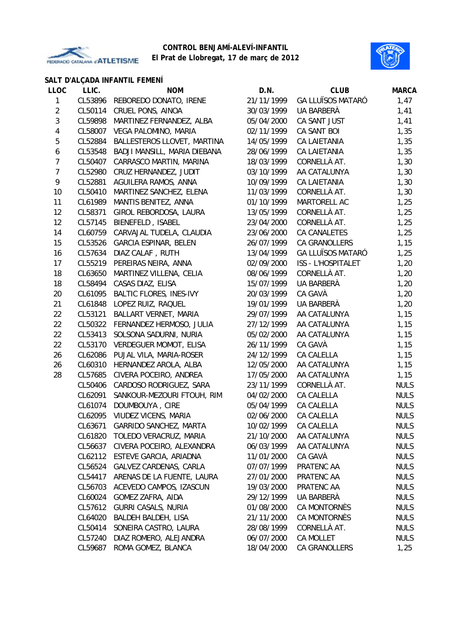



|                |         | SALT D'ALÇADA INFANTIL FEMENÍ  |            |                           |              |
|----------------|---------|--------------------------------|------------|---------------------------|--------------|
| <b>LLOC</b>    | LLIC.   | <b>NOM</b>                     | D.N.       | <b>CLUB</b>               | <b>MARCA</b> |
| 1              | CL53896 | REBOREDO DONATO, IRENE         | 21/11/1999 | <b>GA LLUÏSOS MATARÓ</b>  | 1,47         |
| $\overline{2}$ | CL50114 | CRUEL PONS, AINOA              | 30/03/1999 | UA BARBERÀ                | 1,41         |
| 3              | CL59898 | MARTINEZ FERNANDEZ, ALBA       | 05/04/2000 | CA SANT JUST              | 1,41         |
| 4              | CL58007 | VEGA PALOMINO, MARIA           | 02/11/1999 | CA SANT BOI               | 1,35         |
| 5              | CL52884 | BALLESTEROS LLOVET, MARTINA    | 14/05/1999 | CA LAIETANIA              | 1,35         |
| 6              | CL53548 | BADJI MANSILL, MARIA DIEBANA   | 28/06/1999 | <b>CA LAIETANIA</b>       | 1,35         |
| $\overline{7}$ | CL50407 | CARRASCO MARTIN, MARINA        | 18/03/1999 | CORNELLÀ AT.              | 1,30         |
| $\overline{7}$ | CL52980 | CRUZ HERNANDEZ, JUDIT          | 03/10/1999 | AA CATALUNYA              | 1,30         |
| 9              | CL52881 | AGUILERA RAMOS, ANNA           | 10/09/1999 | <b>CA LAIETANIA</b>       | 1,30         |
| 10             | CL50410 | MARTINEZ SANCHEZ, ELENA        | 11/03/1999 | CORNELLÀ AT.              | 1,30         |
| 11             | CL61989 | MANTIS BENITEZ, ANNA           | 01/10/1999 | MARTORELL AC              | 1,25         |
| 12             | CL58371 | GIROL REBORDOSA, LAURA         | 13/05/1999 | CORNELLÀ AT.              | 1,25         |
| 12             | CL57145 | BIENEFELD, ISABEL              | 23/04/2000 | CORNELLÀ AT.              | 1,25         |
| 14             | CL60759 | CARVAJAL TUDELA, CLAUDIA       | 23/06/2000 | <b>CA CANALETES</b>       | 1,25         |
| 15             | CL53526 | <b>GARCIA ESPINAR, BELEN</b>   | 26/07/1999 | CA GRANOLLERS             | 1,15         |
| 16             | CL57634 | DIAZ CALAF, RUTH               | 13/04/1999 | <b>GA LLUÏSOS MATARÓ</b>  | 1,25         |
| 17             | CL55219 | PEREIRAS NEIRA, ANNA           | 02/09/2000 | <b>ISS - L'HOSPITALET</b> | 1,20         |
| 18             | CL63650 | MARTINEZ VILLENA, CELIA        | 08/06/1999 | CORNELLÀ AT.              | 1,20         |
| 18             | CL58494 | CASAS DIAZ, ELISA              | 15/07/1999 | UA BARBERÀ                | 1,20         |
| 20             | CL61095 | <b>BALTIC FLORES, INES-IVY</b> | 20/03/1999 | CA GAVÀ                   | 1,20         |
| 21             | CL61848 | LOPEZ RUIZ, RAQUEL             | 19/01/1999 | UA BARBERÀ                | 1,20         |
| 22             | CL53121 | BALLART VERNET, MARIA          | 29/07/1999 | AA CATALUNYA              | 1,15         |
| 22             | CL50322 | FERNANDEZ HERMOSO, JULIA       | 27/12/1999 | AA CATALUNYA              | 1,15         |
| 22             | CL53413 | SOLSONA SADURNI, NURIA         | 05/02/2000 | AA CATALUNYA              | 1,15         |
| 22             | CL53170 | <b>VERDEGUER MOMOT, ELISA</b>  | 26/11/1999 | CA GAVÀ                   | 1,15         |
| 26             | CL62086 | PUJAL VILA, MARIA-ROSER        | 24/12/1999 | CA CALELLA                | 1,15         |
| 26             | CL60310 | HERNANDEZ AROLA, ALBA          | 12/05/2000 | AA CATALUNYA              | 1,15         |
| 28             | CL57685 | CIVERA POCEIRO, ANDREA         | 17/05/2000 | AA CATALUNYA              | 1,15         |
|                | CL50406 | CARDOSO RODRIGUEZ, SARA        | 23/11/1999 | CORNELLÀ AT.              | <b>NULS</b>  |
|                | CL62091 | SANKOUR-MEZOURI FTOUH, RIM     | 04/02/2000 | CA CALELLA                | <b>NULS</b>  |
|                | CL61074 | DOUMBOUYA, CIRE                | 05/04/1999 | CA CALELLA                | <b>NULS</b>  |
|                | CL62095 | VIUDEZ VICENS, MARIA           | 02/06/2000 | CA CALELLA                | <b>NULS</b>  |
|                | CL63671 | GARRIDO SANCHEZ, MARTA         | 10/02/1999 | CA CALELLA                | <b>NULS</b>  |
|                | CL61820 | TOLEDO VERACRUZ, MARIA         | 21/10/2000 | AA CATALUNYA              | <b>NULS</b>  |
|                | CL56637 | CIVERA POCEIRO, ALEXANDRA      | 06/03/1999 | AA CATALUNYA              | <b>NULS</b>  |
|                | CL62112 | ESTEVE GARCIA, ARIADNA         | 11/01/2000 | CA GAVÀ                   | <b>NULS</b>  |
|                | CL56524 | GALVEZ CARDENAS, CARLA         | 07/07/1999 | PRATENC AA                | <b>NULS</b>  |
|                | CL54417 | ARENAS DE LA FUENTE, LAURA     | 27/01/2000 | PRATENC AA                | <b>NULS</b>  |
|                | CL56703 | ACEVEDO CAMPOS, IZASCUN        | 19/03/2000 | PRATENC AA                | <b>NULS</b>  |
|                | CL60024 | GOMEZ ZAFRA, AIDA              | 29/12/1999 | UA BARBERÀ                | <b>NULS</b>  |
|                | CL57612 | <b>GURRI CASALS, NURIA</b>     | 01/08/2000 | CA MONTORNÈS              | <b>NULS</b>  |
|                | CL64020 | BALDEH BALDEH, LISA            | 21/11/2000 | CA MONTORNÈS              | <b>NULS</b>  |
|                | CL50414 | SONEIRA CASTRO, LAURA          | 28/08/1999 | CORNELLÀ AT.              | <b>NULS</b>  |
|                | CL57240 | DIAZ ROMERO, ALEJANDRA         | 06/07/2000 | CA MOLLET                 | <b>NULS</b>  |
|                | CL59687 | ROMA GOMEZ, BLANCA             | 18/04/2000 | CA GRANOLLERS             | 1,25         |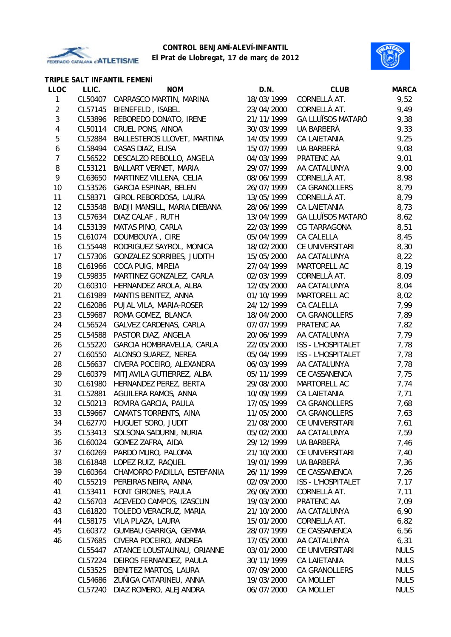

**TRIPLE SALT INFANTIL FEMENÍ**

#### **CONTROL BENJAMÍ-ALEVÍ-INFANTIL El Prat de Llobregat, 17 de març de 2012**



| LLOC           | LLIC.   | <b>NOM</b>                       | D.N.       | <b>CLUB</b>               | <b>MARCA</b> |
|----------------|---------|----------------------------------|------------|---------------------------|--------------|
| $\mathbf{1}$   | CL50407 | CARRASCO MARTIN, MARINA          | 18/03/1999 | CORNELLÀ AT.              | 9,52         |
| $\overline{2}$ | CL57145 | BIENEFELD, ISABEL                | 23/04/2000 | CORNELLÀ AT.              | 9,49         |
| 3              | CL53896 | REBOREDO DONATO, IRENE           | 21/11/1999 | <b>GA LLUÏSOS MATARÓ</b>  | 9,38         |
| 4              | CL50114 | CRUEL PONS, AINOA                | 30/03/1999 | UA BARBERÀ                | 9,33         |
| 5              | CL52884 | BALLESTEROS LLOVET, MARTINA      | 14/05/1999 | <b>CA LAIETANIA</b>       | 9,25         |
| 6              | CL58494 | CASAS DIAZ, ELISA                | 15/07/1999 | UA BARBERÀ                | 9,08         |
| 7              | CL56522 | DESCALZO REBOLLO, ANGELA         | 04/03/1999 | PRATENC AA                | 9,01         |
| 8              | CL53121 | BALLART VERNET, MARIA            | 29/07/1999 | AA CATALUNYA              | 9,00         |
| 9              | CL63650 | MARTINEZ VILLENA, CELIA          | 08/06/1999 | CORNELLÀ AT.              | 8,98         |
| 10             | CL53526 | <b>GARCIA ESPINAR, BELEN</b>     | 26/07/1999 | CA GRANOLLERS             | 8,79         |
| 11             | CL58371 | GIROL REBORDOSA, LAURA           | 13/05/1999 | CORNELLÀ AT.              | 8,79         |
| 12             | CL53548 | BADJI MANSILL, MARIA DIEBANA     | 28/06/1999 | <b>CA LAIETANIA</b>       | 8,73         |
| 13             | CL57634 | DIAZ CALAF, RUTH                 | 13/04/1999 | <b>GA LLUÏSOS MATARÓ</b>  | 8,62         |
| 14             | CL53139 | MATAS PINO, CARLA                | 22/03/1999 | CG TARRAGONA              | 8,51         |
| 15             | CL61074 | DOUMBOUYA, CIRE                  | 05/04/1999 | CA CALELLA                | 8,45         |
| 16             | CL55448 | RODRIGUEZ SAYROL, MONICA         | 18/02/2000 | CE UNIVERSITARI           | 8,30         |
| 17             | CL57306 | <b>GONZALEZ SORRIBES, JUDITH</b> | 15/05/2000 | AA CATALUNYA              | 8,22         |
| 18             | CL61966 | COCA PUIG, MIREIA                | 27/04/1999 | MARTORELL AC              | 8,19         |
| 19             | CL59835 | MARTINEZ GONZALEZ, CARLA         | 02/03/1999 | CORNELLÀ AT.              | 8,09         |
| 20             | CL60310 | HERNANDEZ AROLA, ALBA            | 12/05/2000 | AA CATALUNYA              | 8,04         |
| 21             | CL61989 | MANTIS BENITEZ, ANNA             | 01/10/1999 | MARTORELL AC              | 8,02         |
| 22             | CL62086 | PUJAL VILA, MARIA-ROSER          | 24/12/1999 | CA CALELLA                | 7,99         |
| 23             | CL59687 | ROMA GOMEZ, BLANCA               | 18/04/2000 | <b>CA GRANOLLERS</b>      | 7,89         |
| 24             | CL56524 | GALVEZ CARDENAS, CARLA           | 07/07/1999 | PRATENC AA                | 7,82         |
| 25             | CL54588 | PASTOR DIAZ, ANGELA              | 20/06/1999 | AA CATALUNYA              | 7,79         |
| 26             | CL55220 | GARCIA HOMBRAVELLA, CARLA        | 22/05/2000 | ISS - L'HOSPITALET        | 7,78         |
| 27             | CL60550 | ALONSO SUAREZ, NEREA             | 05/04/1999 | <b>ISS - L'HOSPITALET</b> | 7,78         |
| 28             | CL56637 | CIVERA POCEIRO, ALEXANDRA        | 06/03/1999 | AA CATALUNYA              | 7,78         |
| 29             | CL60379 | MITJAVILA GUTIERREZ, ALBA        | 05/11/1999 | CE CASSANENCA             | 7,75         |
| 30             | CL61980 | HERNANDEZ PEREZ, BERTA           | 29/08/2000 | MARTORELL AC              | 7,74         |
| 31             | CL52881 | AGUILERA RAMOS, ANNA             | 10/09/1999 | <b>CA LAIETANIA</b>       | 7,71         |
| 32             | CL50213 | ROVIRA GARCIA, PAULA             | 17/05/1999 | CA GRANOLLERS             | 7,68         |
| 33             | CL59667 | CAMATS TORRENTS, AINA            | 11/05/2000 | CA GRANOLLERS             | 7,63         |
| 34             |         | CL62770 HUGUET SORO, JUDIT       | 21/08/2000 | CE UNIVERSITARI           | 7,61         |
| 35             |         | CL53413 SOLSONA SADURNI, NURIA   | 05/02/2000 | AA CATALUNYA              | 7,59         |
| 36             | CL60024 | GOMEZ ZAFRA, AIDA                | 29/12/1999 | UA BARBERÀ                | 7,46         |
| 37             | CL60269 | PARDO MURO, PALOMA               | 21/10/2000 | CE UNIVERSITARI           | 7,40         |
| 38             | CL61848 | LOPEZ RUIZ, RAQUEL               | 19/01/1999 | UA BARBERÀ                | 7,36         |
| 39             | CL60364 | CHAMORRO PADILLA, ESTEFANIA      | 26/11/1999 | CE CASSANENCA             | 7,26         |
| 40             | CL55219 | PEREIRAS NEIRA, ANNA             | 02/09/2000 | <b>ISS - L'HOSPITALET</b> | 7,17         |
| 41             | CL53411 | FONT GIRONES, PAULA              | 26/06/2000 | CORNELLÀ AT.              | 7,11         |
| 42             | CL56703 | ACEVEDO CAMPOS, IZASCUN          | 19/03/2000 | PRATENC AA                | 7,09         |
| 43             | CL61820 | TOLEDO VERACRUZ, MARIA           | 21/10/2000 | AA CATALUNYA              | 6,90         |
| 44             | CL58175 | VILA PLAZA, LAURA                | 15/01/2000 | CORNELLÀ AT.              | 6,82         |
| 45             | CL60372 | GUMBAU GARRIGA, GEMMA            | 28/07/1999 | CE CASSANENCA             | 6,56         |
| 46             | CL57685 | CIVERA POCEIRO, ANDREA           | 17/05/2000 | AA CATALUNYA              | 6, 31        |
|                | CL55447 | ATANCE LOUSTAUNAU, ORIANNE       | 03/01/2000 | CE UNIVERSITARI           | <b>NULS</b>  |
|                | CL57224 | DEIROS FERNANDEZ, PAULA          | 30/11/1999 | CA LAIETANIA              | <b>NULS</b>  |
|                | CL53525 | BENITEZ MARTOS, LAURA            | 07/09/2000 | CA GRANOLLERS             | <b>NULS</b>  |
|                | CL54686 | ZUÑIGA CATARINEU, ANNA           | 19/03/2000 | CA MOLLET                 | <b>NULS</b>  |

CL57240 DIAZ ROMERO, ALEJANDRA 06/07/2000 CA MOLLET NULS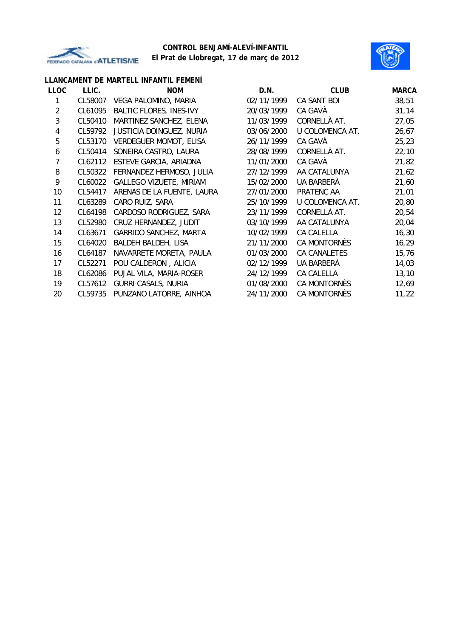



# **LLANÇAMENT DE MARTELL INFANTIL FEMENÍ**

| <b>LLOC</b>    | LLIC.   | <b>NOM</b>                     | D.N.       | <b>CLUB</b>         | <b>MARCA</b> |
|----------------|---------|--------------------------------|------------|---------------------|--------------|
|                | CL58007 | VEGA PALOMINO, MARIA           | 02/11/1999 | CA SANT BOI         | 38,51        |
| $\overline{2}$ | CL61095 | <b>BALTIC FLORES, INES-IVY</b> | 20/03/1999 | CA GAVÀ             | 31,14        |
| 3              | CL50410 | MARTINEZ SANCHEZ, ELENA        | 11/03/1999 | CORNELLÀ AT.        | 27,05        |
| 4              | CL59792 | JUSTICIA DOINGUEZ, NURIA       | 03/06/2000 | U COLOMENCA AT.     | 26,67        |
| 5              | CL53170 | <b>VERDEGUER MOMOT, ELISA</b>  | 26/11/1999 | CA GAVÀ             | 25, 23       |
| 6              | CL50414 | SONEIRA CASTRO, LAURA          | 28/08/1999 | CORNELLÀ AT.        | 22,10        |
| 7              | CL62112 | ESTEVE GARCIA, ARIADNA         | 11/01/2000 | CA GAVÀ             | 21,82        |
| 8              | CL50322 | FERNANDEZ HERMOSO, JULIA       | 27/12/1999 | AA CATALUNYA        | 21,62        |
| 9              | CL60022 | <b>GALLEGO VIZUETE, MIRIAM</b> | 15/02/2000 | UA BARBERÀ          | 21,60        |
| 10             | CL54417 | ARENAS DE LA FUENTE, LAURA     | 27/01/2000 | PRATENC AA          | 21,01        |
| 11             | CL63289 | CARO RUIZ, SARA                | 25/10/1999 | U COLOMENCA AT.     | 20,80        |
| 12             | CL64198 | CARDOSO RODRIGUEZ, SARA        | 23/11/1999 | CORNELLÀ AT.        | 20,54        |
| 13             | CL52980 | CRUZ HERNANDEZ, JUDIT          | 03/10/1999 | AA CATALUNYA        | 20,04        |
| 14             | CL63671 | GARRIDO SANCHEZ, MARTA         | 10/02/1999 | <b>CA CALELLA</b>   | 16, 30       |
| 15             | CL64020 | BALDEH BALDEH, LISA            | 21/11/2000 | CA MONTORNÈS        | 16,29        |
| 16             | CL64187 | NAVARRETE MORETA, PAULA        | 01/03/2000 | <b>CA CANALETES</b> | 15,76        |
| 17             | CL52271 | POU CALDERON, ALICIA           | 02/12/1999 | UA BARBERÀ          | 14,03        |
| 18             | CL62086 | PUJAL VILA, MARIA-ROSER        | 24/12/1999 | CA CALELLA          | 13, 10       |
| 19             | CL57612 | <b>GURRI CASALS, NURIA</b>     | 01/08/2000 | CA MONTORNÈS        | 12,69        |
| 20             | CL59735 | PUNZANO LATORRE, AINHOA        | 24/11/2000 | CA MONTORNÈS        | 11,22        |
|                |         |                                |            |                     |              |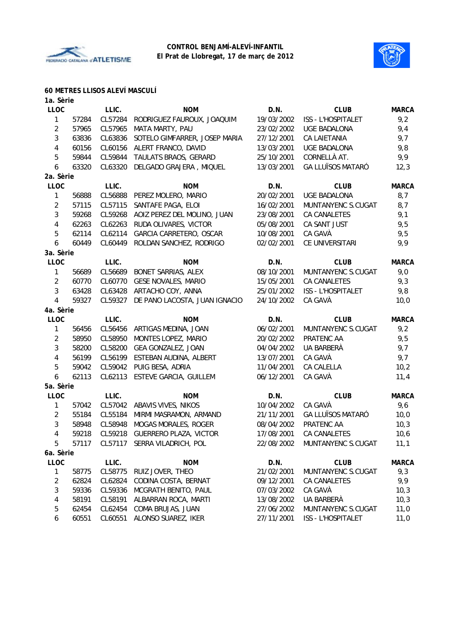



#### **60 METRES LLISOS ALEVÍ MASCULÍ**

| 1a. Sèrie      |       |         |                                |            |                          |              |
|----------------|-------|---------|--------------------------------|------------|--------------------------|--------------|
| <b>LLOC</b>    |       | LLIC.   | <b>NOM</b>                     | D.N.       | <b>CLUB</b>              | <b>MARCA</b> |
| 1              | 57284 | CL57284 | RODRIGUEZ FAUROUX, JOAQUIM     | 19/03/2002 | ISS - L'HOSPITALET       | 9,2          |
| $\overline{c}$ | 57965 | CL57965 | MATA MARTY, PAU                | 23/02/2002 | UGE BADALONA             | 9,4          |
| 3              | 63836 | CL63836 | SOTELO GIMFARRER, JOSEP MARIA  | 27/12/2001 | <b>CA LAIETANIA</b>      | 9,7          |
| 4              | 60156 | CL60156 | ALERT FRANCO, DAVID            | 13/03/2001 | <b>UGE BADALONA</b>      | 9,8          |
| 5              | 59844 | CL59844 | TAULATS BRAOS, GERARD          | 25/10/2001 | CORNELLÀ AT.             | 9,9          |
| 6              | 63320 | CL63320 | DELGADO GRAJERA, MIQUEL        | 13/03/2001 | <b>GA LLUÏSOS MATARÓ</b> | 12,3         |
| 2a. Sèrie      |       |         |                                |            |                          |              |
| <b>LLOC</b>    |       | LLIC.   | <b>NOM</b>                     | D.N.       | <b>CLUB</b>              | <b>MARCA</b> |
| 1              | 56888 | CL56888 | PEREZ MOLERO, MARIO            | 20/02/2001 | UGE BADALONA             | 8,7          |
| $\overline{2}$ | 57115 | CL57115 | SANTAFE PAGA, ELOI             | 16/02/2001 | MUNTANYENC S.CUGAT       | 8,7          |
| 3              | 59268 | CL59268 | AOIZ PEREZ DEL MOLINO, JUAN    | 23/08/2001 | CA CANALETES             | 9,1          |
| 4              | 62263 | CL62263 | RUDA OLIVARES, VICTOR          | 05/08/2001 | CA SANT JUST             | 9,5          |
| 5              | 62114 | CL62114 | GARCIA CARRETERO, OSCAR        | 10/08/2001 | CA GAVÀ                  | 9,5          |
| 6              | 60449 | CL60449 | ROLDAN SANCHEZ, RODRIGO        | 02/02/2001 | CE UNIVERSITARI          | 9,9          |
| 3a. Sèrie      |       |         |                                |            |                          |              |
| <b>LLOC</b>    |       | LLIC.   | <b>NOM</b>                     | D.N.       | <b>CLUB</b>              | <b>MARCA</b> |
| $\mathbf{1}$   | 56689 | CL56689 | BONET SARRIAS, ALEX            | 08/10/2001 | MUNTANYENC S.CUGAT       | 9,0          |
| $\overline{c}$ | 60770 | CL60770 | <b>GESE NOVALES, MARIO</b>     | 15/05/2001 | CA CANALETES             | 9,3          |
| 3              | 63428 | CL63428 | ARTACHO COY, ANNA              | 25/01/2002 | ISS - L'HOSPITALET       | 9,8          |
| 4              | 59327 | CL59327 | DE PANO LACOSTA, JUAN IGNACIO  | 24/10/2002 | CA GAVÀ                  | 10,0         |
| 4a. Sèrie      |       |         |                                |            |                          |              |
| <b>LLOC</b>    |       | LLIC.   | <b>NOM</b>                     | D.N.       | <b>CLUB</b>              | <b>MARCA</b> |
| 1              | 56456 | CL56456 | ARTIGAS MEDINA, JOAN           | 06/02/2001 | MUNTANYENC S.CUGAT       | 9,2          |
| $\overline{c}$ | 58950 | CL58950 | MONTES LOPEZ, MARIO            | 20/02/2002 | PRATENC AA               | 9,5          |
| 3              | 58200 | CL58200 | GEA GONZALEZ, JOAN             | 04/04/2002 | UA BARBERÀ               | 9,7          |
| 4              | 56199 | CL56199 | ESTEBAN AUDINA, ALBERT         | 13/07/2001 | CA GAVÀ                  | 9,7          |
| 5              | 59042 | CL59042 | PUIG BESA, ADRIA               | 11/04/2001 | CA CALELLA               | 10,2         |
| 6              | 62113 | CL62113 | ESTEVE GARCIA, GUILLEM         | 06/12/2001 | CA GAVÀ                  | 11,4         |
| 5a. Sèrie      |       |         |                                |            |                          |              |
| <b>LLOC</b>    |       | LLIC.   | <b>NOM</b>                     | D.N.       | <b>CLUB</b>              | <b>MARCA</b> |
| $\mathbf{1}$   | 57042 | CL57042 | ABAVIS VIVES, NIKOS            | 10/04/2002 | CA GAVÀ                  | 9,6          |
| $\overline{2}$ | 55184 | CL55184 | MIRMI MASRAMON, ARMAND         | 21/11/2001 | <b>GA LLUÏSOS MATARÓ</b> | 10,0         |
| 3              | 58948 | CL58948 | MOGAS MORALES, ROGER           | 08/04/2002 | PRATENC AA               | 10,3         |
| 4              | 59218 |         | CL59218 GUERRERO PLAZA, VICTOR | 17/08/2001 | CA CANALETES             | 10,6         |
| 5              | 57117 |         | CL57117 SERRA VILADRICH, POL   | 22/08/2002 | MUNTANYENC S.CUGAT       | 11,1         |
| 6a. Sèrie      |       |         |                                |            |                          |              |
| <b>LLOC</b>    |       | LLIC.   | <b>NOM</b>                     | D.N.       | <b>CLUB</b>              | <b>MARCA</b> |
| 1              | 58775 | CL58775 | RUIZ JOVER, THEO               | 21/02/2001 | MUNTANYENC S.CUGAT       | 9,3          |
| 2              | 62824 | CL62824 | CODINA COSTA, BERNAT           | 09/12/2001 | CA CANALETES             | 9,9          |
| 3              | 59336 | CL59336 | MCGRATH BENITO, PAUL           | 07/03/2002 | CA GAVÀ                  | 10,3         |
| 4              | 58191 | CL58191 | ALBARRAN ROCA, MARTI           | 13/08/2002 | UA BARBERÀ               | 10,3         |
| 5              | 62454 | CL62454 | COMA BRUJAS, JUAN              | 27/06/2002 | MUNTANYENC S.CUGAT       | 11,0         |
| 6              | 60551 | CL60551 | ALONSO SUAREZ, IKER            | 27/11/2001 | ISS - L'HOSPITALET       | 11,0         |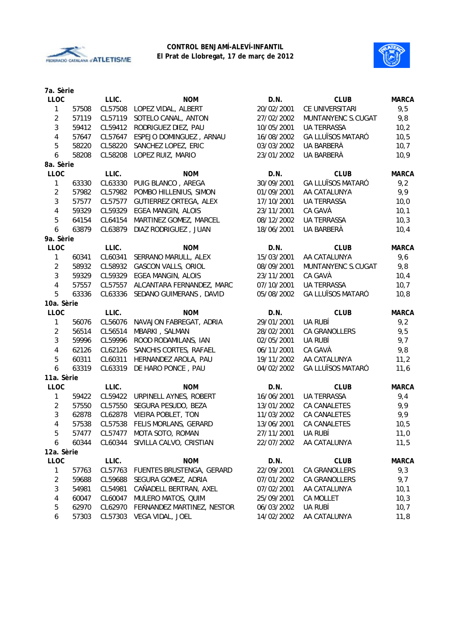



| 7a. Sèrie      |       |         |                                 |            |                          |              |
|----------------|-------|---------|---------------------------------|------------|--------------------------|--------------|
| <b>LLOC</b>    |       | LLIC.   | <b>NOM</b>                      | D.N.       | <b>CLUB</b>              | <b>MARCA</b> |
| 1              | 57508 | CL57508 | LOPEZ VIDAL, ALBERT             | 20/02/2001 | CE UNIVERSITARI          | 9,5          |
| 2              | 57119 | CL57119 | SOTELO CANAL, ANTON             | 27/02/2002 | MUNTANYENC S.CUGAT       | 9,8          |
| 3              | 59412 | CL59412 | RODRIGUEZ DIEZ, PAU             | 10/05/2001 | <b>UA TERRASSA</b>       | 10,2         |
| 4              | 57647 | CL57647 | ESPEJO DOMINGUEZ, ARNAU         | 16/08/2002 | <b>GA LLUÏSOS MATARÓ</b> | 10,5         |
| 5              | 58220 | CL58220 | SANCHEZ LOPEZ, ERIC             | 03/03/2002 | UA BARBERÀ               | 10,7         |
| 6              | 58208 | CL58208 | LOPEZ RUIZ, MARIO               | 23/01/2002 | UA BARBERÀ               | 10,9         |
| 8a. Sèrie      |       |         |                                 |            |                          |              |
| <b>LLOC</b>    |       | LLIC.   | <b>NOM</b>                      | D.N.       | <b>CLUB</b>              | <b>MARCA</b> |
| 1              | 63330 | CL63330 | PUIG BLANCO, AREGA              | 30/09/2001 | <b>GA LLUÏSOS MATARÓ</b> | 9,2          |
| $\overline{2}$ | 57982 | CL57982 | POMBO HILLENIUS, SIMON          | 01/09/2001 | AA CATALUNYA             | 9,9          |
| 3              | 57577 | CL57577 | GUTIERREZ ORTEGA, ALEX          | 17/10/2001 | <b>UA TERRASSA</b>       | 10,0         |
| 4              | 59329 | CL59329 | EGEA MANGIN, ALOIS              | 23/11/2001 | CA GAVÀ                  | 10,1         |
| 5              | 64154 | CL64154 | MARTINEZ GOMEZ, MARCEL          | 08/12/2002 | <b>UA TERRASSA</b>       | 10,3         |
| 6              | 63879 | CL63879 | DIAZ RODRIGUEZ, JUAN            | 18/06/2001 | UA BARBERÀ               | 10,4         |
| 9a. Sèrie      |       |         |                                 |            |                          |              |
| <b>LLOC</b>    |       | LLIC.   | <b>NOM</b>                      | D.N.       | <b>CLUB</b>              | <b>MARCA</b> |
| 1              | 60341 | CL60341 | SERRANO MARULL, ALEX            | 15/03/2001 | AA CATALUNYA             | 9,6          |
| $\overline{2}$ | 58932 | CL58932 | <b>GASCON VALLS, ORIOL</b>      | 08/09/2001 | MUNTANYENC S.CUGAT       | 9,8          |
| $\mathbf{3}$   | 59329 | CL59329 | <b>EGEA MANGIN, ALOIS</b>       | 23/11/2001 | CA GAVÀ                  | 10,4         |
| 4              | 57557 | CL57557 | ALCANTARA FERNANDEZ, MARC       | 07/10/2001 | <b>UA TERRASSA</b>       | 10,7         |
| 5              | 63336 | CL63336 | SEDANO GUIMERANS, DAVID         | 05/08/2002 | GA LLUÏSOS MATARÓ        | 10,8         |
| 10a. Sèrie     |       |         |                                 |            |                          |              |
| <b>LLOC</b>    |       | LLIC.   | <b>NOM</b>                      | D.N.       | <b>CLUB</b>              | <b>MARCA</b> |
| 1              | 56076 | CL56076 | NAVAJON FABREGAT, ADRIA         | 29/01/2001 | UA RUBÍ                  | 9,2          |
| $\overline{2}$ | 56514 | CL56514 | MBARKI, SALMAN                  | 28/02/2001 | CA GRANOLLERS            | 9,5          |
| 3              | 59996 | CL59996 | ROOD RODAMILANS, IAN            | 02/05/2001 | UA RUBÍ                  | 9,7          |
| 4              | 62126 | CL62126 | SANCHIS CORTES, RAFAEL          | 06/11/2001 | CA GAVÀ                  | 9,8          |
| 5              | 60311 | CL60311 | HERNANDEZ AROLA, PAU            | 19/11/2002 | AA CATALUNYA             | 11,2         |
| 6              | 63319 | CL63319 | DE HARO PONCE, PAU              | 04/02/2002 | <b>GA LLUÏSOS MATARÓ</b> | 11,6         |
| 11a. Sèrie     |       |         |                                 |            |                          |              |
| <b>LLOC</b>    |       | LLIC.   | <b>NOM</b>                      | D.N.       | <b>CLUB</b>              | <b>MARCA</b> |
| 1              | 59422 | CL59422 | URPINELL AYNES, ROBERT          | 16/06/2001 | <b>UA TERRASSA</b>       | 9,4          |
| $\overline{2}$ | 57550 | CL57550 | SEGURA PESUDO, BEZA             | 13/01/2002 | CA CANALETES             | 9,9          |
| 3              | 62878 | CL62878 | VIEIRA POBLET, TON              | 11/03/2002 | <b>CA CANALETES</b>      | 9,9          |
| 4              | 57538 |         | CL57538 FELIS MORLANS, GERARD   | 13/06/2001 | CA CANALETES             | 10,5         |
| 5              | 57477 |         | CL57477 MOTA SOTO, ROMAN        | 27/11/2001 | ua rubí                  | 11,0         |
| 6              | 60344 |         | CL60344 SIVILLA CALVO, CRISTIAN | 22/07/2002 | AA CATALUNYA             | 11,5         |
| 12a. Sèrie     |       |         |                                 |            |                          |              |
| LLOC           |       | LLIC.   | <b>NOM</b>                      | D.N.       | <b>CLUB</b>              | <b>MARCA</b> |
| 1              | 57763 | CL57763 | FUENTES BRUSTENGA, GERARD       | 22/09/2001 | CA GRANOLLERS            | 9,3          |
| 2              | 59688 | CL59688 | SEGURA GOMEZ, ADRIA             | 07/01/2002 | CA GRANOLLERS            | 9,7          |
| 3              | 54981 | CL54981 | CAÑADELL BERTRAN, AXEL          | 07/02/2001 | AA CATALUNYA             | 10,1         |
| 4              | 60047 | CL60047 | MULERO MATOS, QUIM              | 25/09/2001 | CA MOLLET                | 10,3         |
| 5              | 62970 | CL62970 | FERNANDEZ MARTINEZ, NESTOR      | 06/03/2002 | UA RUBÍ                  | 10,7         |
| 6              | 57303 |         | CL57303 VEGA VIDAL, JOEL        | 14/02/2002 | AA CATALUNYA             | 11,8         |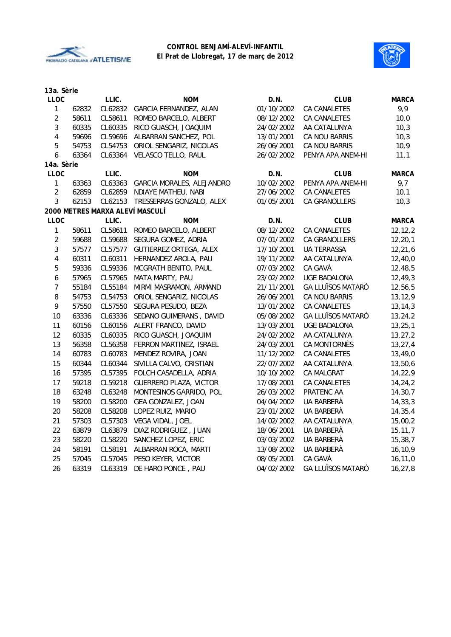



| 13a. Sèrie       |       |         |                                 |            |                          |              |
|------------------|-------|---------|---------------------------------|------------|--------------------------|--------------|
| <b>LLOC</b>      |       | LLIC.   | <b>NOM</b>                      | D.N.       | <b>CLUB</b>              | MARCA        |
| $\mathbf{1}$     | 62832 | CL62832 | GARCIA FERNANDEZ, ALAN          | 01/10/2002 | CA CANALETES             | 9,9          |
| $\sqrt{2}$       | 58611 | CL58611 | ROMEO BARCELO, ALBERT           | 08/12/2002 | <b>CA CANALETES</b>      | 10,0         |
| $\mathbf{3}$     | 60335 | CL60335 | RICO GUASCH, JOAQUIM            | 24/02/2002 | AA CATALUNYA             | 10,3         |
| $\overline{4}$   | 59696 | CL59696 | ALBARRAN SANCHEZ, POL           | 13/01/2001 | CA NOU BARRIS            | 10,3         |
| 5                | 54753 | CL54753 | ORIOL SENGARIZ, NICOLAS         | 26/06/2001 | CA NOU BARRIS            | 10,9         |
| 6                | 63364 | CL63364 | VELASCO TELLO, RAUL             | 26/02/2002 | PENYA APA ANEM-HI        | 11,1         |
| 14a. Sèrie       |       |         |                                 |            |                          |              |
| <b>LLOC</b>      |       | LLIC.   | <b>NOM</b>                      | D.N.       | <b>CLUB</b>              | <b>MARCA</b> |
| $\mathbf{1}$     | 63363 | CL63363 | GARCIA MORALES, ALEJANDRO       | 10/02/2002 | PENYA APA ANEM-HI        | 9,7          |
| $\sqrt{2}$       | 62859 | CL62859 | NDIAYE MATHEU, NABI             | 27/06/2002 | <b>CA CANALETES</b>      | 10,1         |
| 3                | 62153 | CL62153 | TRESSERRAS GONZALO, ALEX        | 01/05/2001 | CA GRANOLLERS            | 10,3         |
|                  |       |         | 2000 METRES MARXA ALEVÍ MASCULÍ |            |                          |              |
| <b>LLOC</b>      |       | LLIC.   | <b>NOM</b>                      | D.N.       | <b>CLUB</b>              | <b>MARCA</b> |
| $\mathbf{1}$     | 58611 | CL58611 | ROMEO BARCELO, ALBERT           | 08/12/2002 | <b>CA CANALETES</b>      | 12, 12, 2    |
| $\sqrt{2}$       | 59688 | CL59688 | SEGURA GOMEZ, ADRIA             | 07/01/2002 | CA GRANOLLERS            | 12, 20, 1    |
| $\sqrt{3}$       | 57577 | CL57577 | GUTIERREZ ORTEGA, ALEX          | 17/10/2001 | <b>UA TERRASSA</b>       | 12, 21, 6    |
| $\sqrt{4}$       | 60311 | CL60311 | HERNANDEZ AROLA, PAU            | 19/11/2002 | AA CATALUNYA             | 12,40,0      |
| $\mathbf 5$      | 59336 | CL59336 | MCGRATH BENITO, PAUL            | 07/03/2002 | CA GAVÀ                  | 12,48,5      |
| $\boldsymbol{6}$ | 57965 | CL57965 | MATA MARTY, PAU                 | 23/02/2002 | <b>UGE BADALONA</b>      | 12, 49, 3    |
| $\boldsymbol{7}$ | 55184 | CL55184 | MIRMI MASRAMON, ARMAND          | 21/11/2001 | <b>GA LLUÏSOS MATARÓ</b> | 12,56,5      |
| 8                | 54753 | CL54753 | ORIOL SENGARIZ, NICOLAS         | 26/06/2001 | CA NOU BARRIS            | 13,12,9      |
| 9                | 57550 | CL57550 | SEGURA PESUDO, BEZA             | 13/01/2002 | <b>CA CANALETES</b>      | 13, 14, 3    |
| 10               | 63336 | CL63336 | SEDANO GUIMERANS, DAVID         | 05/08/2002 | <b>GA LLUÏSOS MATARÓ</b> | 13,24,2      |
| 11               | 60156 | CL60156 | ALERT FRANCO, DAVID             | 13/03/2001 | <b>UGE BADALONA</b>      | 13, 25, 1    |
| 12               | 60335 | CL60335 | RICO GUASCH, JOAQUIM            | 24/02/2002 | AA CATALUNYA             | 13,27,2      |
| 13               | 56358 | CL56358 | FERRON MARTINEZ, ISRAEL         | 24/03/2001 | CA MONTORNÈS             | 13, 27, 4    |
| 14               | 60783 | CL60783 | MENDEZ ROVIRA, JOAN             | 11/12/2002 | CA CANALETES             | 13,49,0      |
| 15               | 60344 | CL60344 | SIVILLA CALVO, CRISTIAN         | 22/07/2002 | AA CATALUNYA             | 13,50,6      |
| 16               | 57395 | CL57395 | FOLCH CASADELLA, ADRIA          | 10/10/2002 | CA MALGRAT               | 14, 22, 9    |
| 17               | 59218 | CL59218 | <b>GUERRERO PLAZA, VICTOR</b>   | 17/08/2001 | CA CANALETES             | 14,24,2      |
| 18               | 63248 | CL63248 | MONTESINOS GARRIDO, POL         | 26/03/2002 | PRATENC AA               | 14,30,7      |
| 19               | 58200 | CL58200 | GEA GONZALEZ, JOAN              | 04/04/2002 | UA BARBERÀ               | 14, 33, 3    |
| 20               | 58208 | CL58208 | LOPEZ RUIZ, MARIO               | 23/01/2002 | UA BARBERÀ               | 14,35,4      |
| 21               | 57303 | CL57303 | VEGA VIDAL, JOEL                | 14/02/2002 | AA CATALUNYA             | 15,00,2      |
| 22               | 63879 | CL63879 | DIAZ RODRIGUEZ, JUAN            | 18/06/2001 | UA BARBERÀ               | 15, 11, 7    |
| 23               | 58220 | CL58220 | SANCHEZ LOPEZ, ERIC             | 03/03/2002 | UA BARBERA               | 15, 38, 7    |
| 24               | 58191 | CL58191 | ALBARRAN ROCA, MARTI            | 13/08/2002 | UA BARBERÀ               | 16, 10, 9    |
| 25               | 57045 | CL57045 | PESO KEYER, VICTOR              | 08/05/2001 | CA GAVÀ                  | 16,11,0      |
| 26               | 63319 | CL63319 | DE HARO PONCE, PAU              | 04/02/2002 | <b>GA LLUÏSOS MATARÓ</b> | 16, 27, 8    |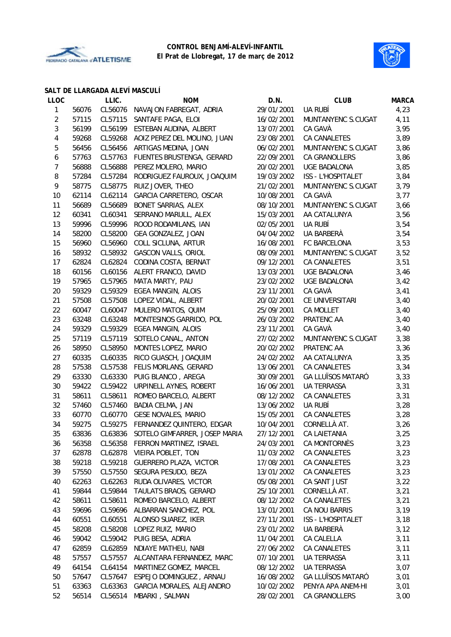



#### **SALT DE LLARGADA ALEVÍ MASCULÍ**

| <b>LLOC</b>    |       | LLIC.   | <b>NOM</b>                            | D.N.       | <b>CLUB</b>              | <b>MARCA</b> |
|----------------|-------|---------|---------------------------------------|------------|--------------------------|--------------|
| 1              | 56076 | CL56076 | NAVAJON FABREGAT, ADRIA               | 29/01/2001 | UA RUBÍ                  | 4,23         |
| $\overline{c}$ | 57115 | CL57115 | SANTAFE PAGA, ELOI                    | 16/02/2001 | MUNTANYENC S.CUGAT       | 4,11         |
| 3              | 56199 | CL56199 | ESTEBAN AUDINA, ALBERT                | 13/07/2001 | CA GAVÀ                  | 3,95         |
| 4              | 59268 | CL59268 | AOIZ PEREZ DEL MOLINO, JUAN           | 23/08/2001 | CA CANALETES             | 3,89         |
| 5              | 56456 | CL56456 | ARTIGAS MEDINA, JOAN                  | 06/02/2001 | MUNTANYENC S.CUGAT       | 3,86         |
| 6              | 57763 | CL57763 | FUENTES BRUSTENGA, GERARD             | 22/09/2001 | CA GRANOLLERS            | 3,86         |
| $\overline{7}$ | 56888 | CL56888 | PEREZ MOLERO, MARIO                   | 20/02/2001 | <b>UGE BADALONA</b>      | 3,85         |
| 8              | 57284 | CL57284 | RODRIGUEZ FAUROUX, JOAQUIM            | 19/03/2002 | ISS - L'HOSPITALET       | 3,84         |
| 9              | 58775 | CL58775 | RUIZ JOVER, THEO                      | 21/02/2001 | MUNTANYENC S.CUGAT       | 3,79         |
| 10             | 62114 | CL62114 | GARCIA CARRETERO, OSCAR               | 10/08/2001 | CA GAVÀ                  | 3,77         |
| 11             | 56689 | CL56689 | BONET SARRIAS, ALEX                   | 08/10/2001 | MUNTANYENC S.CUGAT       | 3,66         |
| 12             | 60341 | CL60341 | SERRANO MARULL, ALEX                  | 15/03/2001 | AA CATALUNYA             | 3,56         |
| 13             | 59996 | CL59996 | ROOD RODAMILANS, IAN                  | 02/05/2001 | UA RUBÍ                  | 3,54         |
| 14             | 58200 | CL58200 | GEA GONZALEZ, JOAN                    | 04/04/2002 | UA BARBERÀ               | 3,54         |
| 15             | 56960 | CL56960 | COLL SICLUNA, ARTUR                   | 16/08/2001 | FC BARCELONA             | 3,53         |
| 16             | 58932 | CL58932 | <b>GASCON VALLS, ORIOL</b>            | 08/09/2001 | MUNTANYENC S.CUGAT       | 3,52         |
| 17             | 62824 | CL62824 | CODINA COSTA, BERNAT                  | 09/12/2001 | CA CANALETES             | 3,51         |
| 18             | 60156 | CL60156 | ALERT FRANCO, DAVID                   | 13/03/2001 | <b>UGE BADALONA</b>      | 3,46         |
| 19             | 57965 | CL57965 | MATA MARTY, PAU                       | 23/02/2002 | <b>UGE BADALONA</b>      | 3,42         |
| 20             | 59329 | CL59329 | EGEA MANGIN, ALOIS                    | 23/11/2001 | CA GAVÀ                  | 3,41         |
| 21             | 57508 | CL57508 | LOPEZ VIDAL, ALBERT                   | 20/02/2001 | CE UNIVERSITARI          | 3,40         |
| 22             | 60047 | CL60047 | MULERO MATOS, QUIM                    | 25/09/2001 | CA MOLLET                | 3,40         |
| 23             | 63248 | CL63248 | MONTESINOS GARRIDO, POL               | 26/03/2002 | PRATENC AA               | 3,40         |
| 24             | 59329 | CL59329 | EGEA MANGIN, ALOIS                    | 23/11/2001 | CA GAVÀ                  | 3,40         |
| 25             | 57119 | CL57119 | SOTELO CANAL, ANTON                   | 27/02/2002 | MUNTANYENC S.CUGAT       | 3,38         |
| 26             | 58950 | CL58950 | MONTES LOPEZ, MARIO                   | 20/02/2002 | PRATENC AA               | 3,36         |
| 27             | 60335 | CL60335 | RICO GUASCH, JOAQUIM                  | 24/02/2002 | AA CATALUNYA             | 3,35         |
| 28             | 57538 | CL57538 | FELIS MORLANS, GERARD                 | 13/06/2001 | CA CANALETES             | 3,34         |
| 29             | 63330 | CL63330 | PUIG BLANCO, AREGA                    | 30/09/2001 | <b>GA LLUÏSOS MATARÓ</b> | 3,33         |
| 30             | 59422 | CL59422 | URPINELL AYNES, ROBERT                | 16/06/2001 | UA TERRASSA              | 3,31         |
| 31             | 58611 | CL58611 | ROMEO BARCELO, ALBERT                 | 08/12/2002 | CA CANALETES             | 3,31         |
| 32             | 57460 | CL57460 | <b>BADIA CELMA, JAN</b>               | 13/06/2002 | <b>UA RUBÍ</b>           | 3,28         |
| 33             | 60770 | CL60770 | <b>GESE NOVALES, MARIO</b>            | 15/05/2001 | CA CANALETES             | 3,28         |
| 34             | 59275 | CL59275 | FERNANDEZ QUINTERO, EDGAR             | 10/04/2001 | CORNELLÀ AT.             | 3,26         |
| 35             | 63836 |         | CL63836 SOTELO GIMFARRER, JOSEP MARIA | 27/12/2001 | CA LAIETANIA             | 3,25         |
| 36             | 56358 | CL56358 | FERRON MARTINEZ, ISRAEL               | 24/03/2001 | CA MONTORNÈS             | 3,23         |
| 37             | 62878 | CL62878 | VIEIRA POBLET, TON                    | 11/03/2002 | CA CANALETES             | 3,23         |
| 38             | 59218 | CL59218 | <b>GUERRERO PLAZA, VICTOR</b>         | 17/08/2001 | CA CANALETES             | 3,23         |
| 39             | 57550 | CL57550 | SEGURA PESUDO, BEZA                   | 13/01/2002 | CA CANALETES             | 3,23         |
| 40             | 62263 | CL62263 | RUDA OLIVARES, VICTOR                 | 05/08/2001 | CA SANT JUST             | 3,22         |
| 41             | 59844 | CL59844 | TAULATS BRAOS, GERARD                 | 25/10/2001 | CORNELLÀ AT.             | 3,21         |
| 42             | 58611 | CL58611 | ROMEO BARCELO, ALBERT                 | 08/12/2002 | CA CANALETES             | 3,21         |
| 43             | 59696 | CL59696 | ALBARRAN SANCHEZ, POL                 | 13/01/2001 | CA NOU BARRIS            | 3,19         |
| 44             | 60551 | CL60551 | ALONSO SUAREZ, IKER                   | 27/11/2001 | ISS - L'HOSPITALET       | 3,18         |
| 45             | 58208 | CL58208 | LOPEZ RUIZ, MARIO                     | 23/01/2002 | UA BARBERÀ               | 3,12         |
| 46             | 59042 | CL59042 | PUIG BESA, ADRIA                      | 11/04/2001 | CA CALELLA               | 3,11         |
| 47             | 62859 | CL62859 | NDIAYE MATHEU, NABI                   | 27/06/2002 | CA CANALETES             | 3,11         |
| 48             | 57557 | CL57557 | ALCANTARA FERNANDEZ, MARC             | 07/10/2001 | UA TERRASSA              | 3,11         |
| 49             | 64154 | CL64154 | MARTINEZ GOMEZ, MARCEL                | 08/12/2002 | <b>UA TERRASSA</b>       | 3,07         |
| 50             | 57647 | CL57647 | ESPEJO DOMINGUEZ, ARNAU               | 16/08/2002 | <b>GA LLUÏSOS MATARÓ</b> | 3,01         |
| 51             | 63363 | CL63363 | GARCIA MORALES, ALEJANDRO             | 10/02/2002 | PENYA APA ANEM-HI        | 3,01         |
| 52             | 56514 | CL56514 | MBARKI, SALMAN                        | 28/02/2001 | CA GRANOLLERS            | 3,00         |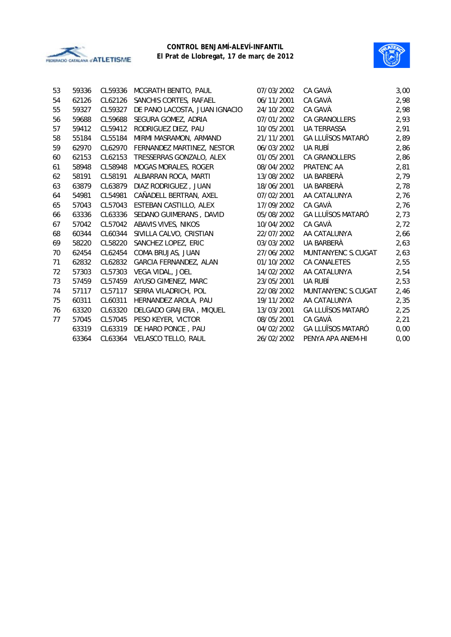



| 53 | 59336 | CL59336 | MCGRATH BENITO, PAUL          | 07/03/2002 | CA GAVÀ                  | 3,00 |
|----|-------|---------|-------------------------------|------------|--------------------------|------|
| 54 | 62126 | CL62126 | SANCHIS CORTES, RAFAEL        | 06/11/2001 | CA GAVÀ                  | 2,98 |
| 55 | 59327 | CL59327 | DE PANO LACOSTA, JUAN IGNACIO | 24/10/2002 | CA GAVÀ                  | 2,98 |
| 56 | 59688 | CL59688 | SEGURA GOMEZ, ADRIA           | 07/01/2002 | <b>CA GRANOLLERS</b>     | 2,93 |
| 57 | 59412 | CL59412 | RODRIGUEZ DIEZ, PAU           | 10/05/2001 | <b>UA TERRASSA</b>       | 2,91 |
| 58 | 55184 | CL55184 | MIRMI MASRAMON, ARMAND        | 21/11/2001 | <b>GA LLUÏSOS MATARÓ</b> | 2,89 |
| 59 | 62970 | CL62970 | FERNANDEZ MARTINEZ, NESTOR    | 06/03/2002 | UA RUBÍ                  | 2,86 |
| 60 | 62153 | CL62153 | TRESSERRAS GONZALO, ALEX      | 01/05/2001 | <b>CA GRANOLLERS</b>     | 2,86 |
| 61 | 58948 | CL58948 | <b>MOGAS MORALES, ROGER</b>   | 08/04/2002 | PRATENC AA               | 2,81 |
| 62 | 58191 | CL58191 | ALBARRAN ROCA, MARTI          | 13/08/2002 | UA BARBERÀ               | 2,79 |
| 63 | 63879 | CL63879 | DIAZ RODRIGUEZ, JUAN          | 18/06/2001 | UA BARBERÀ               | 2,78 |
| 64 | 54981 | CL54981 | CAÑADELL BERTRAN, AXEL        | 07/02/2001 | AA CATALUNYA             | 2,76 |
| 65 | 57043 | CL57043 | ESTEBAN CASTILLO, ALEX        | 17/09/2002 | CA GAVÀ                  | 2,76 |
| 66 | 63336 | CL63336 | SEDANO GUIMERANS, DAVID       | 05/08/2002 | <b>GA LLUÏSOS MATARÓ</b> | 2,73 |
| 67 | 57042 | CL57042 | ABAVIS VIVES, NIKOS           | 10/04/2002 | CA GAVÀ                  | 2,72 |
| 68 | 60344 | CL60344 | SIVILLA CALVO, CRISTIAN       | 22/07/2002 | AA CATALUNYA             | 2,66 |
| 69 | 58220 | CL58220 | SANCHEZ LOPEZ, ERIC           | 03/03/2002 | UA BARBERÀ               | 2,63 |
| 70 | 62454 | CL62454 | COMA BRUJAS, JUAN             | 27/06/2002 | MUNTANYENC S.CUGAT       | 2,63 |
| 71 | 62832 | CL62832 | GARCIA FERNANDEZ, ALAN        | 01/10/2002 | <b>CA CANALETES</b>      | 2,55 |
| 72 | 57303 | CL57303 | VEGA VIDAL, JOEL              | 14/02/2002 | AA CATALUNYA             | 2,54 |
| 73 | 57459 | CL57459 | AYUSO GIMENEZ, MARC           | 23/05/2001 | UA RUBÍ                  | 2,53 |
| 74 | 57117 | CL57117 | SERRA VILADRICH, POL          | 22/08/2002 | MUNTANYENC S.CUGAT       | 2,46 |
| 75 | 60311 | CL60311 | HERNANDEZ AROLA, PAU          | 19/11/2002 | AA CATALUNYA             | 2,35 |
| 76 | 63320 | CL63320 | DELGADO GRAJERA, MIQUEL       | 13/03/2001 | <b>GA LLUÏSOS MATARÓ</b> | 2,25 |
| 77 | 57045 | CL57045 | PESO KEYER, VICTOR            | 08/05/2001 | CA GAVÀ                  | 2,21 |
|    | 63319 | CL63319 | DE HARO PONCE, PAU            | 04/02/2002 | <b>GA LLUÏSOS MATARÓ</b> | 0,00 |
|    | 63364 | CL63364 | <b>VELASCO TELLO, RAUL</b>    | 26/02/2002 | PENYA APA ANEM-HI        | 0,00 |
|    |       |         |                               |            |                          |      |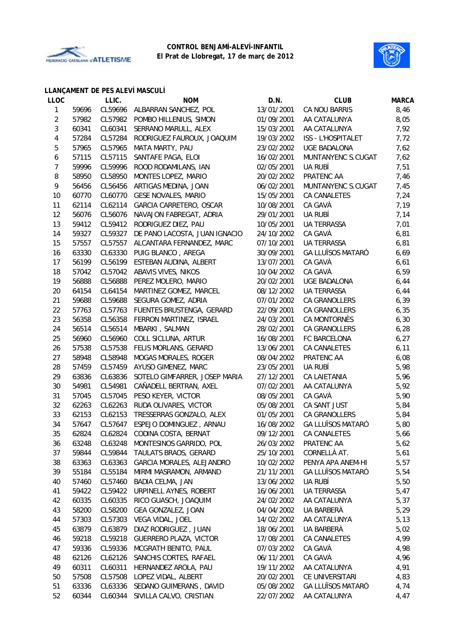



#### **LLANÇAMENT DE PES ALEVÍ MASCULÍ**

| <b>LLOC</b>    |                | LLIC.              | <b>NOM</b>                                            | D.N.                     | <b>CLUB</b>              | <b>MARCA</b> |
|----------------|----------------|--------------------|-------------------------------------------------------|--------------------------|--------------------------|--------------|
| $\mathbf{1}$   | 59696          | CL59696            | ALBARRAN SANCHEZ, POL                                 | 13/01/2001               | CA NOU BARRIS            | 8,46         |
| $\overline{c}$ | 57982          | CL57982            | POMBO HILLENIUS, SIMON                                | 01/09/2001               | AA CATALUNYA             | 8,05         |
| 3              | 60341          | CL60341            | SERRANO MARULL, ALEX                                  | 15/03/2001               | AA CATALUNYA             | 7,92         |
| 4              | 57284          | CL57284            | RODRIGUEZ FAUROUX, JOAQUIM                            | 19/03/2002               | ISS - L'HOSPITALET       | 7,72         |
| 5              | 57965          | CL57965            | MATA MARTY, PAU                                       | 23/02/2002               | <b>UGE BADALONA</b>      | 7,62         |
| 6              | 57115          | CL57115            | SANTAFE PAGA, ELOI                                    | 16/02/2001               | MUNTANYENC S.CUGAT       | 7,62         |
| $\overline{7}$ | 59996          | CL59996            | ROOD RODAMILANS, IAN                                  | 02/05/2001               | UA RUBÍ                  | 7,51         |
| 8              | 58950          | CL58950            | MONTES LOPEZ, MARIO                                   | 20/02/2002               | PRATENC AA               | 7,46         |
| 9              | 56456          | CL56456            | ARTIGAS MEDINA, JOAN                                  | 06/02/2001               | MUNTANYENC S.CUGAT       | 7,45         |
| 10             | 60770          | CL60770            | <b>GESE NOVALES, MARIO</b>                            | 15/05/2001               | CA CANALETES             | 7,24         |
| 11             | 62114          | CL62114            | GARCIA CARRETERO, OSCAR                               | 10/08/2001               | CA GAVÀ                  | 7,19         |
| 12             | 56076          | CL56076            | NAVAJON FABREGAT, ADRIA                               | 29/01/2001               | UA RUBÍ                  | 7,14         |
| 13             | 59412          | CL59412            | RODRIGUEZ DIEZ, PAU                                   | 10/05/2001               | <b>UA TERRASSA</b>       | 7,01         |
| 14             | 59327          | CL59327            | DE PANO LACOSTA, JUAN IGNACIO                         | 24/10/2002               | CA GAVÀ                  | 6,81         |
| 15             | 57557          | CL57557            | ALCANTARA FERNANDEZ, MARC                             | 07/10/2001               | <b>UA TERRASSA</b>       | 6,81         |
| 16             | 63330          | CL63330            | PUIG BLANCO, AREGA                                    | 30/09/2001               | <b>GA LLUÏSOS MATARÓ</b> | 6,69         |
| 17             | 56199          | CL56199            | ESTEBAN AUDINA, ALBERT                                | 13/07/2001               | CA GAVÀ                  | 6,61         |
| 18             | 57042          | CL57042            | ABAVIS VIVES, NIKOS                                   | 10/04/2002               | CA GAVÀ                  | 6,59         |
| 19             | 56888          | CL56888            | PEREZ MOLERO, MARIO                                   | 20/02/2001               | UGE BADALONA             | 6,44         |
| 20             | 64154          | CL64154            | MARTINEZ GOMEZ, MARCEL                                | 08/12/2002               | <b>UA TERRASSA</b>       | 6,44         |
| 21             | 59688          | CL59688            | SEGURA GOMEZ, ADRIA                                   | 07/01/2002               | CA GRANOLLERS            | 6,39         |
| 22             | 57763          | CL57763            | FUENTES BRUSTENGA, GERARD                             | 22/09/2001               | CA GRANOLLERS            | 6,35         |
| 23             | 56358          | CL56358            | FERRON MARTINEZ, ISRAEL                               | 24/03/2001               | CA MONTORNÈS             | 6, 30        |
| 24             | 56514          | CL56514            | MBARKI, SALMAN                                        | 28/02/2001               | CA GRANOLLERS            | 6,28         |
| 25             | 56960          | CL56960            | COLL SICLUNA, ARTUR                                   | 16/08/2001               | FC BARCELONA             | 6, 27        |
| 26             | 57538          | CL57538            | FELIS MORLANS, GERARD                                 | 13/06/2001               | CA CANALETES             | 6,11         |
| 27             | 58948          | CL58948            | MOGAS MORALES, ROGER                                  | 08/04/2002               | PRATENC AA               | 6,08         |
| 28             | 57459          | CL57459            | AYUSO GIMENEZ, MARC                                   | 23/05/2001               | UA RUBÍ                  | 5,98         |
| 29             | 63836          | CL63836            | SOTELO GIMFARRER, JOSEP MARIA                         | 27/12/2001               | CA LAIETANIA             | 5,96         |
| 30             | 54981          | CL54981            | CAÑADELL BERTRAN, AXEL                                | 07/02/2001               | AA CATALUNYA             | 5,92         |
| 31             | 57045          | CL57045            | PESO KEYER, VICTOR                                    | 08/05/2001               | CA GAVÀ                  | 5,90         |
| 32             | 62263          | CL62263            | RUDA OLIVARES, VICTOR                                 | 05/08/2001               | CA SANT JUST             | 5,84         |
| 33             | 62153          | CL62153            | TRESSERRAS GONZALO, ALEX                              | 01/05/2001               | CA GRANOLLERS            | 5,84         |
| 34             | 57647          | CL57647            | ESPEJO DOMINGUEZ, ARNAU                               | 16/08/2002               | <b>GA LLUÏSOS MATARÓ</b> | 5,80         |
| 35             | 62824          |                    | CL62824 CODINA COSTA, BERNAT                          | 09/12/2001               | CA CANALETES             | 5,66         |
| 36             | 63248          | CL63248            | MONTESINOS GARRIDO, POL                               | 26/03/2002               | PRATENC AA               | 5,62         |
| 37             | 59844          | CL59844            | TAULATS BRAOS, GERARD                                 | 25/10/2001               | CORNELLÀ AT.             | 5,61         |
| 38             | 63363          | CL63363            | GARCIA MORALES, ALEJANDRO                             | 10/02/2002               | PENYA APA ANEM-HI        | 5,57         |
| 39             | 55184          | CL55184            | MIRMI MASRAMON, ARMAND                                | 21/11/2001               | <b>GA LLUÏSOS MATARÓ</b> | 5,54         |
| 40             | 57460          | CL57460            | BADIA CELMA, JAN                                      | 13/06/2002               | UA RUBÍ                  | 5,50         |
| 41             | 59422          | CL59422            | URPINELL AYNES, ROBERT                                | 16/06/2001               | <b>UA TERRASSA</b>       | 5,47         |
| 42             | 60335          | CL60335            | RICO GUASCH, JOAQUIM                                  | 24/02/2002               | AA CATALUNYA             | 5,37         |
| 43             | 58200          | CL58200            | GEA GONZALEZ, JOAN                                    | 04/04/2002               | UA BARBERÀ               | 5,29         |
| 44             | 57303          | CL57303            | VEGA VIDAL, JOEL                                      | 14/02/2002               | AA CATALUNYA             | 5,13         |
| 45             | 63879          | CL63879            | DIAZ RODRIGUEZ, JUAN                                  | 18/06/2001               | UA BARBERÀ               |              |
|                |                |                    |                                                       |                          |                          | 5,02         |
| 46<br>47       | 59218<br>59336 | CL59218<br>CL59336 | <b>GUERRERO PLAZA, VICTOR</b><br>MCGRATH BENITO, PAUL | 17/08/2001<br>07/03/2002 | CA CANALETES<br>CA GAVÀ  | 4,99         |
|                |                |                    |                                                       |                          |                          | 4,98         |
| 48             | 62126          | CL62126            | SANCHIS CORTES, RAFAEL                                | 06/11/2001               | CA GAVÀ                  | 4,96         |
| 49             | 60311          | CL60311            | HERNANDEZ AROLA, PAU                                  | 19/11/2002               | AA CATALUNYA             | 4,91         |
| 50             | 57508          | CL57508            | LOPEZ VIDAL, ALBERT                                   | 20/02/2001               | CE UNIVERSITARI          | 4,83         |
| 51             | 63336          | CL63336            | SEDANO GUIMERANS, DAVID                               | 05/08/2002               | <b>GA LLUÏSOS MATARÓ</b> | 4,74         |
| 52             | 60344          | CL60344            | SIVILLA CALVO, CRISTIAN                               | 22/07/2002               | AA CATALUNYA             | 4,47         |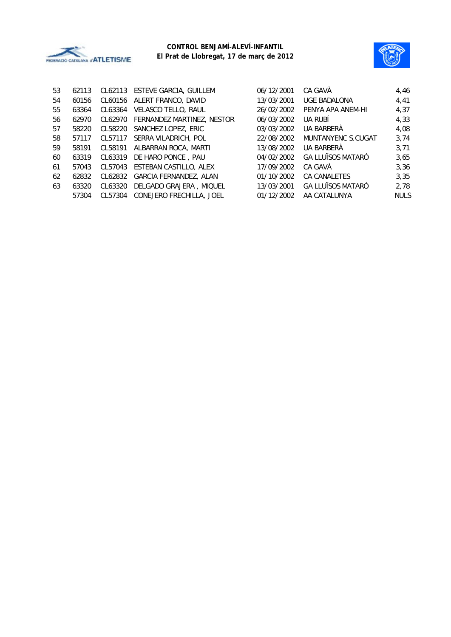



| 4,46<br>4,41<br>4,37       |
|----------------------------|
|                            |
|                            |
|                            |
| 4,33                       |
| 4,08                       |
| 3,74<br>MUNTANYENC S.CUGAT |
| 3,71                       |
| 3,65                       |
| 3,36                       |
| 3,35                       |
| 2,78                       |
| <b>NULS</b>                |
|                            |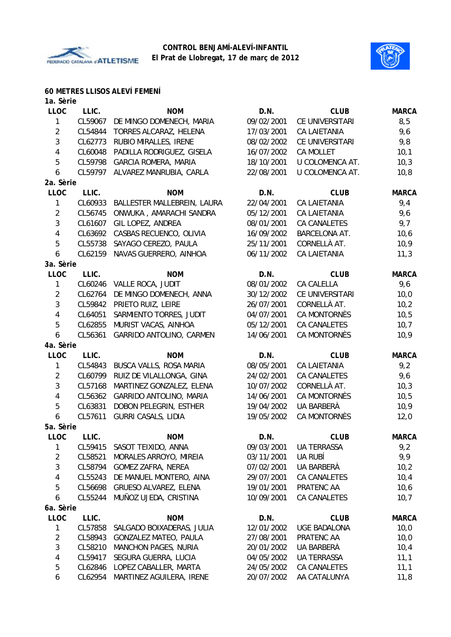



## **60 METRES LLISOS ALEVÍ FEMENÍ**

| 1a. Sèrie      |         |                              |            |                     |              |
|----------------|---------|------------------------------|------------|---------------------|--------------|
| <b>LLOC</b>    | LLIC.   | <b>NOM</b>                   | D.N.       | <b>CLUB</b>         | <b>MARCA</b> |
| 1              | CL59067 | DE MINGO DOMENECH, MARIA     | 09/02/2001 | CE UNIVERSITARI     | 8,5          |
| $\overline{2}$ | CL54844 | TORRES ALCARAZ, HELENA       | 17/03/2001 | <b>CA LAIETANIA</b> | 9,6          |
| 3              | CL62773 | RUBIO MIRALLES, IRENE        | 08/02/2002 | CE UNIVERSITARI     | 9,8          |
| 4              | CL60048 | PADILLA RODRIGUEZ, GISELA    | 16/07/2002 | CA MOLLET           | 10,1         |
| 5              | CL59798 | <b>GARCIA ROMERA, MARIA</b>  | 18/10/2001 | U COLOMENCA AT.     | 10,3         |
| 6              | CL59797 | ALVAREZ MANRUBIA, CARLA      | 22/08/2001 | U COLOMENCA AT.     | 10, 8        |
| 2a. Sèrie      |         |                              |            |                     |              |
| <b>LLOC</b>    | LLIC.   | <b>NOM</b>                   | D.N.       | <b>CLUB</b>         | <b>MARCA</b> |
| $\mathbf{1}$   | CL60933 | BALLESTER MALLEBREIN, LAURA  | 22/04/2001 | <b>CA LAIETANIA</b> | 9,4          |
| $\overline{2}$ | CL56745 | ONWUKA, AMARACHI SANDRA      | 05/12/2001 | <b>CA LAIETANIA</b> | 9,6          |
| 3              | CL61607 | GIL LOPEZ, ANDREA            | 08/01/2001 | CA CANALETES        | 9,7          |
| 4              | CL63692 | CASBAS RECUENCO, OLIVIA      | 16/09/2002 | BARCELONA AT.       | 10,6         |
| 5              | CL55738 | SAYAGO CEREZO, PAULA         | 25/11/2001 | CORNELLÀ AT.        | 10,9         |
| 6              | CL62159 | NAVAS GUERRERO, AINHOA       | 06/11/2002 | <b>CA LAIETANIA</b> | 11,3         |
| 3a. Sèrie      |         |                              |            |                     |              |
| <b>LLOC</b>    | LLIC.   | <b>NOM</b>                   | D.N.       | <b>CLUB</b>         | <b>MARCA</b> |
| $\mathbf{1}$   | CL60246 | VALLE ROCA, JUDIT            | 08/01/2002 | CA CALELLA          | 9,6          |
| $\overline{2}$ | CL62764 | DE MINGO DOMENECH, ANNA      | 30/12/2002 | CE UNIVERSITARI     | 10,0         |
| 3              | CL59842 | PRIETO RUIZ, LEIRE           | 26/07/2001 | CORNELLÀ AT.        | 10,2         |
| 4              | CL64051 | SARMIENTO TORRES, JUDIT      | 04/07/2001 | CA MONTORNÈS        | 10,5         |
| 5              | CL62855 | MURIST VACAS, AINHOA         | 05/12/2001 | CA CANALETES        | 10,7         |
| 6              | CL56361 | GARRIDO ANTOLINO, CARMEN     | 14/06/2001 | CA MONTORNÈS        | 10,9         |
| 4a. Sèrie      |         |                              |            |                     |              |
| LLOC           | LLIC.   | <b>NOM</b>                   | D.N.       | <b>CLUB</b>         | <b>MARCA</b> |
| 1              | CL54843 | BUSCA VALLS, ROSA MARIA      | 08/05/2001 | CA LAIETANIA        | 9,2          |
| $\overline{2}$ | CL60799 | RUIZ DE VILALLONGA, GINA     | 24/02/2001 | CA CANALETES        | 9,6          |
| 3              | CL57168 | MARTINEZ GONZALEZ, ELENA     | 10/07/2002 | CORNELLÀ AT.        | 10,3         |
| 4              | CL56362 | GARRIDO ANTOLINO, MARIA      | 14/06/2001 | CA MONTORNÈS        | 10,5         |
|                |         |                              |            |                     |              |
| 5              | CL63831 | DOBON PELEGRIN, ESTHER       | 19/04/2002 | UA BARBERÀ          | 10,9         |
| 6              | CL57611 | <b>GURRI CASALS, LIDIA</b>   | 19/05/2002 | <b>CA MONTORNÈS</b> | 12,0         |
| 5a. Sèrie      |         |                              |            |                     |              |
| LLOC           | LLIC.   | <b>NOM</b>                   | D.N.       | <b>CLUB</b>         | <b>MARCA</b> |
| 1              |         | CL59415 SASOT TEIXIDO, ANNA  | 09/03/2001 | UA TERRASSA         | 9,2          |
| $\overline{2}$ | CL58521 | MORALES ARROYO, MIREIA       | 03/11/2001 | UA RUBÍ             | 9,9          |
| $\mathbf{3}$   | CL58794 | <b>GOMEZ ZAFRA, NEREA</b>    | 07/02/2001 | UA BARBERÀ          | 10,2         |
| 4              | CL55243 | DE MANUEL MONTERO, AINA      | 29/07/2001 | CA CANALETES        | 10,4         |
| 5              | CL56698 | GRUESO ALVAREZ, ELENA        | 19/01/2001 | PRATENC AA          | 10,6         |
| 6              | CL55244 | MUÑOZ UJEDA, CRISTINA        | 10/09/2001 | CA CANALETES        | 10,7         |
| 6a. Sèrie      |         |                              |            |                     |              |
| <b>LLOC</b>    | LLIC.   | <b>NOM</b>                   | D.N.       | <b>CLUB</b>         | <b>MARCA</b> |
| 1              | CL57858 | SALGADO BOIXADERAS, JULIA    | 12/01/2002 | <b>UGE BADALONA</b> | 10,0         |
| $\overline{2}$ | CL58943 | <b>GONZALEZ MATEO, PAULA</b> | 27/08/2001 | PRATENC AA          | 10,0         |
| 3              | CL58210 | <b>MANCHON PAGES, NURIA</b>  | 20/01/2002 | UA BARBERÀ          | 10,4         |
| 4              | CL59417 | SEGURA GUERRA, LUCIA         | 04/05/2002 | UA TERRASSA         | 11,1         |
| 5              | CL62846 | LOPEZ CABALLER, MARTA        | 24/05/2002 | CA CANALETES        | 11,1         |
| 6              | CL62954 | MARTINEZ AGUILERA, IRENE     | 20/07/2002 | AA CATALUNYA        | 11,8         |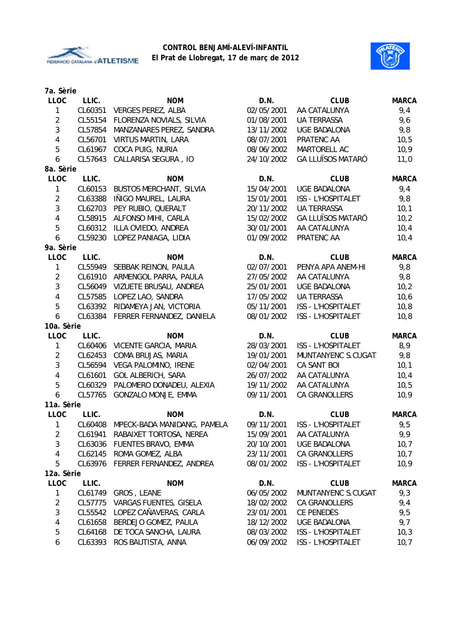



| 7a. Sèrie      |         |                                     |            |                           |              |
|----------------|---------|-------------------------------------|------------|---------------------------|--------------|
| <b>LLOC</b>    | LLIC.   | <b>NOM</b>                          | D.N.       | <b>CLUB</b>               | <b>MARCA</b> |
| 1              | CL60351 | <b>VERGES PEREZ, ALBA</b>           | 02/05/2001 | AA CATALUNYA              | 9,4          |
| $\overline{2}$ | CL55154 | FLORENZA NOVIALS, SILVIA            | 01/08/2001 | <b>UA TERRASSA</b>        | 9,6          |
| 3              | CL57854 | MANZANARES PEREZ, SANDRA            | 13/11/2002 | <b>UGE BADALONA</b>       | 9,8          |
| 4              | CL56701 | <b>VIRTUS MARTIN, LARA</b>          | 08/07/2001 | PRATENC AA                | 10,5         |
| 5              | CL61967 | COCA PUIG, NURIA                    | 08/06/2002 | MARTORELL AC              | 10,9         |
| 6              | CL57643 | CALLARISA SEGURA, IO                | 24/10/2002 | <b>GA LLUÏSOS MATARÓ</b>  | 11,0         |
| 8a. Sèrie      |         |                                     |            |                           |              |
| <b>LLOC</b>    | LLIC.   | <b>NOM</b>                          | D.N.       | <b>CLUB</b>               | <b>MARCA</b> |
| 1              | CL60153 | <b>BUSTOS MERCHANT, SILVIA</b>      | 15/04/2001 | <b>UGE BADALONA</b>       | 9,4          |
| $\overline{2}$ | CL63388 | IÑIGO MAUREL, LAURA                 | 15/01/2001 | ISS - L'HOSPITALET        | 9,8          |
| 3              | CL62703 | PEY RUBIO, QUERALT                  | 20/11/2002 | <b>UA TERRASSA</b>        | 10,1         |
| 4              | CL58915 | ALFONSO MIHI, CARLA                 | 15/02/2002 | <b>GA LLUÏSOS MATARÓ</b>  | 10,2         |
| 5              | CL60312 | ILLA OVIEDO, ANDREA                 | 30/01/2001 | AA CATALUNYA              | 10,4         |
| 6              | CL59230 | LOPEZ PANIAGA, LIDIA                | 01/09/2002 | PRATENC AA                | 10,4         |
| 9a. Sèrie      |         |                                     |            |                           |              |
| LLOC           | LLIC.   | <b>NOM</b>                          | D.N.       | <b>CLUB</b>               | <b>MARCA</b> |
| 1              | CL55949 | SEBBAK REINON, PAULA                | 02/07/2001 | PENYA APA ANEM-HI         | 9,8          |
| $\overline{2}$ | CL61910 | ARMENGOL PARRA, PAULA               | 27/05/2002 | AA CATALUNYA              | 9,8          |
| 3              | CL56049 | VIZUETE BRUSAU, ANDREA              | 25/01/2001 | <b>UGE BADALONA</b>       | 10,2         |
| 4              | CL57585 | LOPEZ LAO, SANDRA                   | 17/05/2002 | <b>UA TERRASSA</b>        | 10,6         |
| 5              | CL63392 | RIDAMEYA JAN, VICTORIA              | 05/11/2001 | ISS - L'HOSPITALET        | 10,8         |
| 6              | CL63384 | FERRER FERNANDEZ, DANIELA           | 08/01/2002 | ISS - L'HOSPITALET        | 10, 8        |
| 10a. Sèrie     |         |                                     |            |                           |              |
| <b>LLOC</b>    | LLIC.   | <b>NOM</b>                          | D.N.       | <b>CLUB</b>               | <b>MARCA</b> |
| 1              | CL60406 | VICENTE GARCIA, MARIA               | 28/03/2001 | <b>ISS - L'HOSPITALET</b> | 8,9          |
| $\overline{2}$ | CL62453 | COMA BRUJAS, MARIA                  | 19/01/2001 | MUNTANYENC S.CUGAT        | 9,8          |
| $\mathbf{3}$   | CL56594 | VEGA PALOMINO, IRENE                | 02/04/2001 | CA SANT BOI               | 10,1         |
| 4              | CL61601 | <b>GOL ALBERICH, SARA</b>           | 26/07/2002 | AA CATALUNYA              | 10,4         |
| $\overline{5}$ | CL60329 | PALOMERO DONADEU, ALEXIA            | 19/11/2002 | AA CATALUNYA              | 10,5         |
| 6              | CL57765 | GONZALO MONJE, EMMA                 | 09/11/2001 | CA GRANOLLERS             | 10,9         |
| 11a. Sèrie     |         |                                     |            |                           |              |
| <b>LLOC</b>    | LLIC.   | <b>NOM</b>                          | D.N.       | <b>CLUB</b>               | <b>MARCA</b> |
| $\mathbf{1}$   |         | CL60408 MPECK-BADA MANIDANG, PAMELA | 09/11/2001 | ISS - L'HOSPITALET        | 9,5          |
| 2              |         | CL61941 RABAIXET TORTOSA, NEREA     | 15/09/2001 | AA CATALUNYA              | 9,9          |
| 3              | CL63036 | FUENTES BRAVO, EMMA                 | 20/10/2001 | <b>UGE BADALONA</b>       | 10,7         |
| 4              | CL62145 | ROMA GOMEZ, ALBA                    | 23/11/2001 | CA GRANOLLERS             | 10,7         |
| 5              | CL63976 | FERRER FERNANDEZ, ANDREA            | 08/01/2002 | <b>ISS - L'HOSPITALET</b> | 10,9         |
| 12a. Sèrie     |         |                                     |            |                           |              |
| <b>LLOC</b>    | LLIC.   | <b>NOM</b>                          | D.N.       | <b>CLUB</b>               | <b>MARCA</b> |
| 1              | CL61749 | GROS, LEANE                         | 06/05/2002 | MUNTANYENC S.CUGAT        | 9,3          |
| $\overline{2}$ | CL57775 | VARGAS FUENTES, GISELA              | 18/02/2002 | CA GRANOLLERS             | 9,4          |
| 3              | CL55542 | LOPEZ CAÑAVERAS, CARLA              | 23/01/2001 | CE PENEDÈS                | 9,5          |
| 4              | CL61658 | BERDEJO GOMEZ, PAULA                | 18/12/2002 | <b>UGE BADALONA</b>       | 9,7          |
| 5              | CL64168 | DE TOCA SANCHA, LAURA               | 08/03/2002 | ISS - L'HOSPITALET        | 10,3         |
| 6              | CL63393 | ROS BAUTISTA, ANNA                  | 06/09/2002 | ISS - L'HOSPITALET        | 10,7         |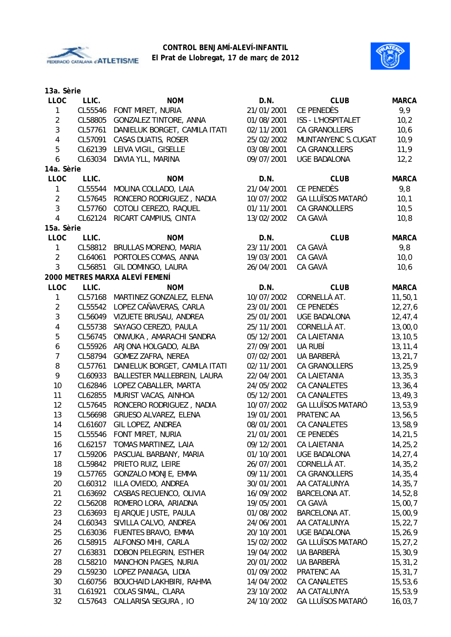



| 13a. Sèrie              |         |                                |            |                          |              |
|-------------------------|---------|--------------------------------|------------|--------------------------|--------------|
| <b>LLOC</b>             | LLIC.   | <b>NOM</b>                     | D.N.       | <b>CLUB</b>              | <b>MARCA</b> |
| $\mathbf{1}$            | CL55546 | FONT MIRET, NURIA              | 21/01/2001 | CE PENEDÈS               | 9,9          |
| $\overline{2}$          | CL58805 | GONZALEZ TINTORE, ANNA         | 01/08/2001 | ISS - L'HOSPITALET       | 10,2         |
| $\mathfrak{Z}$          | CL57761 | DANIELUK BORGET, CAMILA ITATI  | 02/11/2001 | CA GRANOLLERS            | 10,6         |
| $\overline{\mathbf{4}}$ | CL57091 | CASAS DUATIS, ROSER            | 25/02/2002 | MUNTANYENC S.CUGAT       | 10,9         |
| 5                       | CL62139 | LEIVA VIGIL, GISELLE           | 03/08/2001 | CA GRANOLLERS            | 11,9         |
| 6                       | CL63034 | DAVIA YLL, MARINA              | 09/07/2001 | <b>UGE BADALONA</b>      | 12,2         |
| 14a. Sèrie              |         |                                |            |                          |              |
| <b>LLOC</b>             | LLIC.   | <b>NOM</b>                     | D.N.       | <b>CLUB</b>              | <b>MARCA</b> |
| $\mathbf{1}$            | CL55544 | MOLINA COLLADO, LAIA           | 21/04/2001 | CE PENEDÈS               | 9,8          |
| $\overline{2}$          | CL57645 | RONCERO RODRIGUEZ, NADIA       | 10/07/2002 | <b>GA LLUÏSOS MATARÓ</b> | 10,1         |
| $\mathfrak{Z}$          | CL57760 | COTOLI CEREZO, RAQUEL          | 01/11/2001 | CA GRANOLLERS            | 10,5         |
| $\overline{4}$          | CL62124 | RICART CAMPIUS, CINTA          | 13/02/2002 | CA GAVÀ                  | 10,8         |
| 15a. Sèrie              |         |                                |            |                          |              |
| <b>LLOC</b>             | LLIC.   | <b>NOM</b>                     | D.N.       | <b>CLUB</b>              | <b>MARCA</b> |
| 1                       | CL58812 | BRULLAS MORENO, MARIA          | 23/11/2001 | CA GAVÀ                  | 9,8          |
| $\overline{2}$          | CL64061 | PORTOLES COMAS, ANNA           | 19/03/2001 | CA GAVÀ                  | 10,0         |
| 3                       | CL56851 | GIL DOMINGO, LAURA             | 26/04/2001 | CA GAVÀ                  | 10,6         |
|                         |         | 2000 METRES MARXA ALEVÍ FEMENÍ |            |                          |              |
| <b>LLOC</b>             | LLIC.   | <b>NOM</b>                     | D.N.       | <b>CLUB</b>              | <b>MARCA</b> |
| 1                       | CL57168 | MARTINEZ GONZALEZ, ELENA       | 10/07/2002 | CORNELLÀ AT.             | 11, 50, 1    |
| $\overline{2}$          | CL55542 | LOPEZ CAÑAVERAS, CARLA         | 23/01/2001 | CE PENEDÈS               | 12, 27, 6    |
| $\mathbf{3}$            | CL56049 | VIZUETE BRUSAU, ANDREA         | 25/01/2001 | <b>UGE BADALONA</b>      | 12,47,4      |
| $\overline{\mathbf{4}}$ | CL55738 | SAYAGO CEREZO, PAULA           | 25/11/2001 | CORNELLÀ AT.             | 13,00,0      |
| 5                       | CL56745 | ONWUKA, AMARACHI SANDRA        | 05/12/2001 | <b>CA LAIETANIA</b>      | 13, 10, 5    |
| 6                       | CL55926 | ARJONA HOLGADO, ALBA           | 27/09/2001 | UA RUBÍ                  | 13, 11, 4    |
| $\overline{7}$          | CL58794 | <b>GOMEZ ZAFRA, NEREA</b>      | 07/02/2001 | UA BARBERÀ               | 13, 21, 7    |
| 8                       | CL57761 | DANIELUK BORGET, CAMILA ITATI  | 02/11/2001 | CA GRANOLLERS            | 13,25,9      |
| 9                       | CL60933 | BALLESTER MALLEBREIN, LAURA    | 22/04/2001 | <b>CA LAIETANIA</b>      | 13, 35, 3    |
| 10                      | CL62846 | LOPEZ CABALLER, MARTA          | 24/05/2002 | CA CANALETES             | 13, 36, 4    |
| 11                      | CL62855 | MURIST VACAS, AINHOA           | 05/12/2001 | <b>CA CANALETES</b>      | 13, 49, 3    |
| 12                      | CL57645 | RONCERO RODRIGUEZ, NADIA       | 10/07/2002 | <b>GA LLUÏSOS MATARÓ</b> | 13,53,9      |
| 13                      | CL56698 | GRUESO ALVAREZ, ELENA          | 19/01/2001 | PRATENC AA               | 13,56,5      |
| 14                      |         | CL61607 GIL LOPEZ, ANDREA      | 08/01/2001 | CA CANALETES             | 13,58,9      |
| 15                      |         | CL55546 FONT MIRET, NURIA      | 21/01/2001 | CE PENEDÈS               | 14,21,5      |
| 16                      | CL62157 | TOMAS MARTINEZ, LAIA           | 09/12/2001 | CA LAIETANIA             | 14,25,2      |
| 17                      | CL59206 | PASCUAL BARBANY, MARIA         | 01/10/2001 | <b>UGE BADALONA</b>      | 14,27,4      |
| 18                      | CL59842 | PRIETO RUIZ, LEIRE             | 26/07/2001 | CORNELLÀ AT.             | 14, 35, 2    |
| 19                      | CL57765 | GONZALO MONJE, EMMA            | 09/11/2001 | CA GRANOLLERS            | 14, 35, 4    |
| 20                      | CL60312 | ILLA OVIEDO, ANDREA            | 30/01/2001 | AA CATALUNYA             | 14, 35, 7    |
| 21                      | CL63692 | CASBAS RECUENCO, OLIVIA        | 16/09/2002 | <b>BARCELONA AT.</b>     | 14,52,8      |
| 22                      | CL56208 | ROMERO LORA, ARIADNA           | 19/05/2001 | CA GAVÀ                  | 15,00,7      |
| 23                      | CL63693 | EJARQUE JUSTE, PAULA           | 01/08/2002 | BARCELONA AT.            | 15,00,9      |
| 24                      | CL60343 | SIVILLA CALVO, ANDREA          | 24/06/2001 | AA CATALUNYA             | 15, 22, 7    |
| 25                      | CL63036 | FUENTES BRAVO, EMMA            | 20/10/2001 | <b>UGE BADALONA</b>      | 15,26,9      |
| 26                      | CL58915 | ALFONSO MIHI, CARLA            | 15/02/2002 | <b>GA LLUÏSOS MATARÓ</b> | 15, 27, 2    |
| 27                      | CL63831 | DOBON PELEGRIN, ESTHER         | 19/04/2002 | UA BARBERÀ               | 15,30,9      |
| 28                      | CL58210 | <b>MANCHON PAGES, NURIA</b>    | 20/01/2002 | UA BARBERÀ               | 15, 31, 2    |
| 29                      | CL59230 | LOPEZ PANIAGA, LIDIA           | 01/09/2002 | PRATENC AA               | 15, 31, 7    |
| 30                      | CL60756 | BOUCHAID LAKHBIRI, RAHMA       | 14/04/2002 | CA CANALETES             | 15,53,6      |
| 31                      | CL61921 | COLAS SIMAL, CLARA             | 23/10/2002 | AA CATALUNYA             | 15,53,9      |
| 32                      | CL57643 | CALLARISA SEGURA, IO           | 24/10/2002 | <b>GA LLUÏSOS MATARÓ</b> | 16,03,7      |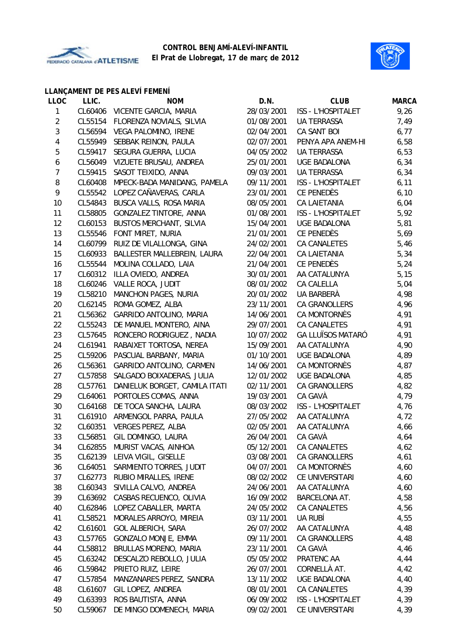



# **LLANÇAMENT DE PES ALEVÍ FEMENÍ**

| <b>LLOC</b>    | LLIC.   | <b>NOM</b>                     | D.N.       | <b>CLUB</b>               | <b>MARCA</b> |
|----------------|---------|--------------------------------|------------|---------------------------|--------------|
| $\mathbf{1}$   | CL60406 | VICENTE GARCIA, MARIA          | 28/03/2001 | ISS - L'HOSPITALET        | 9,26         |
| $\overline{2}$ | CL55154 | FLORENZA NOVIALS, SILVIA       | 01/08/2001 | <b>UA TERRASSA</b>        | 7,49         |
| $\sqrt{3}$     | CL56594 | VEGA PALOMINO, IRENE           | 02/04/2001 | CA SANT BOI               | 6,77         |
| 4              | CL55949 | SEBBAK REINON, PAULA           | 02/07/2001 | PENYA APA ANEM-HI         | 6,58         |
| 5              | CL59417 | SEGURA GUERRA, LUCIA           | 04/05/2002 | <b>UA TERRASSA</b>        | 6,53         |
| 6              | CL56049 | VIZUETE BRUSAU, ANDREA         | 25/01/2001 | <b>UGE BADALONA</b>       | 6, 34        |
| $\overline{7}$ | CL59415 | SASOT TEIXIDO, ANNA            | 09/03/2001 | <b>UA TERRASSA</b>        | 6, 34        |
| 8              | CL60408 | MPECK-BADA MANIDANG, PAMELA    | 09/11/2001 | <b>ISS - L'HOSPITALET</b> | 6,11         |
| 9              | CL55542 | LOPEZ CAÑAVERAS, CARLA         | 23/01/2001 | CE PENEDÈS                | 6, 10        |
| 10             | CL54843 | BUSCA VALLS, ROSA MARIA        | 08/05/2001 | CA LAIETANIA              | 6,04         |
| 11             | CL58805 | GONZALEZ TINTORE, ANNA         | 01/08/2001 | ISS - L'HOSPITALET        | 5,92         |
| 12             | CL60153 | <b>BUSTOS MERCHANT, SILVIA</b> | 15/04/2001 | <b>UGE BADALONA</b>       | 5,81         |
| 13             | CL55546 | FONT MIRET, NURIA              | 21/01/2001 | CE PENEDÈS                | 5,69         |
| 14             | CL60799 | RUIZ DE VILALLONGA, GINA       | 24/02/2001 | <b>CA CANALETES</b>       | 5,46         |
| 15             | CL60933 | BALLESTER MALLEBREIN, LAURA    | 22/04/2001 | <b>CA LAIETANIA</b>       | 5,34         |
| 16             | CL55544 | MOLINA COLLADO, LAIA           | 21/04/2001 | CE PENEDÈS                | 5,24         |
| 17             | CL60312 | ILLA OVIEDO, ANDREA            | 30/01/2001 | AA CATALUNYA              | 5,15         |
| 18             | CL60246 | VALLE ROCA, JUDIT              | 08/01/2002 | CA CALELLA                | 5,04         |
| 19             | CL58210 | <b>MANCHON PAGES, NURIA</b>    | 20/01/2002 | UA BARBERÀ                | 4,98         |
| 20             | CL62145 | ROMA GOMEZ, ALBA               | 23/11/2001 | CA GRANOLLERS             | 4,96         |
| 21             | CL56362 | GARRIDO ANTOLINO, MARIA        | 14/06/2001 | CA MONTORNÈS              | 4,91         |
| 22             | CL55243 | DE MANUEL MONTERO, AINA        | 29/07/2001 | <b>CA CANALETES</b>       | 4,91         |
| 23             | CL57645 | RONCERO RODRIGUEZ, NADIA       | 10/07/2002 | <b>GA LLUÏSOS MATARÓ</b>  | 4,91         |
| 24             | CL61941 | RABAIXET TORTOSA, NEREA        | 15/09/2001 | AA CATALUNYA              | 4,90         |
| 25             | CL59206 | PASCUAL BARBANY, MARIA         | 01/10/2001 | <b>UGE BADALONA</b>       | 4,89         |
| 26             | CL56361 | GARRIDO ANTOLINO, CARMEN       | 14/06/2001 | CA MONTORNÈS              | 4,87         |
| 27             | CL57858 | SALGADO BOIXADERAS, JULIA      | 12/01/2002 | UGE BADALONA              | 4,85         |
| 28             | CL57761 | DANIELUK BORGET, CAMILA ITATI  | 02/11/2001 | CA GRANOLLERS             | 4,82         |
| 29             | CL64061 | PORTOLES COMAS, ANNA           | 19/03/2001 | CA GAVÀ                   | 4,79         |
| 30             | CL64168 | DE TOCA SANCHA, LAURA          | 08/03/2002 | <b>ISS - L'HOSPITALET</b> | 4,76         |
| 31             | CL61910 | ARMENGOL PARRA, PAULA          | 27/05/2002 | AA CATALUNYA              | 4,72         |
| 32             | CL60351 | <b>VERGES PEREZ, ALBA</b>      | 02/05/2001 | AA CATALUNYA              | 4,66         |
| 33             | CL56851 | GIL DOMINGO, LAURA             | 26/04/2001 | CA GAVÀ                   | 4,64         |
| 34             | CL62855 | MURIST VACAS, AINHOA           | 05/12/2001 | CA CANALETES              | 4,62         |
| 35             | CL62139 | LEIVA VIGIL, GISELLE           | 03/08/2001 | <b>CA GRANOLLERS</b>      | 4,61         |
| 36             | CL64051 | SARMIENTO TORRES, JUDIT        | 04/07/2001 | CA MONTORNÈS              | 4,60         |
| 37             | CL62773 | RUBIO MIRALLES, IRENE          | 08/02/2002 | CE UNIVERSITARI           | 4,60         |
| 38             | CL60343 | SIVILLA CALVO, ANDREA          | 24/06/2001 | AA CATALUNYA              | 4,60         |
| 39             | CL63692 | CASBAS RECUENCO, OLIVIA        | 16/09/2002 | <b>BARCELONA AT.</b>      | 4,58         |
| 40             | CL62846 | LOPEZ CABALLER, MARTA          | 24/05/2002 | CA CANALETES              | 4,56         |
| 41             | CL58521 | MORALES ARROYO, MIREIA         | 03/11/2001 | UA RUBÍ                   | 4,55         |
| 42             | CL61601 | <b>GOL ALBERICH, SARA</b>      | 26/07/2002 | AA CATALUNYA              | 4,48         |
| 43             | CL57765 | GONZALO MONJE, EMMA            | 09/11/2001 | CA GRANOLLERS             | 4,48         |
| 44             | CL58812 | BRULLAS MORENO, MARIA          | 23/11/2001 | CA GAVÀ                   | 4,46         |
| 45             | CL63242 | DESCALZO REBOLLO, JULIA        | 05/05/2002 | PRATENC AA                | 4,44         |
| 46             | CL59842 | PRIETO RUIZ, LEIRE             | 26/07/2001 | CORNELLÀ AT.              | 4,42         |
| 47             | CL57854 | MANZANARES PEREZ, SANDRA       | 13/11/2002 | <b>UGE BADALONA</b>       | 4,40         |
| 48             | CL61607 | GIL LOPEZ, ANDREA              | 08/01/2001 | CA CANALETES              | 4,39         |
| 49             | CL63393 | ROS BAUTISTA, ANNA             | 06/09/2002 | ISS - L'HOSPITALET        | 4,39         |
| 50             | CL59067 | DE MINGO DOMENECH, MARIA       | 09/02/2001 | CE UNIVERSITARI           | 4,39         |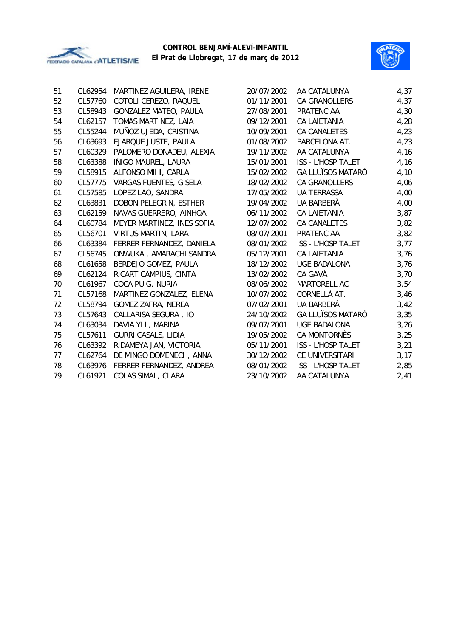



| 51 | CL62954 | MARTINEZ AGUILERA, IRENE     | 20/07/2002 | AA CATALUNYA             | 4,37 |
|----|---------|------------------------------|------------|--------------------------|------|
| 52 | CL57760 | COTOLI CEREZO, RAQUEL        | 01/11/2001 | <b>CA GRANOLLERS</b>     | 4,37 |
| 53 | CL58943 | <b>GONZALEZ MATEO, PAULA</b> | 27/08/2001 | PRATENC AA               | 4,30 |
| 54 | CL62157 | TOMAS MARTINEZ, LAIA         | 09/12/2001 | <b>CA LAIETANIA</b>      | 4,28 |
| 55 | CL55244 | MUÑOZ UJEDA, CRISTINA        | 10/09/2001 | CA CANALETES             | 4,23 |
| 56 | CL63693 | EJARQUE JUSTE, PAULA         | 01/08/2002 | BARCELONA AT.            | 4,23 |
| 57 | CL60329 | PALOMERO DONADEU, ALEXIA     | 19/11/2002 | AA CATALUNYA             | 4,16 |
| 58 | CL63388 | IÑIGO MAUREL, LAURA          | 15/01/2001 | ISS - L'HOSPITALET       | 4,16 |
| 59 | CL58915 | ALFONSO MIHI, CARLA          | 15/02/2002 | <b>GA LLUÏSOS MATARÓ</b> | 4,10 |
| 60 | CL57775 | VARGAS FUENTES, GISELA       | 18/02/2002 | <b>CA GRANOLLERS</b>     | 4,06 |
| 61 | CL57585 | LOPEZ LAO, SANDRA            | 17/05/2002 | <b>UA TERRASSA</b>       | 4,00 |
| 62 | CL63831 | DOBON PELEGRIN, ESTHER       | 19/04/2002 | UA BARBERÀ               | 4,00 |
| 63 | CL62159 | NAVAS GUERRERO, AINHOA       | 06/11/2002 | <b>CA LAIETANIA</b>      | 3,87 |
| 64 | CL60784 | MEYER MARTINEZ, INES SOFIA   | 12/07/2002 | <b>CA CANALETES</b>      | 3,82 |
| 65 | CL56701 | <b>VIRTUS MARTIN, LARA</b>   | 08/07/2001 | PRATENC AA               | 3,82 |
| 66 | CL63384 | FERRER FERNANDEZ, DANIELA    | 08/01/2002 | ISS - L'HOSPITALET       | 3,77 |
| 67 | CL56745 | ONWUKA, AMARACHI SANDRA      | 05/12/2001 | <b>CA LAIETANIA</b>      | 3,76 |
| 68 | CL61658 | BERDEJO GOMEZ, PAULA         | 18/12/2002 | <b>UGE BADALONA</b>      | 3,76 |
| 69 | CL62124 | RICART CAMPIUS, CINTA        | 13/02/2002 | CA GAVÀ                  | 3,70 |
| 70 | CL61967 | COCA PUIG, NURIA             | 08/06/2002 | MARTORELL AC             | 3,54 |
| 71 | CL57168 | MARTINEZ GONZALEZ, ELENA     | 10/07/2002 | CORNELLÀ AT.             | 3,46 |
| 72 | CL58794 | <b>GOMEZ ZAFRA, NEREA</b>    | 07/02/2001 | UA BARBERÀ               | 3,42 |
| 73 | CL57643 | CALLARISA SEGURA, IO         | 24/10/2002 | <b>GA LLUÏSOS MATARÓ</b> | 3,35 |
| 74 | CL63034 | DAVIA YLL, MARINA            | 09/07/2001 | <b>UGE BADALONA</b>      | 3,26 |
| 75 | CL57611 | <b>GURRI CASALS, LIDIA</b>   | 19/05/2002 | CA MONTORNÈS             | 3,25 |
| 76 | CL63392 | RIDAMEYA JAN, VICTORIA       | 05/11/2001 | ISS - L'HOSPITALET       | 3,21 |
| 77 | CL62764 | DE MINGO DOMENECH, ANNA      | 30/12/2002 | CE UNIVERSITARI          | 3,17 |
| 78 | CL63976 | FERRER FERNANDEZ, ANDREA     | 08/01/2002 | ISS - L'HOSPITALET       | 2,85 |
| 79 | CL61921 | COLAS SIMAL, CLARA           | 23/10/2002 | AA CATALUNYA             | 2,41 |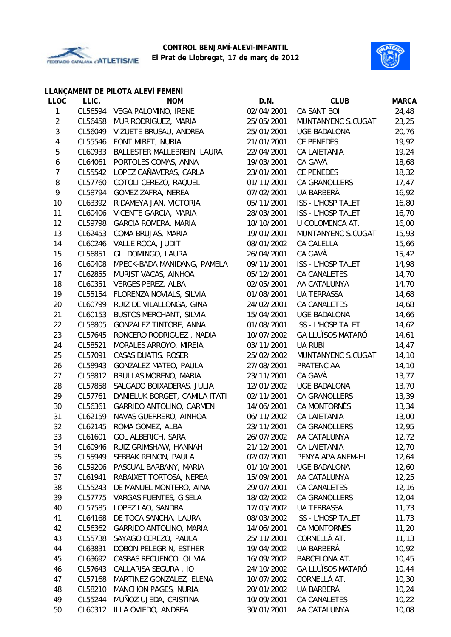



## **LLANÇAMENT DE PILOTA ALEVÍ FEMENÍ**

| <b>LLOC</b>    | LLIC.   | <b>NOM</b>                     | D.N.       | <b>CLUB</b>               | <b>MARCA</b> |
|----------------|---------|--------------------------------|------------|---------------------------|--------------|
| 1              | CL56594 | VEGA PALOMINO, IRENE           | 02/04/2001 | CA SANT BOI               | 24,48        |
| $\overline{2}$ | CL56458 | MUR RODRIGUEZ, MARIA           | 25/05/2001 | MUNTANYENC S.CUGAT        | 23,25        |
| 3              | CL56049 | VIZUETE BRUSAU, ANDREA         | 25/01/2001 | <b>UGE BADALONA</b>       | 20,76        |
| 4              | CL55546 | FONT MIRET, NURIA              | 21/01/2001 | CE PENEDÈS                | 19,92        |
| 5              | CL60933 | BALLESTER MALLEBREIN, LAURA    | 22/04/2001 | CA LAIETANIA              | 19,24        |
| 6              | CL64061 | PORTOLES COMAS, ANNA           | 19/03/2001 | CA GAVÀ                   | 18,68        |
| $\overline{7}$ | CL55542 | LOPEZ CAÑAVERAS, CARLA         | 23/01/2001 | CE PENEDÈS                | 18,32        |
| 8              | CL57760 | COTOLI CEREZO, RAQUEL          | 01/11/2001 | CA GRANOLLERS             | 17,47        |
| 9              | CL58794 | GOMEZ ZAFRA, NEREA             | 07/02/2001 | UA BARBERÀ                | 16,92        |
| 10             | CL63392 | RIDAMEYA JAN, VICTORIA         | 05/11/2001 | ISS - L'HOSPITALET        | 16,80        |
| 11             | CL60406 | VICENTE GARCIA, MARIA          | 28/03/2001 | ISS - L'HOSPITALET        | 16,70        |
| 12             | CL59798 | GARCIA ROMERA, MARIA           | 18/10/2001 | U COLOMENCA AT.           | 16,00        |
| 13             | CL62453 | COMA BRUJAS, MARIA             | 19/01/2001 | MUNTANYENC S.CUGAT        | 15,93        |
| 14             | CL60246 | VALLE ROCA, JUDIT              | 08/01/2002 | CA CALELLA                | 15,66        |
| 15             | CL56851 | GIL DOMINGO, LAURA             | 26/04/2001 | CA GAVÀ                   | 15,42        |
| 16             | CL60408 | MPECK-BADA MANIDANG, PAMELA    | 09/11/2001 | <b>ISS - L'HOSPITALET</b> | 14,98        |
| 17             | CL62855 | MURIST VACAS, AINHOA           | 05/12/2001 | CA CANALETES              | 14,70        |
| 18             | CL60351 | <b>VERGES PEREZ, ALBA</b>      | 02/05/2001 | AA CATALUNYA              | 14,70        |
| 19             | CL55154 | FLORENZA NOVIALS, SILVIA       | 01/08/2001 | UA TERRASSA               | 14,68        |
| 20             | CL60799 | RUIZ DE VILALLONGA, GINA       | 24/02/2001 | CA CANALETES              | 14,68        |
| 21             | CL60153 | <b>BUSTOS MERCHANT, SILVIA</b> | 15/04/2001 | <b>UGE BADALONA</b>       | 14,66        |
| 22             | CL58805 | GONZALEZ TINTORE, ANNA         | 01/08/2001 | ISS - L'HOSPITALET        | 14,62        |
| 23             | CL57645 | RONCERO RODRIGUEZ, NADIA       | 10/07/2002 | <b>GA LLUÏSOS MATARÓ</b>  | 14,61        |
| 24             | CL58521 | MORALES ARROYO, MIREIA         | 03/11/2001 | UA RUBÍ                   | 14,47        |
| 25             | CL57091 | CASAS DUATIS, ROSER            | 25/02/2002 | MUNTANYENC S.CUGAT        | 14,10        |
| 26             | CL58943 | <b>GONZALEZ MATEO, PAULA</b>   | 27/08/2001 | PRATENC AA                | 14,10        |
| 27             | CL58812 | BRULLAS MORENO, MARIA          | 23/11/2001 | CA GAVÀ                   | 13, 77       |
| 28             | CL57858 | SALGADO BOIXADERAS, JULIA      | 12/01/2002 | <b>UGE BADALONA</b>       | 13,70        |
| 29             | CL57761 | DANIELUK BORGET, CAMILA ITATI  | 02/11/2001 | CA GRANOLLERS             | 13,39        |
| 30             | CL56361 | GARRIDO ANTOLINO, CARMEN       | 14/06/2001 | CA MONTORNÈS              | 13,34        |
| 31             | CL62159 | NAVAS GUERRERO, AINHOA         | 06/11/2002 | <b>CA LAIETANIA</b>       | 13,00        |
| 32             | CL62145 | ROMA GOMEZ, ALBA               | 23/11/2001 | CA GRANOLLERS             | 12,95        |
| 33             | CL61601 | GOL ALBERICH, SARA             | 26/07/2002 | AA CATALUNYA              | 12, 72       |
| 34             | CL60946 | RUIZ GRIMSHAW, HANNAH          | 21/12/2001 | CA LAIETANIA              | 12,70        |
| 35             | CL55949 | SEBBAK REINON, PAULA           | 02/07/2001 | PENYA APA ANEM-HI         | 12,64        |
| 36             | CL59206 | PASCUAL BARBANY, MARIA         | 01/10/2001 | <b>UGE BADALONA</b>       | 12,60        |
| 37             | CL61941 | RABAIXET TORTOSA, NEREA        | 15/09/2001 | AA CATALUNYA              | 12,25        |
| 38             | CL55243 | DE MANUEL MONTERO, AINA        | 29/07/2001 | CA CANALETES              | 12, 16       |
| 39             | CL57775 | VARGAS FUENTES, GISELA         | 18/02/2002 | CA GRANOLLERS             | 12,04        |
| 40             | CL57585 | LOPEZ LAO, SANDRA              | 17/05/2002 | UA TERRASSA               | 11,73        |
| 41             | CL64168 | DE TOCA SANCHA, LAURA          | 08/03/2002 | <b>ISS - L'HOSPITALET</b> | 11,73        |
| 42             | CL56362 | GARRIDO ANTOLINO, MARIA        | 14/06/2001 | CA MONTORNÈS              | 11,20        |
| 43             | CL55738 | SAYAGO CEREZO, PAULA           | 25/11/2001 | CORNELLÀ AT.              | 11, 13       |
| 44             | CL63831 | DOBON PELEGRIN, ESTHER         | 19/04/2002 | UA BARBERÀ                | 10,92        |
| 45             | CL63692 | CASBAS RECUENCO, OLIVIA        | 16/09/2002 | <b>BARCELONA AT.</b>      | 10,45        |
| 46             | CL57643 | CALLARISA SEGURA, IO           | 24/10/2002 | <b>GA LLUÏSOS MATARÓ</b>  | 10,44        |
| 47             | CL57168 | MARTINEZ GONZALEZ, ELENA       | 10/07/2002 | CORNELLÀ AT.              | 10, 30       |
| 48             | CL58210 | <b>MANCHON PAGES, NURIA</b>    | 20/01/2002 | UA BARBERÀ                | 10,24        |
| 49             | CL55244 | MUÑOZ UJEDA, CRISTINA          | 10/09/2001 | CA CANALETES              | 10,22        |
| 50             | CL60312 | ILLA OVIEDO, ANDREA            | 30/01/2001 | AA CATALUNYA              | 10,08        |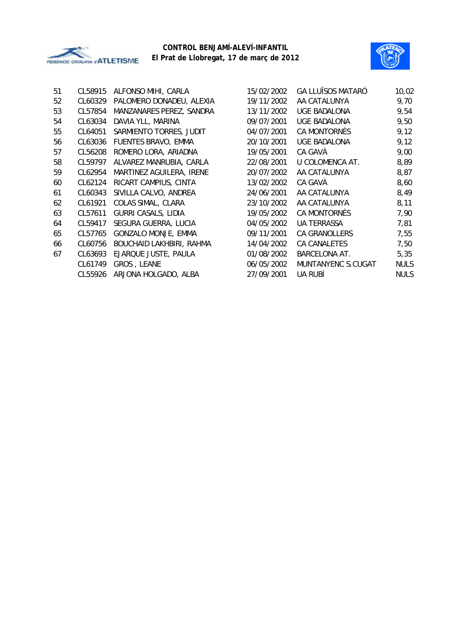



| 51 | CL58915 | ALFONSO MIHI, CARLA        | 15/02/2002 | <b>GA LLUÏSOS MATARÓ</b> | 10,02       |
|----|---------|----------------------------|------------|--------------------------|-------------|
| 52 | CL60329 | PALOMERO DONADEU, ALEXIA   | 19/11/2002 | AA CATALUNYA             | 9,70        |
| 53 | CL57854 | MANZANARES PEREZ, SANDRA   | 13/11/2002 | UGE BADALONA             | 9,54        |
| 54 | CL63034 | DAVIA YLL, MARINA          | 09/07/2001 | <b>UGE BADALONA</b>      | 9,50        |
| 55 | CL64051 | SARMIENTO TORRES, JUDIT    | 04/07/2001 | CA MONTORNÈS             | 9,12        |
| 56 | CL63036 | FUENTES BRAVO, EMMA        | 20/10/2001 | UGE BADALONA             | 9,12        |
| 57 | CL56208 | ROMERO LORA, ARIADNA       | 19/05/2001 | CA GAVA                  | 9,00        |
| 58 | CL59797 | ALVAREZ MANRUBIA, CARLA    | 22/08/2001 | U COLOMENCA AT.          | 8,89        |
| 59 | CL62954 | MARTINEZ AGUILERA, IRENE   | 20/07/2002 | AA CATALUNYA             | 8,87        |
| 60 | CL62124 | RICART CAMPIUS, CINTA      | 13/02/2002 | CA GAVA                  | 8,60        |
| 61 | CL60343 | SIVILLA CALVO, ANDREA      | 24/06/2001 | AA CATALUNYA             | 8,49        |
| 62 | CL61921 | COLAS SIMAL, CLARA         | 23/10/2002 | AA CATALUNYA             | 8,11        |
| 63 | CL57611 | <b>GURRI CASALS, LIDIA</b> | 19/05/2002 | CA MONTORNES             | 7,90        |
| 64 | CL59417 | SEGURA GUERRA, LUCIA       | 04/05/2002 | <b>UA TERRASSA</b>       | 7,81        |
| 65 | CL57765 | GONZALO MONJE, EMMA        | 09/11/2001 | CA GRANOLLERS            | 7,55        |
| 66 | CL60756 | BOUCHAID LAKHBIRI, RAHMA   | 14/04/2002 | CA CANALETES             | 7,50        |
| 67 | CL63693 | EJARQUE JUSTE, PAULA       | 01/08/2002 | <b>BARCELONA AT.</b>     | 5,35        |
|    | CL61749 | GROS, LEANE                | 06/05/2002 | MUNTANYENC S.CUGAT       | <b>NULS</b> |
|    | CL55926 | ARJONA HOLGADO, ALBA       | 27/09/2001 | UA RUBÍ                  | <b>NULS</b> |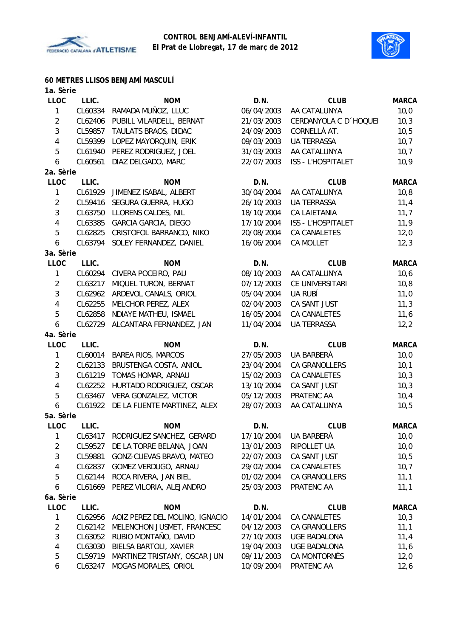



**60 METRES LLISOS BENJAMÍ MASCULÍ**

| 1a. Sèrie      |         |                                |            |                        |              |
|----------------|---------|--------------------------------|------------|------------------------|--------------|
| <b>LLOC</b>    | LLIC.   | <b>NOM</b>                     | D.N.       | <b>CLUB</b>            | <b>MARCA</b> |
| $\mathbf{1}$   | CL60334 | RAMADA MUÑOZ, LLUC             | 06/04/2003 | AA CATALUNYA           | 10,0         |
| $\overline{2}$ | CL62406 | PUBILL VILARDELL, BERNAT       | 21/03/2003 | CERDANYOLA C D 'HOQUEI | 10,3         |
| $\mathbf{3}$   | CL59857 | TAULATS BRAOS, DIDAC           | 24/09/2003 | CORNELLÀ AT.           | 10, 5        |
| 4              | CL59399 | LOPEZ MAYORQUIN, ERIK          | 09/03/2003 | <b>UA TERRASSA</b>     | 10,7         |
| 5              | CL61940 | PEREZ RODRIGUEZ, JOEL          | 31/03/2003 | AA CATALUNYA           | 10,7         |
| 6              | CL60561 | DIAZ DELGADO, MARC             | 22/07/2003 | ISS - L'HOSPITALET     | 10,9         |
| 2a. Sèrie      |         |                                |            |                        |              |
| <b>LLOC</b>    | LLIC.   | <b>NOM</b>                     | D.N.       | <b>CLUB</b>            | <b>MARCA</b> |
| $\mathbf{1}$   | CL61929 | JIMENEZ ISABAL, ALBERT         | 30/04/2004 | AA CATALUNYA           | 10, 8        |
| $\overline{2}$ | CL59416 | SEGURA GUERRA, HUGO            | 26/10/2003 | UA TERRASSA            | 11,4         |
| $\mathfrak{Z}$ | CL63750 | LLORENS CALDES, NIL            | 18/10/2004 | CA LAIETANIA           | 11,7         |
| $\overline{4}$ | CL63385 | <b>GARCIA GARCIA, DIEGO</b>    | 17/10/2004 | ISS - L'HOSPITALET     | 11,9         |
| 5              | CL62825 | CRISTOFOL BARRANCO, NIKO       | 20/08/2004 | <b>CA CANALETES</b>    | 12,0         |
| 6              | CL63794 | SOLEY FERNANDEZ, DANIEL        | 16/06/2004 | CA MOLLET              | 12,3         |
| 3a. Sèrie      |         |                                |            |                        |              |
| <b>LLOC</b>    | LLIC.   | <b>NOM</b>                     | D.N.       | <b>CLUB</b>            | <b>MARCA</b> |
| $\mathbf{1}$   | CL60294 | CIVERA POCEIRO, PAU            | 08/10/2003 | AA CATALUNYA           | 10, 6        |
| $\overline{2}$ | CL63217 | MIQUEL TURON, BERNAT           | 07/12/2003 | CE UNIVERSITARI        | 10, 8        |
| $\mathfrak{Z}$ | CL62962 | ARDEVOL CANALS, ORIOL          | 05/04/2004 | UA RUBÍ                | 11,0         |
| $\overline{4}$ | CL62255 | MELCHOR PEREZ, ALEX            | 02/04/2003 | CA SANT JUST           | 11,3         |
| 5              | CL62858 | NDIAYE MATHEU, ISMAEL          | 16/05/2004 | CA CANALETES           | 11,6         |
| 6              | CL62729 | ALCANTARA FERNANDEZ, JAN       | 11/04/2004 | <b>UA TERRASSA</b>     | 12,2         |
| 4a. Sèrie      |         |                                |            |                        |              |
| <b>LLOC</b>    | LLIC.   | <b>NOM</b>                     | D.N.       | <b>CLUB</b>            | <b>MARCA</b> |
| 1              | CL60014 | <b>BAREA RIOS, MARCOS</b>      | 27/05/2003 | UA BARBERÀ             | 10,0         |
| $\overline{2}$ | CL62133 | BRUSTENGA COSTA, ANIOL         | 23/04/2004 | CA GRANOLLERS          | 10,1         |
| $\sqrt{3}$     | CL61219 | TOMAS HOMAR, ARNAU             | 15/02/2003 | CA CANALETES           | 10,3         |
| $\overline{4}$ | CL62252 | HURTADO RODRIGUEZ, OSCAR       |            | CA SANT JUST           |              |
|                | CL63467 |                                | 13/10/2004 | PRATENC AA             | 10,3         |
| 5              |         | VERA GONZALEZ, VICTOR          | 05/12/2003 |                        | 10,4         |
| 6              | CL61922 | DE LA FUENTE MARTINEZ, ALEX    | 28/07/2003 | AA CATALUNYA           | 10, 5        |
| 5a. Sèrie      |         |                                |            |                        |              |
| <b>LLOC</b>    | LLIC.   | <b>NOM</b>                     | D.N.       | <b>CLUB</b>            | <b>MARCA</b> |
| $\mathbf{1}$   | CL63417 | RODRIGUEZ SANCHEZ, GERARD      | 17/10/2004 | UA BARBERÀ             | 10,0         |
| $\overline{2}$ | CL59527 | DE LA TORRE BELANA, JOAN       | 13/01/2003 | RIPOLLET UA            | 10,0         |
| $\mathfrak{Z}$ | CL59881 | GONZ-CUEVAS BRAVO, MATEO       | 22/07/2003 | CA SANT JUST           | 10, 5        |
| $\overline{4}$ | CL62837 | GOMEZ VERDUGO, ARNAU           | 29/02/2004 | CA CANALETES           | 10,7         |
| 5              | CL62144 | ROCA RIVERA, JAN BIEL          | 01/02/2004 | CA GRANOLLERS          | 11,1         |
| 6              | CL61669 | PEREZ VILORIA, ALEJANDRO       | 25/03/2003 | PRATENC AA             | 11,1         |
| 6a. Sèrie      |         |                                |            |                        |              |
| <b>LLOC</b>    | LLIC.   | <b>NOM</b>                     | D.N.       | <b>CLUB</b>            | <b>MARCA</b> |
| 1              | CL62956 | AOIZ PEREZ DEL MOLINO, IGNACIO | 14/01/2004 | <b>CA CANALETES</b>    | 10,3         |
| $\overline{2}$ | CL62142 | MELENCHON JUSMET, FRANCESC     | 04/12/2003 | CA GRANOLLERS          | 11,1         |
| 3              | CL63052 | RUBIO MONTAÑO, DAVID           | 27/10/2003 | <b>UGE BADALONA</b>    | 11,4         |
| 4              | CL63030 | BIELSA BARTOLI, XAVIER         | 19/04/2003 | <b>UGE BADALONA</b>    | 11,6         |
| 5              | CL59719 | MARTINEZ TRISTANY, OSCAR JUN   | 09/11/2003 | CA MONTORNÈS           | 12,0         |
| 6              | CL63247 | MOGAS MORALES, ORIOL           | 10/09/2004 | PRATENC AA             | 12,6         |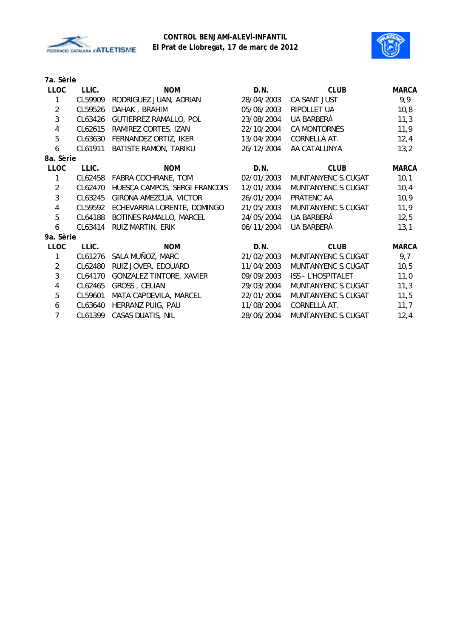



| 7a. Sèrie      |         |                                 |            |                           |              |
|----------------|---------|---------------------------------|------------|---------------------------|--------------|
| <b>LLOC</b>    | LLIC.   | <b>NOM</b>                      | D.N.       | <b>CLUB</b>               | <b>MARCA</b> |
| 1              | CL59909 | RODRIGUEZ JUAN, ADRIAN          | 28/04/2003 | CA SANT JUST              | 9,9          |
| $\overline{2}$ | CL59526 | DAHAK, BRAHIM                   | 05/06/2003 | RIPOLLET UA               | 10,8         |
| $\mathbf{3}$   | CL63426 | GUTIERREZ RAMALLO, POL          | 23/08/2004 | UA BARBERÀ                | 11,3         |
| $\overline{4}$ | CL62615 | RAMIREZ CORTES, IZAN            | 22/10/2004 | CA MONTORNÈS              | 11,9         |
| 5              | CL63630 | FERNANDEZ ORTIZ, IKER           | 13/04/2004 | CORNELLÀ AT.              | 12,4         |
| 6              | CL61911 | BATISTE RAMON, TARIKU           | 26/12/2004 | AA CATALUNYA              | 13,2         |
| 8a. Sèrie      |         |                                 |            |                           |              |
| <b>LLOC</b>    | LLIC.   | <b>NOM</b>                      | D.N.       | <b>CLUB</b>               | <b>MARCA</b> |
| $\mathbf{1}$   | CL62458 | FABRA COCHRANE, TOM             | 02/01/2003 | MUNTANYENC S.CUGAT        | 10,1         |
| $\overline{2}$ | CL62470 | HUESCA CAMPOS, SERGI FRANCOIS   | 12/01/2004 | MUNTANYENC S.CUGAT        | 10,4         |
| $\mathbf{3}$   | CL63245 | GIRONA AMEZCUA, VICTOR          | 26/01/2004 | PRATENC AA                | 10,9         |
| $\overline{4}$ | CL59592 | ECHEVARRIA LORENTE, DOMINGO     | 21/05/2003 | MUNTANYENC S.CUGAT        | 11,9         |
| 5              | CL64188 | BOTINES RAMALLO, MARCEL         | 24/05/2004 | UA BARBERÀ                | 12,5         |
| 6              | CL63414 | RUIZ MARTIN, ERIK               | 06/11/2004 | UA BARBERÀ                | 13,1         |
| 9a. Sèrie      |         |                                 |            |                           |              |
| <b>LLOC</b>    | LLIC.   | <b>NOM</b>                      | D.N.       | <b>CLUB</b>               | <b>MARCA</b> |
| $\mathbf{1}$   | CL61276 | SALA MUÑOZ, MARC                | 21/02/2003 | MUNTANYENC S.CUGAT        | 9,7          |
| $\overline{2}$ | CL62480 | RUIZ JOVER, EDOUARD             | 11/04/2003 | MUNTANYENC S.CUGAT        | 10, 5        |
| $\mathbf{3}$   | CL64170 | <b>GONZALEZ TINTORE, XAVIER</b> | 09/09/2003 | <b>ISS - L'HOSPITALET</b> | 11,0         |
| $\overline{4}$ | CL62465 | GROSS, CELIAN                   | 29/03/2004 | MUNTANYENC S.CUGAT        | 11,3         |
| 5              | CL59601 | MATA CAPDEVILA, MARCEL          | 22/01/2004 | MUNTANYENC S.CUGAT        | 11,5         |
| 6              | CL63640 | HERRANZ PUIG, PAU               | 11/08/2004 | CORNELLÀ AT.              | 11,7         |
| $\overline{7}$ | CL61399 | <b>CASAS DUATIS, NIL</b>        | 28/06/2004 | MUNTANYENC S.CUGAT        | 12,4         |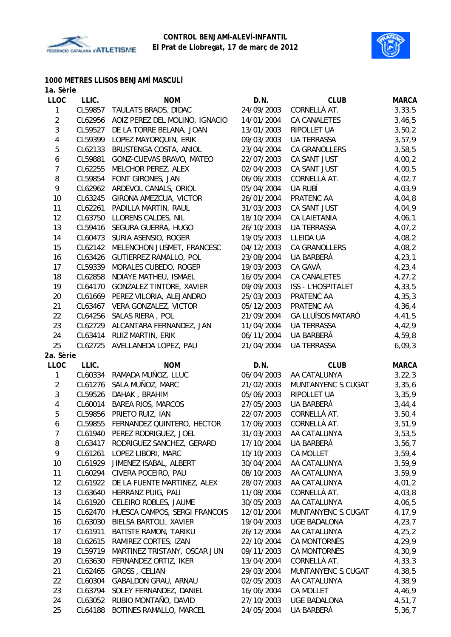



#### **1000 METRES LLISOS BENJAMÍ MASCULÍ 1a. Sèrie**

| 24/09/2003<br>1<br>CL59857<br>TAULATS BRAOS, DIDAC<br>CORNELLÀ AT.<br>3, 33, 5<br>$\overline{c}$<br>AOIZ PEREZ DEL MOLINO, IGNACIO<br>14/01/2004<br>CL62956<br><b>CA CANALETES</b><br>3,46,5<br>3<br>DE LA TORRE BELANA, JOAN<br>CL59527<br>13/01/2003<br>RIPOLLET UA<br>3,50,2<br>4<br>LOPEZ MAYORQUIN, ERIK<br><b>UA TERRASSA</b><br>3,57,9<br>CL59399<br>09/03/2003<br>5<br>CL62133<br>BRUSTENGA COSTA, ANIOL<br>23/04/2004<br>CA GRANOLLERS<br>3,58,5<br>6<br>CL59881<br>CA SANT JUST<br>4,00,2<br>GONZ-CUEVAS BRAVO, MATEO<br>22/07/2003<br>$\overline{7}$<br>MELCHOR PEREZ, ALEX<br>02/04/2003<br>CA SANT JUST<br>4,00,5<br>CL62255<br>8<br>FONT GIRONES, JAN<br>CORNELLÀ AT.<br>4,02,7<br>CL59854<br>06/06/2003<br>9<br>ARDEVOL CANALS, ORIOL<br>05/04/2004<br>UA RUBÍ<br>4,03,9<br>CL62962<br>10<br>GIRONA AMEZCUA, VICTOR<br>4,04,8<br>CL63245<br>26/01/2004<br>PRATENC AA<br>PADILLA MARTIN, RAUL<br>CA SANT JUST<br>4,04,9<br>11<br>CL62261<br>31/03/2003<br>12<br>CL63750<br>LLORENS CALDES, NIL<br>18/10/2004<br>CA LAIETANIA<br>4,06,1<br>SEGURA GUERRA, HUGO<br>13<br>CL59416<br>26/10/2003<br><b>UA TERRASSA</b><br>4,07,2<br>14<br>SURIA ASENSIO, ROGER<br>19/05/2003<br><b>LLEIDA UA</b><br>4,08,2<br>CL60473<br>15<br>MELENCHON JUSMET, FRANCESC<br><b>CA GRANOLLERS</b><br>CL62142<br>04/12/2003<br>4,08,2<br>16<br>GUTIERREZ RAMALLO, POL<br>UA BARBERÀ<br>4, 23, 1<br>CL63426<br>23/08/2004<br>17<br>CL59339<br>MORALES CUBEDO, ROGER<br>CA GAVÀ<br>4, 23, 4<br>19/03/2003<br>18<br>CL62858<br>NDIAYE MATHEU, ISMAEL<br>16/05/2004<br>CA CANALETES<br>4,27,2<br>19<br>CL64170<br><b>GONZALEZ TINTORE, XAVIER</b><br>09/09/2003<br>ISS - L'HOSPITALET<br>4,33,5<br>20<br>PRATENC AA<br>4,35,3<br>CL61669<br>PEREZ VILORIA, ALEJANDRO<br>25/03/2003<br>21<br>VERA GONZALEZ, VICTOR<br>PRATENC AA<br>CL63467<br>05/12/2003<br>4,36,4<br>22<br>SALAS RIERA, POL<br><b>GA LLUÏSOS MATARÓ</b><br>4,41,5<br>CL64256<br>21/09/2004<br>23<br>ALCANTARA FERNANDEZ, JAN<br>11/04/2004<br><b>UA TERRASSA</b><br>4,42,9<br>CL62729<br>24<br>RUIZ MARTIN, ERIK<br>UA BARBERÀ<br>CL63414<br>06/11/2004<br>4,59,8<br>25<br>AVELLANEDA LOPEZ, PAU<br><b>UA TERRASSA</b><br>CL62725<br>21/04/2004<br>6,09,3<br>2a. Sèrie<br>LLOC<br>LLIC.<br>D.N.<br><b>CLUB</b><br><b>NOM</b><br><b>MARCA</b><br>1<br>CL60334<br>RAMADA MUÑOZ, LLUC<br>06/04/2003<br>AA CATALUNYA<br>3, 22, 3<br>$\overline{2}$<br>CL61276<br>SALA MUÑOZ, MARC<br>21/02/2003<br>MUNTANYENC S.CUGAT<br>3,35,6<br>3<br>CL59526<br>DAHAK, BRAHIM<br>RIPOLLET UA<br>05/06/2003<br>3,35,9<br>$\overline{4}$<br>BAREA RIOS, MARCOS<br>UA BARBERÀ<br>CL60014<br>27/05/2003<br>3,44,4<br>5<br>PRIETO RUIZ, IAN<br>CORNELLÀ AT.<br>3,50,4<br>CL59856<br>22/07/2003<br>FERNANDEZ QUINTERO, HECTOR<br>CORNELLÀ AT.<br>6<br>CL59855<br>17/06/2003<br>3,51,9<br>PEREZ RODRIGUEZ, JOEL<br>31/03/2003<br>AA CATALUNYA<br>7<br>CL61940<br>3,53,5<br>8<br>RODRIGUEZ SANCHEZ, GERARD<br>UA BARBERÀ<br>CL63417<br>17/10/2004<br>3,56,7<br>9<br>CL61261<br>LOPEZ LIBORI, MARC<br>10/10/2003<br>CA MOLLET<br>3,59,4<br>10<br>CL61929<br>JIMENEZ ISABAL, ALBERT<br>30/04/2004<br>AA CATALUNYA<br>3,59,9<br>11<br>CIVERA POCEIRO, PAU<br>AA CATALUNYA<br>CL60294<br>08/10/2003<br>3,59,9<br>12<br>DE LA FUENTE MARTINEZ, ALEX<br>28/07/2003<br>AA CATALUNYA<br>4,01,2<br>CL61922<br>13<br>HERRANZ PUIG, PAU<br>11/08/2004<br>CORNELLÀ AT.<br>4,03,8<br>CL63640<br>14<br>CL61920<br>CELEIRO ROBLES, JAUME<br>30/05/2003<br>AA CATALUNYA<br>4,06,5<br>HUESCA CAMPOS, SERGI FRANCOIS<br>15<br>CL62470<br>12/01/2004<br>MUNTANYENC S.CUGAT<br>4,17,9<br>16<br>CL63030<br>BIELSA BARTOLI, XAVIER<br>19/04/2003<br><b>UGE BADALONA</b><br>4, 23, 7<br>17<br>CL61911<br>BATISTE RAMON, TARIKU<br>26/12/2004<br>AA CATALUNYA<br>4, 25, 2<br>4,29,9<br>18<br>CL62615<br>RAMIREZ CORTES, IZAN<br>22/10/2004<br>CA MONTORNÈS<br>19<br>MARTINEZ TRISTANY, OSCAR JUN<br>CA MONTORNÈS<br>4,30,9<br>CL59719<br>09/11/2003<br>20<br>FERNANDEZ ORTIZ, IKER<br>CORNELLÀ AT.<br>4, 33, 3<br>CL63630<br>13/04/2004<br>21<br>GROSS, CELIAN<br>CL62465<br>29/03/2004<br>MUNTANYENC S.CUGAT<br>4,38,5<br>22<br>GABALDON GRAU, ARNAU<br>CL60304<br>02/05/2003<br>AA CATALUNYA<br>4,38,9<br>23<br>CL63794<br>SOLEY FERNANDEZ, DANIEL<br>16/06/2004<br>CA MOLLET<br>4,46,9<br>24<br>RUBIO MONTAÑO, DAVID<br>CL63052<br>27/10/2003<br><b>UGE BADALONA</b><br>4,51,7<br>25<br>CL64188<br>BOTINES RAMALLO, MARCEL<br>24/05/2004<br>UA BARBERÀ<br>5,36,7 | та, зепе    |       |            |      |             |              |
|--------------------------------------------------------------------------------------------------------------------------------------------------------------------------------------------------------------------------------------------------------------------------------------------------------------------------------------------------------------------------------------------------------------------------------------------------------------------------------------------------------------------------------------------------------------------------------------------------------------------------------------------------------------------------------------------------------------------------------------------------------------------------------------------------------------------------------------------------------------------------------------------------------------------------------------------------------------------------------------------------------------------------------------------------------------------------------------------------------------------------------------------------------------------------------------------------------------------------------------------------------------------------------------------------------------------------------------------------------------------------------------------------------------------------------------------------------------------------------------------------------------------------------------------------------------------------------------------------------------------------------------------------------------------------------------------------------------------------------------------------------------------------------------------------------------------------------------------------------------------------------------------------------------------------------------------------------------------------------------------------------------------------------------------------------------------------------------------------------------------------------------------------------------------------------------------------------------------------------------------------------------------------------------------------------------------------------------------------------------------------------------------------------------------------------------------------------------------------------------------------------------------------------------------------------------------------------------------------------------------------------------------------------------------------------------------------------------------------------------------------------------------------------------------------------------------------------------------------------------------------------------------------------------------------------------------------------------------------------------------------------------------------------------------------------------------------------------------------------------------------------------------------------------------------------------------------------------------------------------------------------------------------------------------------------------------------------------------------------------------------------------------------------------------------------------------------------------------------------------------------------------------------------------------------------------------------------------------------------------------------------------------------------------------------------------------------------------------------------------------------------------------------------------------------------------------------------------------------------------------------------------------------------------------------------------------------------------------------------------------------------------------------------------------------------------------------------------------------------------------------------------------------------------------------------------------------------------------------------------------------------------------------------------------------------------------------------------------------------------------------------------------------------------------------------------------------------------------------|-------------|-------|------------|------|-------------|--------------|
|                                                                                                                                                                                                                                                                                                                                                                                                                                                                                                                                                                                                                                                                                                                                                                                                                                                                                                                                                                                                                                                                                                                                                                                                                                                                                                                                                                                                                                                                                                                                                                                                                                                                                                                                                                                                                                                                                                                                                                                                                                                                                                                                                                                                                                                                                                                                                                                                                                                                                                                                                                                                                                                                                                                                                                                                                                                                                                                                                                                                                                                                                                                                                                                                                                                                                                                                                                                                                                                                                                                                                                                                                                                                                                                                                                                                                                                                                                                                                                                                                                                                                                                                                                                                                                                                                                                                                                                                                                                                          | <b>LLOC</b> | LLIC. | <b>NOM</b> | D.N. | <b>CLUB</b> | <b>MARCA</b> |
|                                                                                                                                                                                                                                                                                                                                                                                                                                                                                                                                                                                                                                                                                                                                                                                                                                                                                                                                                                                                                                                                                                                                                                                                                                                                                                                                                                                                                                                                                                                                                                                                                                                                                                                                                                                                                                                                                                                                                                                                                                                                                                                                                                                                                                                                                                                                                                                                                                                                                                                                                                                                                                                                                                                                                                                                                                                                                                                                                                                                                                                                                                                                                                                                                                                                                                                                                                                                                                                                                                                                                                                                                                                                                                                                                                                                                                                                                                                                                                                                                                                                                                                                                                                                                                                                                                                                                                                                                                                                          |             |       |            |      |             |              |
|                                                                                                                                                                                                                                                                                                                                                                                                                                                                                                                                                                                                                                                                                                                                                                                                                                                                                                                                                                                                                                                                                                                                                                                                                                                                                                                                                                                                                                                                                                                                                                                                                                                                                                                                                                                                                                                                                                                                                                                                                                                                                                                                                                                                                                                                                                                                                                                                                                                                                                                                                                                                                                                                                                                                                                                                                                                                                                                                                                                                                                                                                                                                                                                                                                                                                                                                                                                                                                                                                                                                                                                                                                                                                                                                                                                                                                                                                                                                                                                                                                                                                                                                                                                                                                                                                                                                                                                                                                                                          |             |       |            |      |             |              |
|                                                                                                                                                                                                                                                                                                                                                                                                                                                                                                                                                                                                                                                                                                                                                                                                                                                                                                                                                                                                                                                                                                                                                                                                                                                                                                                                                                                                                                                                                                                                                                                                                                                                                                                                                                                                                                                                                                                                                                                                                                                                                                                                                                                                                                                                                                                                                                                                                                                                                                                                                                                                                                                                                                                                                                                                                                                                                                                                                                                                                                                                                                                                                                                                                                                                                                                                                                                                                                                                                                                                                                                                                                                                                                                                                                                                                                                                                                                                                                                                                                                                                                                                                                                                                                                                                                                                                                                                                                                                          |             |       |            |      |             |              |
|                                                                                                                                                                                                                                                                                                                                                                                                                                                                                                                                                                                                                                                                                                                                                                                                                                                                                                                                                                                                                                                                                                                                                                                                                                                                                                                                                                                                                                                                                                                                                                                                                                                                                                                                                                                                                                                                                                                                                                                                                                                                                                                                                                                                                                                                                                                                                                                                                                                                                                                                                                                                                                                                                                                                                                                                                                                                                                                                                                                                                                                                                                                                                                                                                                                                                                                                                                                                                                                                                                                                                                                                                                                                                                                                                                                                                                                                                                                                                                                                                                                                                                                                                                                                                                                                                                                                                                                                                                                                          |             |       |            |      |             |              |
|                                                                                                                                                                                                                                                                                                                                                                                                                                                                                                                                                                                                                                                                                                                                                                                                                                                                                                                                                                                                                                                                                                                                                                                                                                                                                                                                                                                                                                                                                                                                                                                                                                                                                                                                                                                                                                                                                                                                                                                                                                                                                                                                                                                                                                                                                                                                                                                                                                                                                                                                                                                                                                                                                                                                                                                                                                                                                                                                                                                                                                                                                                                                                                                                                                                                                                                                                                                                                                                                                                                                                                                                                                                                                                                                                                                                                                                                                                                                                                                                                                                                                                                                                                                                                                                                                                                                                                                                                                                                          |             |       |            |      |             |              |
|                                                                                                                                                                                                                                                                                                                                                                                                                                                                                                                                                                                                                                                                                                                                                                                                                                                                                                                                                                                                                                                                                                                                                                                                                                                                                                                                                                                                                                                                                                                                                                                                                                                                                                                                                                                                                                                                                                                                                                                                                                                                                                                                                                                                                                                                                                                                                                                                                                                                                                                                                                                                                                                                                                                                                                                                                                                                                                                                                                                                                                                                                                                                                                                                                                                                                                                                                                                                                                                                                                                                                                                                                                                                                                                                                                                                                                                                                                                                                                                                                                                                                                                                                                                                                                                                                                                                                                                                                                                                          |             |       |            |      |             |              |
|                                                                                                                                                                                                                                                                                                                                                                                                                                                                                                                                                                                                                                                                                                                                                                                                                                                                                                                                                                                                                                                                                                                                                                                                                                                                                                                                                                                                                                                                                                                                                                                                                                                                                                                                                                                                                                                                                                                                                                                                                                                                                                                                                                                                                                                                                                                                                                                                                                                                                                                                                                                                                                                                                                                                                                                                                                                                                                                                                                                                                                                                                                                                                                                                                                                                                                                                                                                                                                                                                                                                                                                                                                                                                                                                                                                                                                                                                                                                                                                                                                                                                                                                                                                                                                                                                                                                                                                                                                                                          |             |       |            |      |             |              |
|                                                                                                                                                                                                                                                                                                                                                                                                                                                                                                                                                                                                                                                                                                                                                                                                                                                                                                                                                                                                                                                                                                                                                                                                                                                                                                                                                                                                                                                                                                                                                                                                                                                                                                                                                                                                                                                                                                                                                                                                                                                                                                                                                                                                                                                                                                                                                                                                                                                                                                                                                                                                                                                                                                                                                                                                                                                                                                                                                                                                                                                                                                                                                                                                                                                                                                                                                                                                                                                                                                                                                                                                                                                                                                                                                                                                                                                                                                                                                                                                                                                                                                                                                                                                                                                                                                                                                                                                                                                                          |             |       |            |      |             |              |
|                                                                                                                                                                                                                                                                                                                                                                                                                                                                                                                                                                                                                                                                                                                                                                                                                                                                                                                                                                                                                                                                                                                                                                                                                                                                                                                                                                                                                                                                                                                                                                                                                                                                                                                                                                                                                                                                                                                                                                                                                                                                                                                                                                                                                                                                                                                                                                                                                                                                                                                                                                                                                                                                                                                                                                                                                                                                                                                                                                                                                                                                                                                                                                                                                                                                                                                                                                                                                                                                                                                                                                                                                                                                                                                                                                                                                                                                                                                                                                                                                                                                                                                                                                                                                                                                                                                                                                                                                                                                          |             |       |            |      |             |              |
|                                                                                                                                                                                                                                                                                                                                                                                                                                                                                                                                                                                                                                                                                                                                                                                                                                                                                                                                                                                                                                                                                                                                                                                                                                                                                                                                                                                                                                                                                                                                                                                                                                                                                                                                                                                                                                                                                                                                                                                                                                                                                                                                                                                                                                                                                                                                                                                                                                                                                                                                                                                                                                                                                                                                                                                                                                                                                                                                                                                                                                                                                                                                                                                                                                                                                                                                                                                                                                                                                                                                                                                                                                                                                                                                                                                                                                                                                                                                                                                                                                                                                                                                                                                                                                                                                                                                                                                                                                                                          |             |       |            |      |             |              |
|                                                                                                                                                                                                                                                                                                                                                                                                                                                                                                                                                                                                                                                                                                                                                                                                                                                                                                                                                                                                                                                                                                                                                                                                                                                                                                                                                                                                                                                                                                                                                                                                                                                                                                                                                                                                                                                                                                                                                                                                                                                                                                                                                                                                                                                                                                                                                                                                                                                                                                                                                                                                                                                                                                                                                                                                                                                                                                                                                                                                                                                                                                                                                                                                                                                                                                                                                                                                                                                                                                                                                                                                                                                                                                                                                                                                                                                                                                                                                                                                                                                                                                                                                                                                                                                                                                                                                                                                                                                                          |             |       |            |      |             |              |
|                                                                                                                                                                                                                                                                                                                                                                                                                                                                                                                                                                                                                                                                                                                                                                                                                                                                                                                                                                                                                                                                                                                                                                                                                                                                                                                                                                                                                                                                                                                                                                                                                                                                                                                                                                                                                                                                                                                                                                                                                                                                                                                                                                                                                                                                                                                                                                                                                                                                                                                                                                                                                                                                                                                                                                                                                                                                                                                                                                                                                                                                                                                                                                                                                                                                                                                                                                                                                                                                                                                                                                                                                                                                                                                                                                                                                                                                                                                                                                                                                                                                                                                                                                                                                                                                                                                                                                                                                                                                          |             |       |            |      |             |              |
|                                                                                                                                                                                                                                                                                                                                                                                                                                                                                                                                                                                                                                                                                                                                                                                                                                                                                                                                                                                                                                                                                                                                                                                                                                                                                                                                                                                                                                                                                                                                                                                                                                                                                                                                                                                                                                                                                                                                                                                                                                                                                                                                                                                                                                                                                                                                                                                                                                                                                                                                                                                                                                                                                                                                                                                                                                                                                                                                                                                                                                                                                                                                                                                                                                                                                                                                                                                                                                                                                                                                                                                                                                                                                                                                                                                                                                                                                                                                                                                                                                                                                                                                                                                                                                                                                                                                                                                                                                                                          |             |       |            |      |             |              |
|                                                                                                                                                                                                                                                                                                                                                                                                                                                                                                                                                                                                                                                                                                                                                                                                                                                                                                                                                                                                                                                                                                                                                                                                                                                                                                                                                                                                                                                                                                                                                                                                                                                                                                                                                                                                                                                                                                                                                                                                                                                                                                                                                                                                                                                                                                                                                                                                                                                                                                                                                                                                                                                                                                                                                                                                                                                                                                                                                                                                                                                                                                                                                                                                                                                                                                                                                                                                                                                                                                                                                                                                                                                                                                                                                                                                                                                                                                                                                                                                                                                                                                                                                                                                                                                                                                                                                                                                                                                                          |             |       |            |      |             |              |
|                                                                                                                                                                                                                                                                                                                                                                                                                                                                                                                                                                                                                                                                                                                                                                                                                                                                                                                                                                                                                                                                                                                                                                                                                                                                                                                                                                                                                                                                                                                                                                                                                                                                                                                                                                                                                                                                                                                                                                                                                                                                                                                                                                                                                                                                                                                                                                                                                                                                                                                                                                                                                                                                                                                                                                                                                                                                                                                                                                                                                                                                                                                                                                                                                                                                                                                                                                                                                                                                                                                                                                                                                                                                                                                                                                                                                                                                                                                                                                                                                                                                                                                                                                                                                                                                                                                                                                                                                                                                          |             |       |            |      |             |              |
|                                                                                                                                                                                                                                                                                                                                                                                                                                                                                                                                                                                                                                                                                                                                                                                                                                                                                                                                                                                                                                                                                                                                                                                                                                                                                                                                                                                                                                                                                                                                                                                                                                                                                                                                                                                                                                                                                                                                                                                                                                                                                                                                                                                                                                                                                                                                                                                                                                                                                                                                                                                                                                                                                                                                                                                                                                                                                                                                                                                                                                                                                                                                                                                                                                                                                                                                                                                                                                                                                                                                                                                                                                                                                                                                                                                                                                                                                                                                                                                                                                                                                                                                                                                                                                                                                                                                                                                                                                                                          |             |       |            |      |             |              |
|                                                                                                                                                                                                                                                                                                                                                                                                                                                                                                                                                                                                                                                                                                                                                                                                                                                                                                                                                                                                                                                                                                                                                                                                                                                                                                                                                                                                                                                                                                                                                                                                                                                                                                                                                                                                                                                                                                                                                                                                                                                                                                                                                                                                                                                                                                                                                                                                                                                                                                                                                                                                                                                                                                                                                                                                                                                                                                                                                                                                                                                                                                                                                                                                                                                                                                                                                                                                                                                                                                                                                                                                                                                                                                                                                                                                                                                                                                                                                                                                                                                                                                                                                                                                                                                                                                                                                                                                                                                                          |             |       |            |      |             |              |
|                                                                                                                                                                                                                                                                                                                                                                                                                                                                                                                                                                                                                                                                                                                                                                                                                                                                                                                                                                                                                                                                                                                                                                                                                                                                                                                                                                                                                                                                                                                                                                                                                                                                                                                                                                                                                                                                                                                                                                                                                                                                                                                                                                                                                                                                                                                                                                                                                                                                                                                                                                                                                                                                                                                                                                                                                                                                                                                                                                                                                                                                                                                                                                                                                                                                                                                                                                                                                                                                                                                                                                                                                                                                                                                                                                                                                                                                                                                                                                                                                                                                                                                                                                                                                                                                                                                                                                                                                                                                          |             |       |            |      |             |              |
|                                                                                                                                                                                                                                                                                                                                                                                                                                                                                                                                                                                                                                                                                                                                                                                                                                                                                                                                                                                                                                                                                                                                                                                                                                                                                                                                                                                                                                                                                                                                                                                                                                                                                                                                                                                                                                                                                                                                                                                                                                                                                                                                                                                                                                                                                                                                                                                                                                                                                                                                                                                                                                                                                                                                                                                                                                                                                                                                                                                                                                                                                                                                                                                                                                                                                                                                                                                                                                                                                                                                                                                                                                                                                                                                                                                                                                                                                                                                                                                                                                                                                                                                                                                                                                                                                                                                                                                                                                                                          |             |       |            |      |             |              |
|                                                                                                                                                                                                                                                                                                                                                                                                                                                                                                                                                                                                                                                                                                                                                                                                                                                                                                                                                                                                                                                                                                                                                                                                                                                                                                                                                                                                                                                                                                                                                                                                                                                                                                                                                                                                                                                                                                                                                                                                                                                                                                                                                                                                                                                                                                                                                                                                                                                                                                                                                                                                                                                                                                                                                                                                                                                                                                                                                                                                                                                                                                                                                                                                                                                                                                                                                                                                                                                                                                                                                                                                                                                                                                                                                                                                                                                                                                                                                                                                                                                                                                                                                                                                                                                                                                                                                                                                                                                                          |             |       |            |      |             |              |
|                                                                                                                                                                                                                                                                                                                                                                                                                                                                                                                                                                                                                                                                                                                                                                                                                                                                                                                                                                                                                                                                                                                                                                                                                                                                                                                                                                                                                                                                                                                                                                                                                                                                                                                                                                                                                                                                                                                                                                                                                                                                                                                                                                                                                                                                                                                                                                                                                                                                                                                                                                                                                                                                                                                                                                                                                                                                                                                                                                                                                                                                                                                                                                                                                                                                                                                                                                                                                                                                                                                                                                                                                                                                                                                                                                                                                                                                                                                                                                                                                                                                                                                                                                                                                                                                                                                                                                                                                                                                          |             |       |            |      |             |              |
|                                                                                                                                                                                                                                                                                                                                                                                                                                                                                                                                                                                                                                                                                                                                                                                                                                                                                                                                                                                                                                                                                                                                                                                                                                                                                                                                                                                                                                                                                                                                                                                                                                                                                                                                                                                                                                                                                                                                                                                                                                                                                                                                                                                                                                                                                                                                                                                                                                                                                                                                                                                                                                                                                                                                                                                                                                                                                                                                                                                                                                                                                                                                                                                                                                                                                                                                                                                                                                                                                                                                                                                                                                                                                                                                                                                                                                                                                                                                                                                                                                                                                                                                                                                                                                                                                                                                                                                                                                                                          |             |       |            |      |             |              |
|                                                                                                                                                                                                                                                                                                                                                                                                                                                                                                                                                                                                                                                                                                                                                                                                                                                                                                                                                                                                                                                                                                                                                                                                                                                                                                                                                                                                                                                                                                                                                                                                                                                                                                                                                                                                                                                                                                                                                                                                                                                                                                                                                                                                                                                                                                                                                                                                                                                                                                                                                                                                                                                                                                                                                                                                                                                                                                                                                                                                                                                                                                                                                                                                                                                                                                                                                                                                                                                                                                                                                                                                                                                                                                                                                                                                                                                                                                                                                                                                                                                                                                                                                                                                                                                                                                                                                                                                                                                                          |             |       |            |      |             |              |
|                                                                                                                                                                                                                                                                                                                                                                                                                                                                                                                                                                                                                                                                                                                                                                                                                                                                                                                                                                                                                                                                                                                                                                                                                                                                                                                                                                                                                                                                                                                                                                                                                                                                                                                                                                                                                                                                                                                                                                                                                                                                                                                                                                                                                                                                                                                                                                                                                                                                                                                                                                                                                                                                                                                                                                                                                                                                                                                                                                                                                                                                                                                                                                                                                                                                                                                                                                                                                                                                                                                                                                                                                                                                                                                                                                                                                                                                                                                                                                                                                                                                                                                                                                                                                                                                                                                                                                                                                                                                          |             |       |            |      |             |              |
|                                                                                                                                                                                                                                                                                                                                                                                                                                                                                                                                                                                                                                                                                                                                                                                                                                                                                                                                                                                                                                                                                                                                                                                                                                                                                                                                                                                                                                                                                                                                                                                                                                                                                                                                                                                                                                                                                                                                                                                                                                                                                                                                                                                                                                                                                                                                                                                                                                                                                                                                                                                                                                                                                                                                                                                                                                                                                                                                                                                                                                                                                                                                                                                                                                                                                                                                                                                                                                                                                                                                                                                                                                                                                                                                                                                                                                                                                                                                                                                                                                                                                                                                                                                                                                                                                                                                                                                                                                                                          |             |       |            |      |             |              |
|                                                                                                                                                                                                                                                                                                                                                                                                                                                                                                                                                                                                                                                                                                                                                                                                                                                                                                                                                                                                                                                                                                                                                                                                                                                                                                                                                                                                                                                                                                                                                                                                                                                                                                                                                                                                                                                                                                                                                                                                                                                                                                                                                                                                                                                                                                                                                                                                                                                                                                                                                                                                                                                                                                                                                                                                                                                                                                                                                                                                                                                                                                                                                                                                                                                                                                                                                                                                                                                                                                                                                                                                                                                                                                                                                                                                                                                                                                                                                                                                                                                                                                                                                                                                                                                                                                                                                                                                                                                                          |             |       |            |      |             |              |
|                                                                                                                                                                                                                                                                                                                                                                                                                                                                                                                                                                                                                                                                                                                                                                                                                                                                                                                                                                                                                                                                                                                                                                                                                                                                                                                                                                                                                                                                                                                                                                                                                                                                                                                                                                                                                                                                                                                                                                                                                                                                                                                                                                                                                                                                                                                                                                                                                                                                                                                                                                                                                                                                                                                                                                                                                                                                                                                                                                                                                                                                                                                                                                                                                                                                                                                                                                                                                                                                                                                                                                                                                                                                                                                                                                                                                                                                                                                                                                                                                                                                                                                                                                                                                                                                                                                                                                                                                                                                          |             |       |            |      |             |              |
|                                                                                                                                                                                                                                                                                                                                                                                                                                                                                                                                                                                                                                                                                                                                                                                                                                                                                                                                                                                                                                                                                                                                                                                                                                                                                                                                                                                                                                                                                                                                                                                                                                                                                                                                                                                                                                                                                                                                                                                                                                                                                                                                                                                                                                                                                                                                                                                                                                                                                                                                                                                                                                                                                                                                                                                                                                                                                                                                                                                                                                                                                                                                                                                                                                                                                                                                                                                                                                                                                                                                                                                                                                                                                                                                                                                                                                                                                                                                                                                                                                                                                                                                                                                                                                                                                                                                                                                                                                                                          |             |       |            |      |             |              |
|                                                                                                                                                                                                                                                                                                                                                                                                                                                                                                                                                                                                                                                                                                                                                                                                                                                                                                                                                                                                                                                                                                                                                                                                                                                                                                                                                                                                                                                                                                                                                                                                                                                                                                                                                                                                                                                                                                                                                                                                                                                                                                                                                                                                                                                                                                                                                                                                                                                                                                                                                                                                                                                                                                                                                                                                                                                                                                                                                                                                                                                                                                                                                                                                                                                                                                                                                                                                                                                                                                                                                                                                                                                                                                                                                                                                                                                                                                                                                                                                                                                                                                                                                                                                                                                                                                                                                                                                                                                                          |             |       |            |      |             |              |
|                                                                                                                                                                                                                                                                                                                                                                                                                                                                                                                                                                                                                                                                                                                                                                                                                                                                                                                                                                                                                                                                                                                                                                                                                                                                                                                                                                                                                                                                                                                                                                                                                                                                                                                                                                                                                                                                                                                                                                                                                                                                                                                                                                                                                                                                                                                                                                                                                                                                                                                                                                                                                                                                                                                                                                                                                                                                                                                                                                                                                                                                                                                                                                                                                                                                                                                                                                                                                                                                                                                                                                                                                                                                                                                                                                                                                                                                                                                                                                                                                                                                                                                                                                                                                                                                                                                                                                                                                                                                          |             |       |            |      |             |              |
|                                                                                                                                                                                                                                                                                                                                                                                                                                                                                                                                                                                                                                                                                                                                                                                                                                                                                                                                                                                                                                                                                                                                                                                                                                                                                                                                                                                                                                                                                                                                                                                                                                                                                                                                                                                                                                                                                                                                                                                                                                                                                                                                                                                                                                                                                                                                                                                                                                                                                                                                                                                                                                                                                                                                                                                                                                                                                                                                                                                                                                                                                                                                                                                                                                                                                                                                                                                                                                                                                                                                                                                                                                                                                                                                                                                                                                                                                                                                                                                                                                                                                                                                                                                                                                                                                                                                                                                                                                                                          |             |       |            |      |             |              |
|                                                                                                                                                                                                                                                                                                                                                                                                                                                                                                                                                                                                                                                                                                                                                                                                                                                                                                                                                                                                                                                                                                                                                                                                                                                                                                                                                                                                                                                                                                                                                                                                                                                                                                                                                                                                                                                                                                                                                                                                                                                                                                                                                                                                                                                                                                                                                                                                                                                                                                                                                                                                                                                                                                                                                                                                                                                                                                                                                                                                                                                                                                                                                                                                                                                                                                                                                                                                                                                                                                                                                                                                                                                                                                                                                                                                                                                                                                                                                                                                                                                                                                                                                                                                                                                                                                                                                                                                                                                                          |             |       |            |      |             |              |
|                                                                                                                                                                                                                                                                                                                                                                                                                                                                                                                                                                                                                                                                                                                                                                                                                                                                                                                                                                                                                                                                                                                                                                                                                                                                                                                                                                                                                                                                                                                                                                                                                                                                                                                                                                                                                                                                                                                                                                                                                                                                                                                                                                                                                                                                                                                                                                                                                                                                                                                                                                                                                                                                                                                                                                                                                                                                                                                                                                                                                                                                                                                                                                                                                                                                                                                                                                                                                                                                                                                                                                                                                                                                                                                                                                                                                                                                                                                                                                                                                                                                                                                                                                                                                                                                                                                                                                                                                                                                          |             |       |            |      |             |              |
|                                                                                                                                                                                                                                                                                                                                                                                                                                                                                                                                                                                                                                                                                                                                                                                                                                                                                                                                                                                                                                                                                                                                                                                                                                                                                                                                                                                                                                                                                                                                                                                                                                                                                                                                                                                                                                                                                                                                                                                                                                                                                                                                                                                                                                                                                                                                                                                                                                                                                                                                                                                                                                                                                                                                                                                                                                                                                                                                                                                                                                                                                                                                                                                                                                                                                                                                                                                                                                                                                                                                                                                                                                                                                                                                                                                                                                                                                                                                                                                                                                                                                                                                                                                                                                                                                                                                                                                                                                                                          |             |       |            |      |             |              |
|                                                                                                                                                                                                                                                                                                                                                                                                                                                                                                                                                                                                                                                                                                                                                                                                                                                                                                                                                                                                                                                                                                                                                                                                                                                                                                                                                                                                                                                                                                                                                                                                                                                                                                                                                                                                                                                                                                                                                                                                                                                                                                                                                                                                                                                                                                                                                                                                                                                                                                                                                                                                                                                                                                                                                                                                                                                                                                                                                                                                                                                                                                                                                                                                                                                                                                                                                                                                                                                                                                                                                                                                                                                                                                                                                                                                                                                                                                                                                                                                                                                                                                                                                                                                                                                                                                                                                                                                                                                                          |             |       |            |      |             |              |
|                                                                                                                                                                                                                                                                                                                                                                                                                                                                                                                                                                                                                                                                                                                                                                                                                                                                                                                                                                                                                                                                                                                                                                                                                                                                                                                                                                                                                                                                                                                                                                                                                                                                                                                                                                                                                                                                                                                                                                                                                                                                                                                                                                                                                                                                                                                                                                                                                                                                                                                                                                                                                                                                                                                                                                                                                                                                                                                                                                                                                                                                                                                                                                                                                                                                                                                                                                                                                                                                                                                                                                                                                                                                                                                                                                                                                                                                                                                                                                                                                                                                                                                                                                                                                                                                                                                                                                                                                                                                          |             |       |            |      |             |              |
|                                                                                                                                                                                                                                                                                                                                                                                                                                                                                                                                                                                                                                                                                                                                                                                                                                                                                                                                                                                                                                                                                                                                                                                                                                                                                                                                                                                                                                                                                                                                                                                                                                                                                                                                                                                                                                                                                                                                                                                                                                                                                                                                                                                                                                                                                                                                                                                                                                                                                                                                                                                                                                                                                                                                                                                                                                                                                                                                                                                                                                                                                                                                                                                                                                                                                                                                                                                                                                                                                                                                                                                                                                                                                                                                                                                                                                                                                                                                                                                                                                                                                                                                                                                                                                                                                                                                                                                                                                                                          |             |       |            |      |             |              |
|                                                                                                                                                                                                                                                                                                                                                                                                                                                                                                                                                                                                                                                                                                                                                                                                                                                                                                                                                                                                                                                                                                                                                                                                                                                                                                                                                                                                                                                                                                                                                                                                                                                                                                                                                                                                                                                                                                                                                                                                                                                                                                                                                                                                                                                                                                                                                                                                                                                                                                                                                                                                                                                                                                                                                                                                                                                                                                                                                                                                                                                                                                                                                                                                                                                                                                                                                                                                                                                                                                                                                                                                                                                                                                                                                                                                                                                                                                                                                                                                                                                                                                                                                                                                                                                                                                                                                                                                                                                                          |             |       |            |      |             |              |
|                                                                                                                                                                                                                                                                                                                                                                                                                                                                                                                                                                                                                                                                                                                                                                                                                                                                                                                                                                                                                                                                                                                                                                                                                                                                                                                                                                                                                                                                                                                                                                                                                                                                                                                                                                                                                                                                                                                                                                                                                                                                                                                                                                                                                                                                                                                                                                                                                                                                                                                                                                                                                                                                                                                                                                                                                                                                                                                                                                                                                                                                                                                                                                                                                                                                                                                                                                                                                                                                                                                                                                                                                                                                                                                                                                                                                                                                                                                                                                                                                                                                                                                                                                                                                                                                                                                                                                                                                                                                          |             |       |            |      |             |              |
|                                                                                                                                                                                                                                                                                                                                                                                                                                                                                                                                                                                                                                                                                                                                                                                                                                                                                                                                                                                                                                                                                                                                                                                                                                                                                                                                                                                                                                                                                                                                                                                                                                                                                                                                                                                                                                                                                                                                                                                                                                                                                                                                                                                                                                                                                                                                                                                                                                                                                                                                                                                                                                                                                                                                                                                                                                                                                                                                                                                                                                                                                                                                                                                                                                                                                                                                                                                                                                                                                                                                                                                                                                                                                                                                                                                                                                                                                                                                                                                                                                                                                                                                                                                                                                                                                                                                                                                                                                                                          |             |       |            |      |             |              |
|                                                                                                                                                                                                                                                                                                                                                                                                                                                                                                                                                                                                                                                                                                                                                                                                                                                                                                                                                                                                                                                                                                                                                                                                                                                                                                                                                                                                                                                                                                                                                                                                                                                                                                                                                                                                                                                                                                                                                                                                                                                                                                                                                                                                                                                                                                                                                                                                                                                                                                                                                                                                                                                                                                                                                                                                                                                                                                                                                                                                                                                                                                                                                                                                                                                                                                                                                                                                                                                                                                                                                                                                                                                                                                                                                                                                                                                                                                                                                                                                                                                                                                                                                                                                                                                                                                                                                                                                                                                                          |             |       |            |      |             |              |
|                                                                                                                                                                                                                                                                                                                                                                                                                                                                                                                                                                                                                                                                                                                                                                                                                                                                                                                                                                                                                                                                                                                                                                                                                                                                                                                                                                                                                                                                                                                                                                                                                                                                                                                                                                                                                                                                                                                                                                                                                                                                                                                                                                                                                                                                                                                                                                                                                                                                                                                                                                                                                                                                                                                                                                                                                                                                                                                                                                                                                                                                                                                                                                                                                                                                                                                                                                                                                                                                                                                                                                                                                                                                                                                                                                                                                                                                                                                                                                                                                                                                                                                                                                                                                                                                                                                                                                                                                                                                          |             |       |            |      |             |              |
|                                                                                                                                                                                                                                                                                                                                                                                                                                                                                                                                                                                                                                                                                                                                                                                                                                                                                                                                                                                                                                                                                                                                                                                                                                                                                                                                                                                                                                                                                                                                                                                                                                                                                                                                                                                                                                                                                                                                                                                                                                                                                                                                                                                                                                                                                                                                                                                                                                                                                                                                                                                                                                                                                                                                                                                                                                                                                                                                                                                                                                                                                                                                                                                                                                                                                                                                                                                                                                                                                                                                                                                                                                                                                                                                                                                                                                                                                                                                                                                                                                                                                                                                                                                                                                                                                                                                                                                                                                                                          |             |       |            |      |             |              |
|                                                                                                                                                                                                                                                                                                                                                                                                                                                                                                                                                                                                                                                                                                                                                                                                                                                                                                                                                                                                                                                                                                                                                                                                                                                                                                                                                                                                                                                                                                                                                                                                                                                                                                                                                                                                                                                                                                                                                                                                                                                                                                                                                                                                                                                                                                                                                                                                                                                                                                                                                                                                                                                                                                                                                                                                                                                                                                                                                                                                                                                                                                                                                                                                                                                                                                                                                                                                                                                                                                                                                                                                                                                                                                                                                                                                                                                                                                                                                                                                                                                                                                                                                                                                                                                                                                                                                                                                                                                                          |             |       |            |      |             |              |
|                                                                                                                                                                                                                                                                                                                                                                                                                                                                                                                                                                                                                                                                                                                                                                                                                                                                                                                                                                                                                                                                                                                                                                                                                                                                                                                                                                                                                                                                                                                                                                                                                                                                                                                                                                                                                                                                                                                                                                                                                                                                                                                                                                                                                                                                                                                                                                                                                                                                                                                                                                                                                                                                                                                                                                                                                                                                                                                                                                                                                                                                                                                                                                                                                                                                                                                                                                                                                                                                                                                                                                                                                                                                                                                                                                                                                                                                                                                                                                                                                                                                                                                                                                                                                                                                                                                                                                                                                                                                          |             |       |            |      |             |              |
|                                                                                                                                                                                                                                                                                                                                                                                                                                                                                                                                                                                                                                                                                                                                                                                                                                                                                                                                                                                                                                                                                                                                                                                                                                                                                                                                                                                                                                                                                                                                                                                                                                                                                                                                                                                                                                                                                                                                                                                                                                                                                                                                                                                                                                                                                                                                                                                                                                                                                                                                                                                                                                                                                                                                                                                                                                                                                                                                                                                                                                                                                                                                                                                                                                                                                                                                                                                                                                                                                                                                                                                                                                                                                                                                                                                                                                                                                                                                                                                                                                                                                                                                                                                                                                                                                                                                                                                                                                                                          |             |       |            |      |             |              |
|                                                                                                                                                                                                                                                                                                                                                                                                                                                                                                                                                                                                                                                                                                                                                                                                                                                                                                                                                                                                                                                                                                                                                                                                                                                                                                                                                                                                                                                                                                                                                                                                                                                                                                                                                                                                                                                                                                                                                                                                                                                                                                                                                                                                                                                                                                                                                                                                                                                                                                                                                                                                                                                                                                                                                                                                                                                                                                                                                                                                                                                                                                                                                                                                                                                                                                                                                                                                                                                                                                                                                                                                                                                                                                                                                                                                                                                                                                                                                                                                                                                                                                                                                                                                                                                                                                                                                                                                                                                                          |             |       |            |      |             |              |
|                                                                                                                                                                                                                                                                                                                                                                                                                                                                                                                                                                                                                                                                                                                                                                                                                                                                                                                                                                                                                                                                                                                                                                                                                                                                                                                                                                                                                                                                                                                                                                                                                                                                                                                                                                                                                                                                                                                                                                                                                                                                                                                                                                                                                                                                                                                                                                                                                                                                                                                                                                                                                                                                                                                                                                                                                                                                                                                                                                                                                                                                                                                                                                                                                                                                                                                                                                                                                                                                                                                                                                                                                                                                                                                                                                                                                                                                                                                                                                                                                                                                                                                                                                                                                                                                                                                                                                                                                                                                          |             |       |            |      |             |              |
|                                                                                                                                                                                                                                                                                                                                                                                                                                                                                                                                                                                                                                                                                                                                                                                                                                                                                                                                                                                                                                                                                                                                                                                                                                                                                                                                                                                                                                                                                                                                                                                                                                                                                                                                                                                                                                                                                                                                                                                                                                                                                                                                                                                                                                                                                                                                                                                                                                                                                                                                                                                                                                                                                                                                                                                                                                                                                                                                                                                                                                                                                                                                                                                                                                                                                                                                                                                                                                                                                                                                                                                                                                                                                                                                                                                                                                                                                                                                                                                                                                                                                                                                                                                                                                                                                                                                                                                                                                                                          |             |       |            |      |             |              |
|                                                                                                                                                                                                                                                                                                                                                                                                                                                                                                                                                                                                                                                                                                                                                                                                                                                                                                                                                                                                                                                                                                                                                                                                                                                                                                                                                                                                                                                                                                                                                                                                                                                                                                                                                                                                                                                                                                                                                                                                                                                                                                                                                                                                                                                                                                                                                                                                                                                                                                                                                                                                                                                                                                                                                                                                                                                                                                                                                                                                                                                                                                                                                                                                                                                                                                                                                                                                                                                                                                                                                                                                                                                                                                                                                                                                                                                                                                                                                                                                                                                                                                                                                                                                                                                                                                                                                                                                                                                                          |             |       |            |      |             |              |
|                                                                                                                                                                                                                                                                                                                                                                                                                                                                                                                                                                                                                                                                                                                                                                                                                                                                                                                                                                                                                                                                                                                                                                                                                                                                                                                                                                                                                                                                                                                                                                                                                                                                                                                                                                                                                                                                                                                                                                                                                                                                                                                                                                                                                                                                                                                                                                                                                                                                                                                                                                                                                                                                                                                                                                                                                                                                                                                                                                                                                                                                                                                                                                                                                                                                                                                                                                                                                                                                                                                                                                                                                                                                                                                                                                                                                                                                                                                                                                                                                                                                                                                                                                                                                                                                                                                                                                                                                                                                          |             |       |            |      |             |              |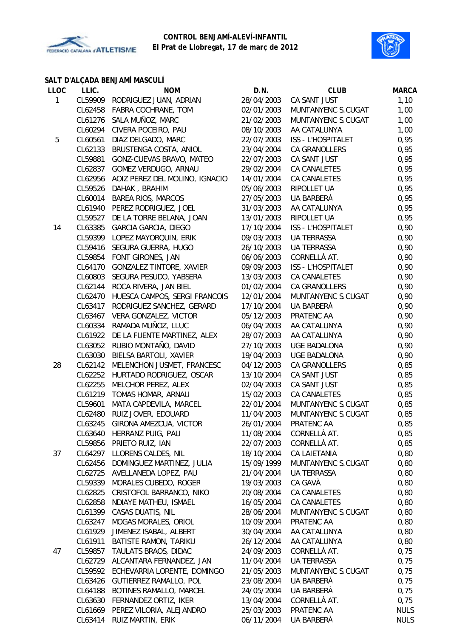



# **SALT D'ALÇADA BENJAMÍ MASCULÍ**

| <b>LLOC</b>  | LLIC.   | <b>NOM</b>                          | D.N.       | <b>CLUB</b>         | <b>MARCA</b> |
|--------------|---------|-------------------------------------|------------|---------------------|--------------|
| $\mathbf{1}$ |         | CL59909 RODRIGUEZ JUAN, ADRIAN      | 28/04/2003 | CA SANT JUST        | 1,10         |
|              | CL62458 | FABRA COCHRANE, TOM                 | 02/01/2003 | MUNTANYENC S.CUGAT  | 1,00         |
|              | CL61276 | SALA MUÑOZ, MARC                    | 21/02/2003 | MUNTANYENC S.CUGAT  | 1,00         |
|              | CL60294 | CIVERA POCEIRO, PAU                 | 08/10/2003 | AA CATALUNYA        | 1,00         |
| 5            | CL60561 | DIAZ DELGADO, MARC                  | 22/07/2003 | ISS - L'HOSPITALET  | 0,95         |
|              | CL62133 | BRUSTENGA COSTA, ANIOL              | 23/04/2004 | CA GRANOLLERS       | 0,95         |
|              | CL59881 | GONZ-CUEVAS BRAVO, MATEO            | 22/07/2003 | CA SANT JUST        | 0,95         |
|              | CL62837 | GOMEZ VERDUGO, ARNAU                | 29/02/2004 | CA CANALETES        | 0,95         |
|              | CL62956 | AOIZ PEREZ DEL MOLINO, IGNACIO      | 14/01/2004 | CA CANALETES        | 0,95         |
|              | CL59526 | DAHAK, BRAHIM                       | 05/06/2003 | RIPOLLET UA         | 0,95         |
|              | CL60014 | <b>BAREA RIOS, MARCOS</b>           | 27/05/2003 | UA BARBERÀ          | 0,95         |
|              | CL61940 | PEREZ RODRIGUEZ, JOEL               | 31/03/2003 | AA CATALUNYA        | 0,95         |
|              | CL59527 | DE LA TORRE BELANA, JOAN            | 13/01/2003 | RIPOLLET UA         | 0,95         |
| 14           | CL63385 | GARCIA GARCIA, DIEGO                | 17/10/2004 | ISS - L'HOSPITALET  | 0,90         |
|              | CL59399 | LOPEZ MAYORQUIN, ERIK               | 09/03/2003 | UA TERRASSA         | 0,90         |
|              | CL59416 | SEGURA GUERRA, HUGO                 | 26/10/2003 | UA TERRASSA         | 0,90         |
|              | CL59854 | FONT GIRONES, JAN                   | 06/06/2003 | CORNELLÀ AT.        | 0,90         |
|              | CL64170 | GONZALEZ TINTORE, XAVIER            | 09/09/2003 | ISS - L'HOSPITALET  | 0,90         |
|              | CL60803 | SEGURA PESUDO, YABSERA              | 13/03/2003 | CA CANALETES        | 0,90         |
|              | CL62144 | ROCA RIVERA, JAN BIEL               | 01/02/2004 | CA GRANOLLERS       | 0,90         |
|              | CL62470 | HUESCA CAMPOS, SERGI FRANCOIS       | 12/01/2004 | MUNTANYENC S.CUGAT  | 0,90         |
|              | CL63417 | RODRIGUEZ SANCHEZ, GERARD           | 17/10/2004 | UA BARBERÀ          | 0,90         |
|              | CL63467 | VERA GONZALEZ, VICTOR               | 05/12/2003 | PRATENC AA          | 0,90         |
|              | CL60334 | RAMADA MUÑOZ, LLUC                  | 06/04/2003 | AA CATALUNYA        | 0,90         |
|              |         | CL61922 DE LA FUENTE MARTINEZ, ALEX | 28/07/2003 | AA CATALUNYA        | 0,90         |
|              | CL63052 | RUBIO MONTAÑO, DAVID                | 27/10/2003 | UGE BADALONA        | 0,90         |
|              | CL63030 | BIELSA BARTOLI, XAVIER              | 19/04/2003 | UGE BADALONA        | 0,90         |
| 28           | CL62142 | MELENCHON JUSMET, FRANCESC          | 04/12/2003 | CA GRANOLLERS       | 0,85         |
|              | CL62252 | HURTADO RODRIGUEZ, OSCAR            | 13/10/2004 | CA SANT JUST        | 0,85         |
|              | CL62255 | MELCHOR PEREZ, ALEX                 | 02/04/2003 | CA SANT JUST        | 0,85         |
|              |         | CL61219 TOMAS HOMAR, ARNAU          | 15/02/2003 | <b>CA CANALETES</b> | 0,85         |
|              | CL59601 | MATA CAPDEVILA, MARCEL              | 22/01/2004 | MUNTANYENC S.CUGAT  | 0,85         |
|              | CL62480 | RUIZ JOVER, EDOUARD                 | 11/04/2003 | MUNTANYENC S.CUGAT  | 0,85         |
|              |         | CL63245 GIRONA AMEZCUA, VICTOR      | 26/01/2004 | PRATENC AA          | 0,85         |
|              |         | CL63640 HERRANZ PUIG, PAU           | 11/08/2004 | CORNELLÀ AT.        | 0,85         |
|              |         | CL59856 PRIETO RUIZ, IAN            | 22/07/2003 | CORNELLÀ AT.        | 0,85         |
| 37           |         | CL64297 LLORENS CALDES, NIL         | 18/10/2004 | CA LAIETANIA        | 0,80         |
|              |         | CL62456 DOMINGUEZ MARTINEZ, JULIA   | 15/09/1999 | MUNTANYENC S.CUGAT  | 0,80         |
|              | CL62725 | AVELLANEDA LOPEZ, PAU               | 21/04/2004 | UA TERRASSA         | 0,80         |
|              | CL59339 | MORALES CUBEDO, ROGER               | 19/03/2003 | CA GAVÀ             | 0,80         |
|              | CL62825 | CRISTOFOL BARRANCO, NIKO            | 20/08/2004 | CA CANALETES        | 0,80         |
|              | CL62858 | NDIAYE MATHEU, ISMAEL               | 16/05/2004 | CA CANALETES        | 0,80         |
|              | CL61399 | CASAS DUATIS, NIL                   | 28/06/2004 | MUNTANYENC S.CUGAT  | 0,80         |
|              | CL63247 | MOGAS MORALES, ORIOL                | 10/09/2004 | PRATENC AA          | 0,80         |
|              | CL61929 | JIMENEZ ISABAL, ALBERT              | 30/04/2004 | AA CATALUNYA        | 0,80         |
|              | CL61911 | BATISTE RAMON, TARIKU               | 26/12/2004 | AA CATALUNYA        | 0,80         |
| 47           | CL59857 | TAULATS BRAOS, DIDAC                | 24/09/2003 | CORNELLÀ AT.        | 0,75         |
|              |         | CL62729 ALCANTARA FERNANDEZ, JAN    | 11/04/2004 | UA TERRASSA         | 0,75         |
|              |         | CL59592 ECHEVARRIA LORENTE, DOMINGO | 21/05/2003 | MUNTANYENC S.CUGAT  | 0,75         |
|              |         | CL63426 GUTIERREZ RAMALLO, POL      | 23/08/2004 | UA BARBERÀ          | 0,75         |
|              | CL64188 | BOTINES RAMALLO, MARCEL             | 24/05/2004 | UA BARBERÀ          | 0,75         |
|              | CL63630 | FERNANDEZ ORTIZ, IKER               | 13/04/2004 | CORNELLÀ AT.        | 0,75         |
|              |         | CL61669 PEREZ VILORIA, ALEJANDRO    | 25/03/2003 | PRATENC AA          | <b>NULS</b>  |
|              |         | CL63414 RUIZ MARTIN, ERIK           | 06/11/2004 | UA BARBERÀ          | <b>NULS</b>  |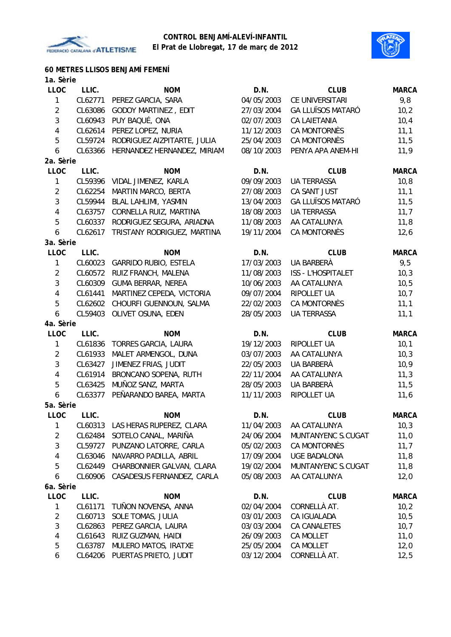



| 60 METRES LLISOS BENJAMÍ FEMENÍ |  |
|---------------------------------|--|
|---------------------------------|--|

| 1a. Sèrie |  |
|-----------|--|
| --        |  |

|                | LLIC.              | <b>NOM</b>                                               | D.N.                     | <b>CLUB</b>               | <b>MARCA</b> |
|----------------|--------------------|----------------------------------------------------------|--------------------------|---------------------------|--------------|
| $\mathbf{1}$   | CL62771            | PEREZ GARCIA, SARA                                       | 04/05/2003               | CE UNIVERSITARI           | 9,8          |
| $\overline{2}$ | CL63086            | <b>GODOY MARTINEZ, EDIT</b>                              | 27/03/2004               | <b>GA LLUÏSOS MATARÓ</b>  | 10,2         |
| $\mathfrak{Z}$ | CL60943            | PUY BAQUÉ, ONA                                           | 02/07/2003               | CA LAIETANIA              | 10,4         |
| $\overline{4}$ | CL62614            | PEREZ LOPEZ, NURIA                                       | 11/12/2003               | CA MONTORNÈS              | 11,1         |
| 5              | CL59724            | RODRIGUEZ AIZPITARTE, JULIA                              | 25/04/2003               | CA MONTORNÈS              | 11,5         |
| 6              | CL63366            | HERNANDEZ HERNANDEZ, MIRIAM                              | 08/10/2003               | PENYA APA ANEM-HI         | 11,9         |
| 2a. Sèrie      |                    |                                                          |                          |                           |              |
| <b>LLOC</b>    | LLIC.              | <b>NOM</b>                                               | D.N.                     | <b>CLUB</b>               | <b>MARCA</b> |
| $\mathbf{1}$   | CL59396            | VIDAL JIMENEZ, KARLA                                     | 09/09/2003               | <b>UA TERRASSA</b>        | 10, 8        |
| $\overline{2}$ | CL62254            | MARTIN MARCO, BERTA                                      | 27/08/2003               | CA SANT JUST              | 11,1         |
| $\mathfrak{Z}$ | CL59944            | BLAL LAHLIMI, YASMIN                                     | 13/04/2003               | <b>GA LLUÏSOS MATARÓ</b>  | 11,5         |
| $\overline{4}$ | CL63757            | CORNELLA RUIZ, MARTINA                                   | 18/08/2003               | <b>UA TERRASSA</b>        | 11,7         |
| 5              | CL60337            | RODRIGUEZ SEGURA, ARIADNA                                | 11/08/2003               | AA CATALUNYA              | 11,8         |
| 6              | CL62617            | TRISTANY RODRIGUEZ, MARTINA                              | 19/11/2004               | CA MONTORNÈS              | 12,6         |
| 3a. Sèrie      |                    |                                                          |                          |                           |              |
| <b>LLOC</b>    | LLIC.              | <b>NOM</b>                                               | D.N.                     | <b>CLUB</b>               | <b>MARCA</b> |
| $\mathbf{1}$   | CL60023            | <b>GARRIDO RUBIO, ESTELA</b>                             | 17/03/2003               | UA BARBERÀ                | 9,5          |
| $\overline{2}$ | CL60572            | RUIZ FRANCH, MALENA                                      | 11/08/2003               | <b>ISS - L'HOSPITALET</b> | 10,3         |
| $\mathfrak{Z}$ | CL60309            | <b>GUMA BERRAR, NEREA</b>                                | 10/06/2003               | AA CATALUNYA              | 10, 5        |
| $\overline{4}$ | CL61441            | MARTINEZ CEPEDA, VICTORIA                                | 09/07/2004               | RIPOLLET UA               | 10,7         |
| 5              | CL62602            | CHOURFI GUENNOUN, SALMA                                  | 22/02/2003               | <b>CA MONTORNÈS</b>       | 11,1         |
| 6              | CL59403            | OLIVET OSUNA, EDEN                                       | 28/05/2003               | <b>UA TERRASSA</b>        | 11,1         |
| 4a. Sèrie      |                    |                                                          |                          |                           |              |
| <b>LLOC</b>    | LLIC.              | <b>NOM</b>                                               | D.N.                     | <b>CLUB</b>               | <b>MARCA</b> |
| $\mathbf{1}$   | CL61836            | TORRES GARCIA, LAURA                                     | 19/12/2003               | RIPOLLET UA               | 10,1         |
|                | CL61933            | MALET ARMENGOL, DUNA                                     | 03/07/2003               | AA CATALUNYA              | 10,3         |
| $\overline{2}$ |                    |                                                          |                          |                           |              |
| 3              | CL63427            | JIMENEZ FRIAS, JUDIT                                     | 22/05/2003               | UA BARBERÀ                |              |
| $\overline{4}$ | CL61914            | BRONCANO SOPENA, RUTH                                    | 22/11/2004               | AA CATALUNYA              | 10, 9        |
| 5              | CL63425            | MUÑOZ SANZ, MARTA                                        | 28/05/2003               | UA BARBERÀ                | 11,3<br>11,5 |
| 6              | CL63377            | PEÑARANDO BAREA, MARTA                                   | 11/11/2003               | RIPOLLET UA               | 11,6         |
| 5a. Sèrie      |                    |                                                          |                          |                           |              |
| <b>LLOC</b>    | LLIC.              | <b>NOM</b>                                               | D.N.                     | <b>CLUB</b>               | <b>MARCA</b> |
| $\mathbf{1}$   |                    |                                                          |                          | 11/04/2003 AA CATALUNYA   | 10,3         |
| $\overline{c}$ | CL62484            | CL60313 LAS HERAS RUPEREZ, CLARA<br>SOTELO CANAL, MARIÑA | 24/06/2004               | MUNTANYENC S.CUGAT        | 11,0         |
| 3              | CL59727            | PUNZANO LATORRE, CARLA                                   | 05/02/2003               | CA MONTORNÈS              | 11,7         |
| 4              | CL63046            | NAVARRO PADILLA, ABRIL                                   | 17/09/2004               | <b>UGE BADALONA</b>       | 11,8         |
| 5              | CL62449            | CHARBONNIER GALVAN, CLARA                                | 19/02/2004               | MUNTANYENC S.CUGAT        | 11,8         |
| 6              | CL60906            | CASADESUS FERNANDEZ, CARLA                               | 05/08/2003               | AA CATALUNYA              | 12,0         |
| 6a. Sèrie      |                    |                                                          |                          |                           |              |
| LLOC           | LLIC.              | <b>NOM</b>                                               | D.N.                     | <b>CLUB</b>               | <b>MARCA</b> |
| 1              | CL61171            | TUÑON NOVENSA, ANNA                                      | 02/04/2004               | CORNELLÀ AT.              | 10,2         |
| $\overline{2}$ | CL60713            | <b>SOLE TOMAS, JULIA</b>                                 | 03/01/2003               | CA IGUALADA               | 10, 5        |
| 3              | CL62863            | PEREZ GARCIA, LAURA                                      | 03/03/2004               | CA CANALETES              | 10,7         |
| $\overline{4}$ | CL61643            | RUIZ GUZMAN, HAIDI                                       | 26/09/2003               | CA MOLLET                 | 11,0         |
| 5              | CL63787<br>CL64206 | MULERO MATOS, IRATXE<br>PUERTAS PRIETO, JUDIT            | 25/05/2004<br>03/12/2004 | CA MOLLET<br>CORNELLÀ AT. | 12,0<br>12,5 |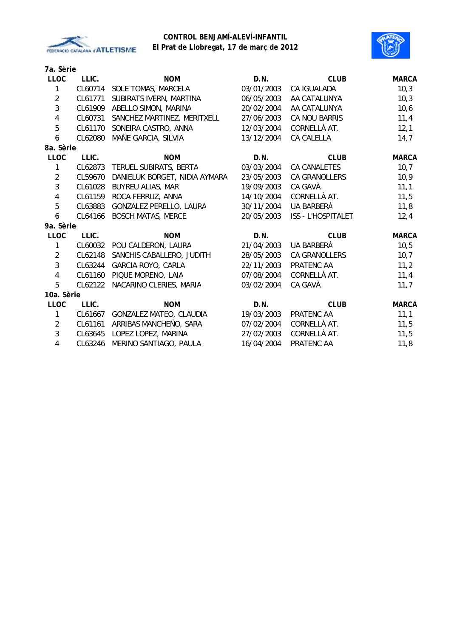



**7a. Sèrie**

| LLIC.   | <b>NOM</b>                           | D.N.                          | <b>CLUB</b>               | <b>MARCA</b> |
|---------|--------------------------------------|-------------------------------|---------------------------|--------------|
| CL60714 | SOLE TOMAS, MARCELA                  | 03/01/2003                    | CA IGUALADA               | 10,3         |
| CL61771 | SUBIRATS IVERN, MARTINA              | 06/05/2003                    | AA CATALUNYA              | 10,3         |
| CL61909 | ABELLO SIMON, MARINA                 | 20/02/2004                    | AA CATALUNYA              | 10,6         |
| CL60731 | SANCHEZ MARTINEZ, MERITXELL          | 27/06/2003                    | CA NOU BARRIS             | 11,4         |
| CL61170 | SONEIRA CASTRO, ANNA                 | 12/03/2004                    | CORNELLÀ AT.              | 12,1         |
| CL62080 | MAÑE GARCIA, SILVIA                  | 13/12/2004                    | CA CALELLA                | 14,7         |
|         |                                      |                               |                           |              |
| LLIC.   | <b>NOM</b>                           | D.N.                          | <b>CLUB</b>               | <b>MARCA</b> |
| CL62873 | TERUEL SUBIRATS, BERTA               | 03/03/2004                    | <b>CA CANALETES</b>       | 10,7         |
| CL59670 | DANIELUK BORGET, NIDIA AYMARA        | 23/05/2003                    | CA GRANOLLERS             | 10,9         |
| CL61028 | BUYREU ALIAS, MAR                    | 19/09/2003                    | CA GAVÀ                   | 11,1         |
| CL61159 | ROCA FERRUZ, ANNA                    | 14/10/2004                    | CORNELLÀ AT.              | 11,5         |
| CL63883 | <b>GONZALEZ PERELLO, LAURA</b>       | 30/11/2004                    | UA BARBERÀ                | 11,8         |
| CL64166 | <b>BOSCH MATAS, MERCE</b>            | 20/05/2003                    | <b>ISS - L'HOSPITALET</b> | 12,4         |
|         |                                      |                               |                           |              |
| LLIC.   | <b>NOM</b>                           | D.N.                          | <b>CLUB</b>               | <b>MARCA</b> |
| CL60032 | POU CALDERON, LAURA                  | 21/04/2003                    | UA BARBERÀ                | 10, 5        |
| CL62148 | SANCHIS CABALLERO, JUDITH            | 28/05/2003                    | CA GRANOLLERS             | 10,7         |
|         | GARCIA ROYO, CARLA                   | 22/11/2003                    | PRATENC AA                | 11,2         |
| CL61160 | PIQUE MORENO, LAIA                   | 07/08/2004                    | CORNELLÀ AT.              | 11,4         |
|         | NACARINO CLERIES, MARIA              | 03/02/2004                    | CA GAVÀ                   | 11,7         |
|         |                                      |                               |                           |              |
| LLIC.   | <b>NOM</b>                           | D.N.                          | <b>CLUB</b>               | <b>MARCA</b> |
|         | GONZALEZ MATEO, CLAUDIA              | 19/03/2003                    | PRATENC AA                | 11,1         |
| CL61161 | ARRIBAS MANCHEÑO, SARA               | 07/02/2004                    | CORNELLÀ AT.              | 11,5         |
| CL63645 | LOPEZ LOPEZ, MARINA                  | 27/02/2003                    | CORNELLÀ AT.              | 11,5         |
| CL63246 | MERINO SANTIAGO, PAULA               | 16/04/2004                    | PRATENC AA                | 11,8         |
|         | 8a. Sèrie<br>9a. Sèrie<br>10a. Sèrie | CL63244<br>CL62122<br>CL61667 |                           |              |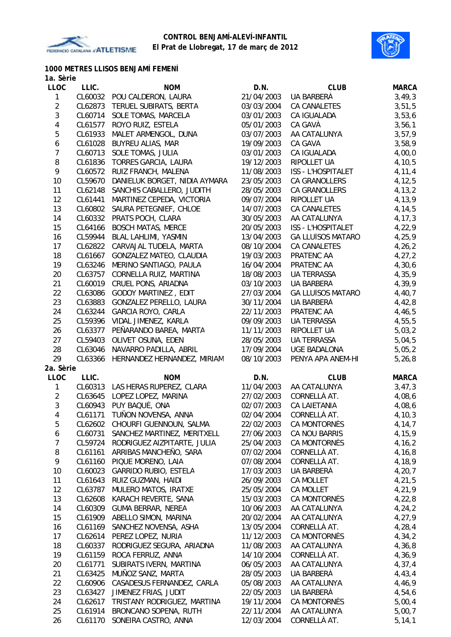



# **1000 METRES LLISOS BENJAMÍ FEMENÍ**

| 1a. Sèrie        |         |                               |            |                          |              |
|------------------|---------|-------------------------------|------------|--------------------------|--------------|
| <b>LLOC</b>      | LLIC.   | <b>NOM</b>                    | D.N.       | <b>CLUB</b>              | <b>MARCA</b> |
| 1                | CL60032 | POU CALDERON, LAURA           | 21/04/2003 | UA BARBERÀ               | 3,49,3       |
| $\overline{2}$   | CL62873 | TERUEL SUBIRATS, BERTA        | 03/03/2004 | CA CANALETES             | 3,51,5       |
| 3                | CL60714 | SOLE TOMAS, MARCELA           | 03/01/2003 | CA IGUALADA              | 3,53,6       |
| 4                | CL61577 | ROYO RUIZ, ESTELA             | 05/01/2003 | CA GAVÀ                  | 3,56,1       |
| 5                | CL61933 | MALET ARMENGOL, DUNA          | 03/07/2003 | AA CATALUNYA             | 3, 57, 9     |
| $\boldsymbol{6}$ | CL61028 | <b>BUYREU ALIAS, MAR</b>      | 19/09/2003 | CA GAVÀ                  | 3,58,9       |
| $\overline{7}$   | CL60713 | SOLE TOMAS, JULIA             | 03/01/2003 | CA IGUALADA              | 4,00,0       |
| 8                | CL61836 | <b>TORRES GARCIA, LAURA</b>   | 19/12/2003 | RIPOLLET UA              | 4, 10, 5     |
| 9                | CL60572 | RUIZ FRANCH, MALENA           | 11/08/2003 | ISS - L'HOSPITALET       | 4,11,4       |
| 10               | CL59670 | DANIELUK BORGET, NIDIA AYMARA | 23/05/2003 | CA GRANOLLERS            | 4, 12, 5     |
| 11               | CL62148 | SANCHIS CABALLERO, JUDITH     | 28/05/2003 | CA GRANOLLERS            | 4, 13, 2     |
| 12               | CL61441 | MARTINEZ CEPEDA, VICTORIA     | 09/07/2004 | RIPOLLET UA              | 4,13,9       |
| 13               | CL60802 | SAURA PETEGNIEF, CHLOE        | 14/07/2003 | CA CANALETES             | 4,14,5       |
| 14               | CL60332 | PRATS POCH, CLARA             | 30/05/2003 | AA CATALUNYA             | 4, 17, 3     |
| 15               | CL64166 | <b>BOSCH MATAS, MERCE</b>     | 20/05/2003 | ISS - L'HOSPITALET       | 4,22,9       |
| 16               | CL59944 | BLAL LAHLIMI, YASMIN          | 13/04/2003 | <b>GA LLUÏSOS MATARÓ</b> | 4,25,9       |
| 17               | CL62822 | CARVAJAL TUDELA, MARTA        | 08/10/2004 | <b>CA CANALETES</b>      | 4, 26, 2     |
| 18               | CL61667 | GONZALEZ MATEO, CLAUDIA       | 19/03/2003 | PRATENC AA               | 4, 27, 2     |
| 19               | CL63246 | MERINO SANTIAGO, PAULA        | 16/04/2004 | PRATENC AA               | 4,30,6       |
| 20               | CL63757 | CORNELLA RUIZ, MARTINA        | 18/08/2003 | <b>UA TERRASSA</b>       | 4,35,9       |
| 21               | CL60019 | CRUEL PONS, ARIADNA           | 03/10/2003 | UA BARBERÀ               | 4,39,9       |
| 22               | CL63086 | <b>GODOY MARTINEZ, EDIT</b>   | 27/03/2004 | <b>GA LLUÏSOS MATARÓ</b> | 4,40,7       |
| 23               | CL63883 | GONZALEZ PERELLO, LAURA       | 30/11/2004 | UA BARBERÀ               | 4,42,8       |
| 24               | CL63244 | GARCIA ROYO, CARLA            | 22/11/2003 | PRATENC AA               | 4,46,5       |
| 25               | CL59396 | VIDAL JIMENEZ, KARLA          | 09/09/2003 | UA TERRASSA              | 4,55,5       |
| 26               | CL63377 | PEÑARANDO BAREA, MARTA        | 11/11/2003 | RIPOLLET UA              | 5,03,2       |
| 27               | CL59403 | OLIVET OSUNA, EDEN            | 28/05/2003 | <b>UA TERRASSA</b>       | 5,04,5       |
| 28               | CL63046 | NAVARRO PADILLA, ABRIL        | 17/09/2004 | <b>UGE BADALONA</b>      | 5,05,2       |
| 29               | CL63366 | HERNANDEZ HERNANDEZ, MIRIAM   | 08/10/2003 | PENYA APA ANEM-HI        | 5, 26, 8     |
| 2a. Sèrie        |         |                               |            |                          |              |
| <b>LLOC</b>      | LLIC.   | <b>NOM</b>                    | D.N.       | <b>CLUB</b>              | <b>MARCA</b> |
| $\mathbf{1}$     | CL60313 | LAS HERAS RUPEREZ, CLARA      | 11/04/2003 | AA CATALUNYA             | 3,47,3       |
| $\overline{2}$   | CL63645 | LOPEZ LOPEZ, MARINA           | 27/02/2003 | CORNELLÀ AT.             | 4,08,6       |
| $\mathbf{3}$     | CL60943 | PUY BAQUÉ, ONA                | 02/07/2003 | <b>CA LAIETANIA</b>      | 4,08,6       |
| 4                | CL61171 | TUNON NOVENSA, ANNA           | 02/04/2004 | CORNELLÀ AT.             | 4,10,3       |
| 5                | CL62602 | CHOURFI GUENNOUN, SALMA       | 22/02/2003 | CA MONTORNÈS             | 4,14,7       |
| 6                | CL60731 | SANCHEZ MARTINEZ, MERITXELL   | 27/06/2003 | CA NOU BARRIS            | 4,15,9       |
| $\overline{7}$   | CL59724 | RODRIGUEZ AIZPITARTE, JULIA   | 25/04/2003 | CA MONTORNÈS             | 4, 16, 2     |
| 8                | CL61161 | ARRIBAS MANCHEÑO, SARA        | 07/02/2004 | CORNELLÀ AT.             | 4,16,8       |
| 9                | CL61160 | PIQUE MORENO, LAIA            | 07/08/2004 | CORNELLÀ AT.             | 4,18,9       |
| 10               | CL60023 | <b>GARRIDO RUBIO, ESTELA</b>  | 17/03/2003 | UA BARBERÀ               | 4, 20, 7     |
| 11               | CL61643 | RUIZ GUZMAN, HAIDI            | 26/09/2003 | CA MOLLET                | 4,21,5       |
| 12               | CL63787 | MULERO MATOS, IRATXE          | 25/05/2004 | CA MOLLET                | 4,21,9       |
| 13               | CL62608 | KARACH REVERTE, SANA          | 15/03/2003 | CA MONTORNÈS             | 4,22,8       |
| 14               | CL60309 | <b>GUMA BERRAR, NEREA</b>     | 10/06/2003 | AA CATALUNYA             | 4,24,2       |
| 15               | CL61909 | ABELLO SIMON, MARINA          | 20/02/2004 | AA CATALUNYA             | 4,27,9       |
| 16               | CL61169 | SANCHEZ NOVENSA, ASHA         | 13/05/2004 | CORNELLÀ AT.             | 4,28,4       |
| 17               | CL62614 | PEREZ LOPEZ, NURIA            | 11/12/2003 | CA MONTORNÈS             | 4,34,2       |
| 18               | CL60337 | RODRIGUEZ SEGURA, ARIADNA     | 11/08/2003 | AA CATALUNYA             | 4,36,8       |
| 19               | CL61159 | ROCA FERRUZ, ANNA             | 14/10/2004 | CORNELLÀ AT.             | 4,36,9       |
| 20               | CL61771 | SUBIRATS IVERN, MARTINA       | 06/05/2003 | AA CATALUNYA             | 4, 37, 4     |
| 21               | CL63425 | MUÑOZ SANZ, MARTA             | 28/05/2003 | UA BARBERÀ               | 4,43,4       |
| 22               | CL60906 | CASADESUS FERNANDEZ, CARLA    | 05/08/2003 | AA CATALUNYA             | 4,46,9       |
| 23               | CL63427 | JIMENEZ FRIAS, JUDIT          | 22/05/2003 | UA BARBERÀ               | 4,54,6       |
| 24               | CL62617 | TRISTANY RODRIGUEZ, MARTINA   | 19/11/2004 | CA MONTORNÈS             | 5,00,4       |
| 25               | CL61914 | BRONCANO SOPENA, RUTH         | 22/11/2004 | AA CATALUNYA             | 5,00,7       |
| 26               | CL61170 | SONEIRA CASTRO, ANNA          | 12/03/2004 | CORNELLÀ AT.             | 5, 14, 1     |